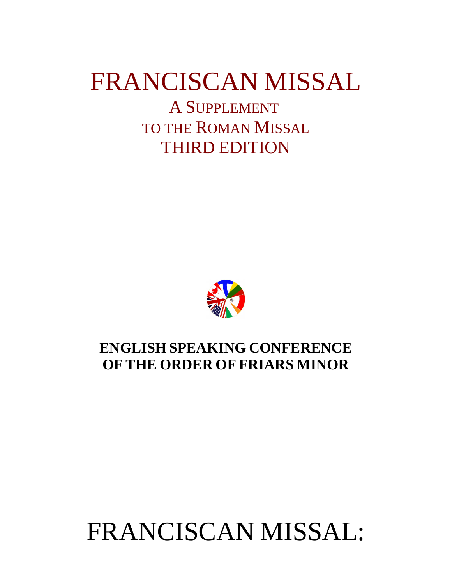# FRANCISCAN MISSAL

A SUPPLEMENT TO THE ROMAN MISSAL THIRD EDITION



## **ENGLISH SPEAKING CONFERENCE OF THE ORDER OF FRIARS MINOR**

# FRANCISCAN MISSAL: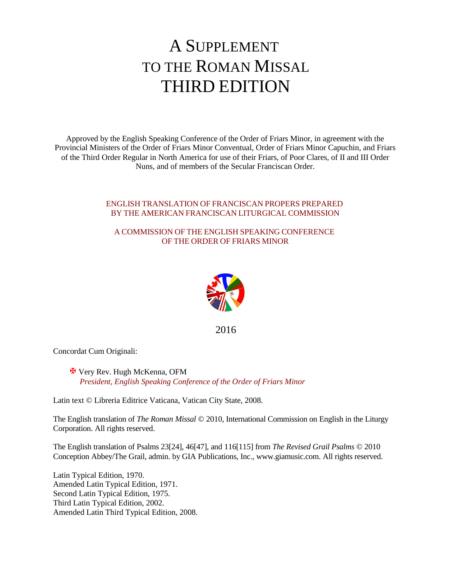## A SUPPLEMENT TO THE ROMAN MISSAL THIRD EDITION

Approved by the English Speaking Conference of the Order of Friars Minor, in agreement with the Provincial Ministers of the Order of Friars Minor Conventual, Order of Friars Minor Capuchin, and Friars of the Third Order Regular in North America for use of their Friars, of Poor Clares, of II and III Order Nuns, and of members of the Secular Franciscan Order.

#### ENGLISH TRANSLATION OF FRANCISCAN PROPERS PREPARED BY THE AMERICAN FRANCISCAN LITURGICAL COMMISSION

#### A COMMISSION OF THE ENGLISH SPEAKING CONFERENCE OF THE ORDER OF FRIARS MINOR



2016

Concordat Cum Originali:

 X Very Rev. Hugh McKenna, OFM *President, English Speaking Conference of the Order of Friars Minor*

Latin text © Libreria Editrice Vaticana, Vatican City State, 2008.

The English translation of *The Roman Missal* © 2010, International Commission on English in the Liturgy Corporation. All rights reserved.

The English translation of Psalms 23[24], 46[47], and 116[115] from *The Revised Grail Psalms* © 2010 Conception Abbey/The Grail, admin. by GIA Publications, Inc., www.giamusic.com. All rights reserved.

Latin Typical Edition, 1970. Amended Latin Typical Edition, 1971. Second Latin Typical Edition, 1975. Third Latin Typical Edition, 2002. Amended Latin Third Typical Edition, 2008.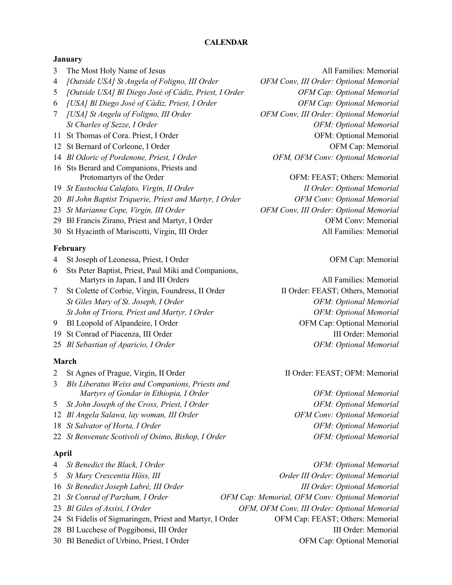#### **CALENDAR**

#### **January**

- 3 The Most Holy Name of Jesus All Families: Memorial
- 4 *[Outside USA] St Angela of Foligno, III Order OFM Conv, III Order: Optional Memorial*
- 5 *[Outside USA] Bl Diego José of Cádiz, Priest, I Order OFM Cap: Optional Memorial*
- 6 *[USA] Bl Diego José of Cádiz, Priest, I Order OFM Cap: Optional Memorial*
- 
- 
- 
- 
- 16 Sts Berard and Companions, Priests and
- 
- 20 *Bl John Baptist Triquerie, Priest and Martyr, I Order OFM Conv: Optional Memorial*
- 
- 
- 

#### **February**

- 4 St Joseph of Leonessa, Priest, I Order Cap: OFM Cap: Memorial
- 6 Sts Peter Baptist, Priest, Paul Miki and Companions, Martyrs in Japan, I and III Orders All Families: Memorial
- 7 St Colette of Corbie, Virgin, Foundress, II Order II Order: FEAST; Others, Memorial *St Giles Mary of St. Joseph, I Order OFM: Optional Memorial* St John of Triora, Priest and Martyr, I Order **Canadian Communisty Communisty Communisty** OFM: Optional Memorial
- 
- 
- 

#### **March**

| 2 St Agnes of Prague, Virgin, II Order              | II Order: FEAST; OFM: Memorial     |
|-----------------------------------------------------|------------------------------------|
| 3 Bls Liberatus Weiss and Companions, Priests and   |                                    |
| Martyrs of Gondar in Ethiopia, I Order              | OFM: Optional Memorial             |
| 5 St John Joseph of the Cross, Priest, I Order      | OFM: Optional Memorial             |
| 12 Bl Angela Salawa, lay woman, III Order           | <b>OFM Conv: Optional Memorial</b> |
| 18 St Salvator of Horta, I Order                    | OFM: Optional Memorial             |
| 22 St Benvenute Scotivoli of Osimo, Bishop, I Order | OFM: Optional Memorial             |

#### **April**

| 4 St Benedict the Black, I Order                         | OFM: Optional Memorial                         |
|----------------------------------------------------------|------------------------------------------------|
| 5 St Mary Crescentia Höss, III                           | Order III Order: Optional Memorial             |
| 16 St Benedict Joseph Labré, III Order                   | <b>III Order: Optional Memorial</b>            |
| 21 St Conrad of Parzham, I Order                         | OFM Cap: Memorial, OFM Conv: Optional Memorial |
| 23 Bl Giles of Assisi, I Order                           | OFM, OFM Conv, III Order: Optional Memorial    |
| 24 St Fidelis of Sigmaringen, Priest and Martyr, I Order | OFM Cap: FEAST; Others: Memorial               |
| 28 Bl Lucchese of Poggibonsi, III Order                  | III Order: Memorial                            |
| 30 Bl Benedict of Urbino, Priest, I Order                | OFM Cap: Optional Memorial                     |
|                                                          |                                                |

7 *[USA] St Angela of Foligno, III Order OFM Conv, III Order: Optional Memorial St Charles of Sezze, I Order OFM: Optional Memorial* 11 St Thomas of Cora. Priest, I Order Cora. 2011 1991 1991 1991 1991 1992 1994. Optional Memorial 12 St Bernard of Corleone, I Order Cap: Memorial OFM Cap: Memorial 14 *Bl Odoric of Pordenone, Priest, I Order OFM, OFM Conv: Optional Memorial*

Protomartyrs of the Order **CEAST**; Others: Memorial **OFM: FEAST**; Others: Memorial 19 *St Eustochia Calafato, Virgin, II Order II Order: Optional Memorial* 23 *St Marianne Cope, Virgin, III Order OFM Conv, III Order: Optional Memorial* 29 Bl Francis Zirano, Priest and Martyr, I Order OFM Conv: Memorial 30 St Hyacinth of Mariscotti, Virgin, III Order All Families: Memorial

9 Bl Leopold of Alpandeire, I Order **OFM Cap:** OFM Cap: Optional Memorial 19 St Conrad of Piacenza, III Order **III Order** III Order: Memorial 25 *Bl Sebastian of Aparicio, I Order OFM: Optional Memorial*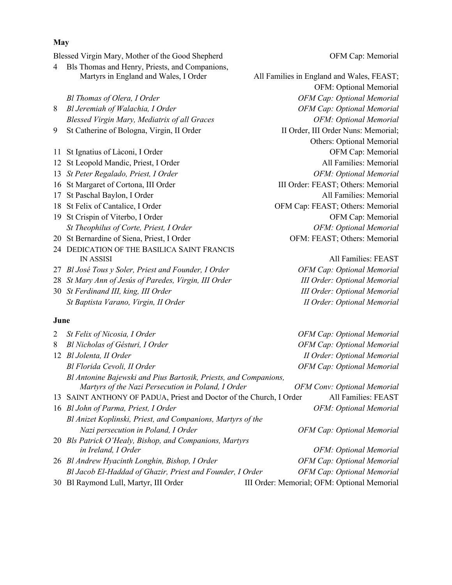|                | Blessed Virgin Mary, Mother of the Good Shepherd                                                                       | OFM Cap: Memorial                         |
|----------------|------------------------------------------------------------------------------------------------------------------------|-------------------------------------------|
| 4              | Bls Thomas and Henry, Priests, and Companions,                                                                         |                                           |
|                | Martyrs in England and Wales, I Order                                                                                  | All Families in England and Wales, FEAST; |
|                |                                                                                                                        | OFM: Optional Memorial                    |
|                | Bl Thomas of Olera, I Order                                                                                            | OFM Cap: Optional Memorial                |
| 8              | Bl Jeremiah of Walachia, I Order                                                                                       | OFM Cap: Optional Memorial                |
|                | Blessed Virgin Mary, Mediatrix of all Graces                                                                           | OFM: Optional Memorial                    |
| 9              | St Catherine of Bologna, Virgin, II Order                                                                              | II Order, III Order Nuns: Memorial;       |
|                |                                                                                                                        | Others: Optional Memorial                 |
|                | 11 St Ignatius of Làconi, I Order                                                                                      | OFM Cap: Memorial                         |
|                | 12 St Leopold Mandic, Priest, I Order                                                                                  | All Families: Memorial                    |
|                | 13 St Peter Regalado, Priest, I Order                                                                                  | OFM: Optional Memorial                    |
|                | 16 St Margaret of Cortona, III Order                                                                                   | III Order: FEAST; Others: Memorial        |
|                | 17 St Paschal Baylon, I Order                                                                                          | All Families: Memorial                    |
|                | 18 St Felix of Cantalice, I Order                                                                                      | OFM Cap: FEAST; Others: Memorial          |
|                | 19 St Crispin of Viterbo, I Order                                                                                      | OFM Cap: Memorial                         |
|                | St Theophilus of Corte, Priest, I Order                                                                                | OFM: Optional Memorial                    |
|                | 20 St Bernardine of Siena, Priest, I Order                                                                             | OFM: FEAST; Others: Memorial              |
|                | 24 DEDICATION OF THE BASILICA SAINT FRANCIS                                                                            |                                           |
|                | <b>IN ASSISI</b>                                                                                                       | All Families: FEAST                       |
|                | 27 Bl José Tous y Soler, Priest and Founder, I Order                                                                   | OFM Cap: Optional Memorial                |
|                | 28 St Mary Ann of Jesús of Paredes, Virgin, III Order                                                                  | <b>III Order: Optional Memorial</b>       |
|                | 30 St Ferdinand III, king, III Order                                                                                   | <b>III Order: Optional Memorial</b>       |
|                | St Baptista Varano, Virgin, II Order                                                                                   | <b>II Order: Optional Memorial</b>        |
| June           |                                                                                                                        |                                           |
| $\overline{2}$ | St Felix of Nicosia, I Order                                                                                           | OFM Cap: Optional Memorial                |
| 8              | Bl Nicholas of Gésturi, I Order                                                                                        | OFM Cap: Optional Memorial                |
|                | 12 Bl Jolenta, II Order                                                                                                | II Order: Optional Memorial               |
|                | Bl Florida Cevoli, II Order                                                                                            | OFM Cap: Optional Memorial                |
|                | Bl Antonine Bajewski and Pius Bartosik, Priests, and Companions,<br>Martyrs of the Nazi Persecution in Poland, I Order | <b>OFM Conv: Optional Memorial</b>        |
|                |                                                                                                                        |                                           |

- 16 *Bl John of Parma, Priest, I Order* Channel Communication of *OFM: Optional Memorial Bl Anizet Koplinski, Priest, and Companions, Martyrs of the Nazi persecution in Poland, I Order OFM Cap: Optional Memorial*
- 20 *Bls Patrick O'Healy, Bishop, and Companions, Martyrs in Ireland, I Order OFM: Optional Memorial*
- 26 *Bl Andrew Hyacinth Longhin, Bishop, I Order* OFM Cap: Optional Memorial *Bl Jacob El-Haddad of Ghazir, Priest and Founder, I Order OFM Cap: Optional Memorial*
- 

30 Bl Raymond Lull, Martyr, III Order III Order: Memorial; OFM: Optional Memorial

#### **May**

- 4 Bls Thomas and Henry, Priests, and Companions,
- 
- 
- 
- 
- 
- 
- 
- 
- 
- 
- 24 DEDICATION OF THE BASILICA SAINT FRANCIS
- 
- 
- 

#### **June**

13 SAINT ANTHONY OF PADUA, Priest and Doctor of the Church, I Order All Families: FEAST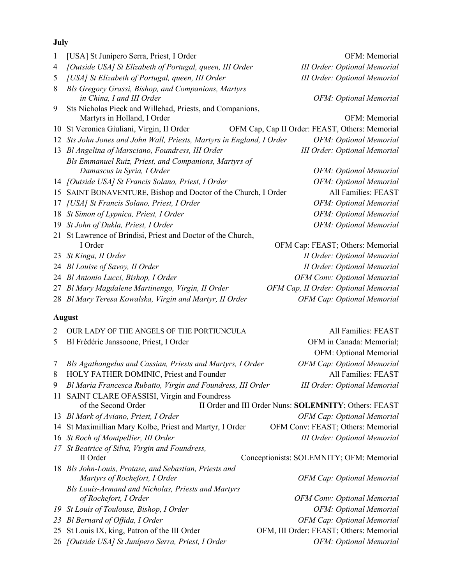#### **July**

| 1  | [USA] St Junípero Serra, Priest, I Order                              | OFM: Memorial                                         |
|----|-----------------------------------------------------------------------|-------------------------------------------------------|
| 4  | [Outside USA] St Elizabeth of Portugal, queen, III Order              | <b>III Order: Optional Memorial</b>                   |
| 5  | [USA] St Elizabeth of Portugal, queen, III Order                      | <b>III Order: Optional Memorial</b>                   |
| 8  | Bls Gregory Grassi, Bishop, and Companions, Martyrs                   |                                                       |
|    | in China, I and III Order                                             | OFM: Optional Memorial                                |
| 9  | Sts Nicholas Pieck and Willehad, Priests, and Companions,             |                                                       |
|    | Martyrs in Holland, I Order                                           | OFM: Memorial                                         |
| 10 | St Veronica Giuliani, Virgin, II Order                                | OFM Cap, Cap II Order: FEAST, Others: Memorial        |
|    | 12 Sts John Jones and John Wall, Priests, Martyrs in England, I Order | OFM: Optional Memorial                                |
|    | 13 Bl Angelina of Marsciano, Foundress, III Order                     | <b>III Order: Optional Memorial</b>                   |
|    | Bls Emmanuel Ruiz, Priest, and Companions, Martyrs of                 |                                                       |
|    | Damascus in Syria, I Order                                            | OFM: Optional Memorial                                |
|    | 14 [Outside USA] St Francis Solano, Priest, I Order                   | OFM: Optional Memorial                                |
|    | 15 SAINT BONAVENTURE, Bishop and Doctor of the Church, I Order        | All Families: FEAST                                   |
|    | 17 [USA] St Francis Solano, Priest, I Order                           | OFM: Optional Memorial                                |
| 18 | St Simon of Lypnica, Priest, I Order                                  | OFM: Optional Memorial                                |
| 19 | St John of Dukla, Priest, I Order                                     | OFM: Optional Memorial                                |
| 21 | St Lawrence of Brindisi, Priest and Doctor of the Church,             |                                                       |
|    | I Order                                                               | OFM Cap: FEAST; Others: Memorial                      |
|    | 23 St Kinga, II Order                                                 | <b>II Order: Optional Memorial</b>                    |
|    | 24 Bl Louise of Savoy, II Order                                       | <b>II Order: Optional Memorial</b>                    |
|    | 24 Bl Antonio Lucci, Bishop, I Order                                  | OFM Conv: Optional Memorial                           |
| 27 | Bl Mary Magdalene Martinengo, Virgin, II Order                        | OFM Cap, II Order: Optional Memorial                  |
|    | 28 Bl Mary Teresa Kowalska, Virgin and Martyr, II Order               | OFM Cap: Optional Memorial                            |
|    | <b>August</b>                                                         |                                                       |
| 2  | OUR LADY OF THE ANGELS OF THE PORTIUNCULA                             | All Families: FEAST                                   |
| 5  | Bl Frédéric Janssoone, Priest, I Order                                | OFM in Canada: Memorial;                              |
|    |                                                                       | OFM: Optional Memorial                                |
| 7  | Bls Agathangelus and Cassian, Priests and Martyrs, I Order            | OFM Cap: Optional Memorial                            |
| 8  | HOLY FATHER DOMINIC, Priest and Founder                               | All Families: FEAST                                   |
| 9  | Bl Maria Francesca Rubatto, Virgin and Foundress, III Order           | <b>III Order: Optional Memorial</b>                   |
|    | 11 SAINT CLARE OFASSISI, Virgin and Foundress                         |                                                       |
|    | of the Second Order                                                   | II Order and III Order Nuns: SOLEMNITY; Others: FEAST |
|    | 13 Bl Mark of Aviano, Priest, I Order                                 | OFM Cap: Optional Memorial                            |

14 St Maximillian Mary Kolbe, Priest and Martyr, I Order OFM Conv: FEAST; Others: Memorial

- 16 *St Roch of Montpellier, III Order III Order: Optional Memorial*
- *17 St Beatrice of Silva, Virgin and Foundress,*
- 18 *Bls John-Louis, Protase, and Sebastian, Priests and Martyrs of Rochefort, I Order OFM Cap: Optional Memorial Bls Louis-Armand and Nicholas, Priests and Martyrs*
- 
- 
- 25 St Louis IX, king, Patron of the III Order OFM, III Order: FEAST; Others: Memorial
- 26 *[Outside USA] St Junípero Serra, Priest, I Order OFM: Optional Memorial*

II Order Conceptionists: SOLEMNITY; OFM: Memorial

*of Rochefort, I Order OFM Conv: Optional Memorial 19 St Louis of Toulouse, Bishop, I Order OFM: Optional Memorial* 23 *Bl Bernard of Offida, I Order OFM Cap: Optional Memorial*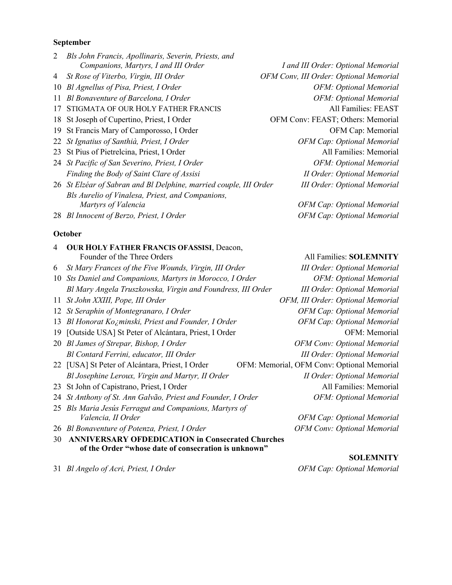#### **September**

| 2  | Bls John Francis, Apollinaris, Severin, Priests, and              |                                        |
|----|-------------------------------------------------------------------|----------------------------------------|
|    | Companions, Martyrs, I and III Order                              | I and III Order: Optional Memorial     |
| 4  | St Rose of Viterbo, Virgin, III Order                             | OFM Conv, III Order: Optional Memorial |
| 10 | Bl Agnellus of Pisa, Priest, I Order                              | OFM: Optional Memorial                 |
| 11 | Bl Bonaventure of Barcelona, I Order                              | OFM: Optional Memorial                 |
| 17 | STIGMATA OF OUR HOLY FATHER FRANCIS                               | All Families: FEAST                    |
|    | 18 St Joseph of Cupertino, Priest, I Order                        | OFM Conv: FEAST; Others: Memorial      |
|    | 19 St Francis Mary of Camporosso, I Order                         | OFM Cap: Memorial                      |
|    | 22 St Ignatius of Santhià, Priest, I Order                        | <b>OFM Cap: Optional Memorial</b>      |
|    | 23 St Pius of Pietrelcina, Priest, I Order                        | All Families: Memorial                 |
|    | 24 St Pacific of San Severino, Priest, I Order                    | OFM: Optional Memorial                 |
|    | Finding the Body of Saint Clare of Assisi                         | <b>II Order: Optional Memorial</b>     |
|    | 26 St Elzéar of Sabran and Bl Delphine, married couple, III Order | <b>III Order: Optional Memorial</b>    |
|    | Bls Aurelio of Vinalesa, Priest, and Companions,                  |                                        |
|    | Martyrs of Valencia                                               | OFM Cap: Optional Memorial             |

28 *Bl Innocent of Berzo, Priest, I Order OFM Cap: Optional Memorial* 

#### **October**

| $\overline{4}$ | OUR HOLY FATHER FRANCIS OFASSISI, Deacon,                   |                                            |
|----------------|-------------------------------------------------------------|--------------------------------------------|
|                | Founder of the Three Orders                                 | All Families: SOLEMNITY                    |
| 6              | St Mary Frances of the Five Wounds, Virgin, III Order       | <b>III Order: Optional Memorial</b>        |
|                | 10 Sts Daniel and Companions, Martyrs in Morocco, I Order   | OFM: Optional Memorial                     |
|                | Bl Mary Angela Truszkowska, Virgin and Foundress, III Order | <b>III Order: Optional Memorial</b>        |
|                | 11 St John XXIII, Pope, III Order                           | OFM, III Order: Optional Memorial          |
| 12             | St Seraphin of Montegranaro, I Order                        | <b>OFM Cap: Optional Memorial</b>          |
| 13             | Bl Honorat Kozminski, Priest and Founder, I Order           | <b>OFM Cap: Optional Memorial</b>          |
| 19             | [Outside USA] St Peter of Alcántara, Priest, I Order        | OFM: Memorial                              |
|                | 20 Bl James of Strepar, Bishop, I Order                     | <b>OFM Conv: Optional Memorial</b>         |
|                | Bl Contard Ferrini, educator, III Order                     | <b>III Order: Optional Memorial</b>        |
|                | 22 [USA] St Peter of Alcántara, Priest, I Order             | OFM: Memorial, OFM Conv: Optional Memorial |
|                | Bl Josephine Leroux, Virgin and Martyr, II Order            | <b>II Order: Optional Memorial</b>         |
|                | 23 St John of Capistrano, Priest, I Order                   | All Families: Memorial                     |
| 24             | St Anthony of St. Ann Galvão, Priest and Founder, I Order   | OFM: Optional Memorial                     |
|                | 25 Bls Maria Jesús Ferragut and Companions, Martyrs of      |                                            |
|                | Valencia, II Order                                          | <b>OFM Cap: Optional Memorial</b>          |
|                | 26 Bl Bonaventure of Potenza, Priest, I Order               | <b>OFM Conv: Optional Memorial</b>         |
| 30             | <b>ANNIVERSARY OFDEDICATION in Consecrated Churches</b>     |                                            |
|                | of the Order "whose date of consecration is unknown"        |                                            |
|                |                                                             | <b>SOLEMNITY</b>                           |

31 *Bl Angelo of Acri, Priest, I Order OFM Cap: Optional Memorial*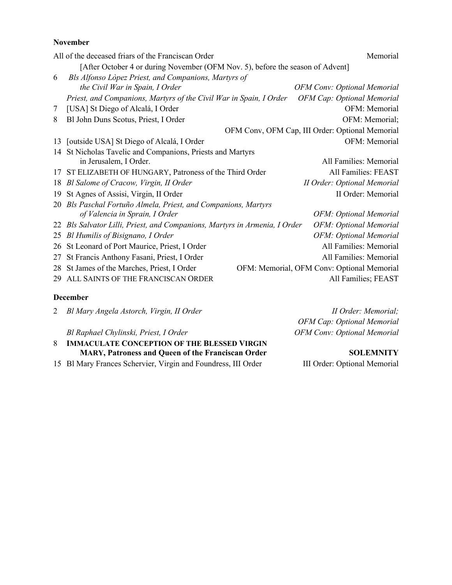#### **November**

|    | All of the deceased friars of the Franciscan Order                             | Memorial                                        |  |
|----|--------------------------------------------------------------------------------|-------------------------------------------------|--|
|    | [After October 4 or during November (OFM Nov. 5), before the season of Advent] |                                                 |  |
| 6  | Bls Alfonso Lòpez Priest, and Companions, Martyrs of                           |                                                 |  |
|    | the Civil War in Spain, I Order                                                | <b>OFM Conv: Optional Memorial</b>              |  |
|    | Priest, and Companions, Martyrs of the Civil War in Spain, I Order             | <b>OFM Cap: Optional Memorial</b>               |  |
| 7  | [USA] St Diego of Alcalá, I Order                                              | OFM: Memorial                                   |  |
| 8  | Bl John Duns Scotus, Priest, I Order                                           | OFM: Memorial;                                  |  |
|    |                                                                                | OFM Conv, OFM Cap, III Order: Optional Memorial |  |
| 13 | [outside USA] St Diego of Alcalá, I Order                                      | OFM: Memorial                                   |  |
| 14 | St Nicholas Tavelic and Companions, Priests and Martyrs                        |                                                 |  |
|    | in Jerusalem, I Order.                                                         | All Families: Memorial                          |  |
| 17 | ST ELIZABETH OF HUNGARY, Patroness of the Third Order                          | All Families: FEAST                             |  |
| 18 | Bl Salome of Cracow, Virgin, II Order                                          | II Order: Optional Memorial                     |  |
| 19 | St Agnes of Assisi, Virgin, II Order                                           | II Order: Memorial                              |  |
| 20 | Bls Paschal Fortuño Almela, Priest, and Companions, Martyrs                    |                                                 |  |
|    | of Valencia in Sprain, I Order                                                 | OFM: Optional Memorial                          |  |
|    | 22 Bls Salvator Lilli, Priest, and Companions, Martyrs in Armenia, I Order     | OFM: Optional Memorial                          |  |
| 25 | Bl Humilis of Bisignano, I Order                                               | OFM: Optional Memorial                          |  |
| 26 | St Leonard of Port Maurice, Priest, I Order                                    | All Families: Memorial                          |  |
| 27 | St Francis Anthony Fasani, Priest, I Order                                     | All Families: Memorial                          |  |
| 28 | St James of the Marches, Priest, I Order                                       | OFM: Memorial, OFM Conv: Optional Memorial      |  |
| 29 | ALL SAINTS OF THE FRANCISCAN ORDER                                             | All Families; FEAST                             |  |
|    |                                                                                |                                                 |  |

#### **December**

|   | 2 Bl Mary Angela Astorch, Virgin, II Order               | II Order: Memorial;                |
|---|----------------------------------------------------------|------------------------------------|
|   |                                                          | OFM Cap: Optional Memorial         |
|   | Bl Raphael Chylinski, Priest, I Order                    | <b>OFM Conv: Optional Memorial</b> |
| 8 | <b>IMMACULATE CONCEPTION OF THE BLESSED VIRGIN</b>       |                                    |
|   | <b>MARY, Patroness and Queen of the Franciscan Order</b> | <b>SOLEMNITY</b>                   |

15 Bl Mary Frances Schervier, Virgin and Foundress, III Order III Order: Optional Memorial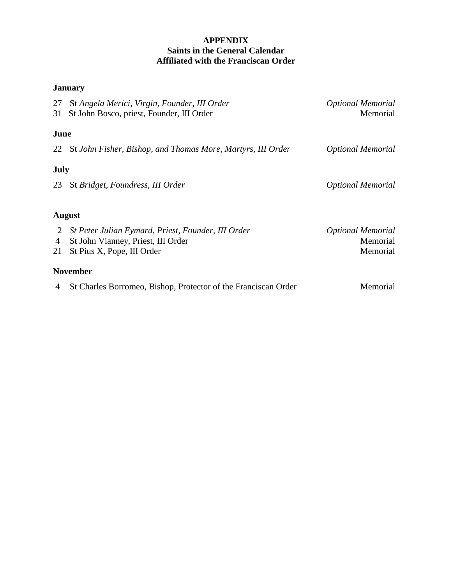#### **APPENDIX Saints in the General Calendar Affiliated with the Franciscan Order**

#### **January**

| 27   | St Angela Merici, Virgin, Founder, III Order                   | <b>Optional Memorial</b> |
|------|----------------------------------------------------------------|--------------------------|
| 31   | St John Bosco, priest, Founder, III Order                      | Memorial                 |
|      |                                                                |                          |
| June |                                                                |                          |
|      | 22 St John Fisher, Bishop, and Thomas More, Martyrs, III Order | <b>Optional Memorial</b> |
|      |                                                                |                          |
| July |                                                                |                          |
| 23   | St Bridget, Foundress, III Order                               | <b>Optional Memorial</b> |
|      |                                                                |                          |
|      | <b>August</b>                                                  |                          |
| 2    | St Peter Julian Eymard, Priest, Founder, III Order             | <b>Optional Memorial</b> |
| 4    | St John Vianney, Priest, III Order                             | Memorial                 |
| 21   | St Pius X, Pope, III Order                                     | Memorial                 |
|      | <b>November</b>                                                |                          |

4 St Charles Borromeo, Bishop, Protector of the Franciscan Order Memorial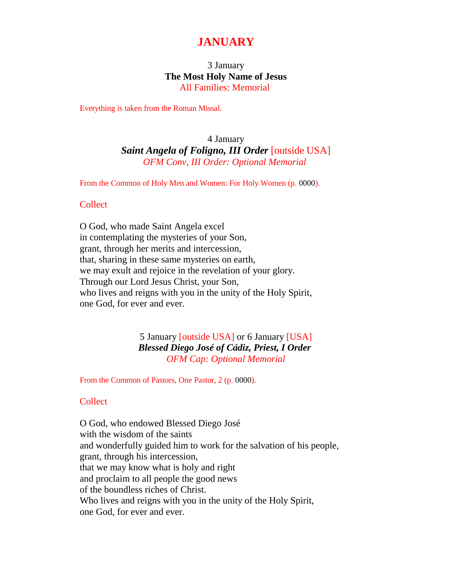### **JANUARY**

#### 3 January **The Most Holy Name of Jesus** All Families: Memorial

Everything is taken from the Roman Missal.

#### 4 January *Saint Angela of Foligno, III Order* [outside USA] *OFM Conv, III Order: Optional Memorial*

From the Common of Holy Men and Women: For Holy Women (p. 0000).

#### Collect

O God, who made Saint Angela excel in contemplating the mysteries of your Son, grant, through her merits and intercession, that, sharing in these same mysteries on earth, we may exult and rejoice in the revelation of your glory. Through our Lord Jesus Christ, your Son, who lives and reigns with you in the unity of the Holy Spirit, one God, for ever and ever.

> 5 January [outside USA] or 6 January [USA] *Blessed Diego José of Cádiz, Priest, I Order OFM Cap: Optional Memorial*

From the Common of Pastors, One Pastor, 2 (p. 0000).

#### **Collect**

O God, who endowed Blessed Diego José with the wisdom of the saints and wonderfully guided him to work for the salvation of his people, grant, through his intercession, that we may know what is holy and right and proclaim to all people the good news of the boundless riches of Christ. Who lives and reigns with you in the unity of the Holy Spirit, one God, for ever and ever.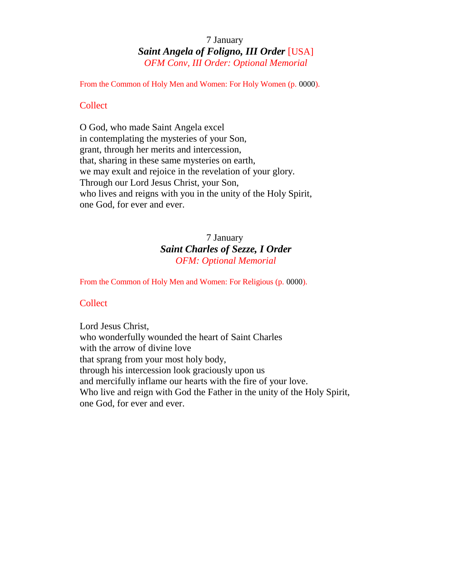#### 7 January *Saint Angela of Foligno, III Order* [USA] *OFM Conv, III Order: Optional Memorial*

From the Common of Holy Men and Women: For Holy Women (p. 0000).

#### **Collect**

O God, who made Saint Angela excel in contemplating the mysteries of your Son, grant, through her merits and intercession, that, sharing in these same mysteries on earth, we may exult and rejoice in the revelation of your glory. Through our Lord Jesus Christ, your Son, who lives and reigns with you in the unity of the Holy Spirit, one God, for ever and ever.

#### 7 January *Saint Charles of Sezze, I Order OFM: Optional Memorial*

From the Common of Holy Men and Women: For Religious (p. 0000).

#### **Collect**

Lord Jesus Christ, who wonderfully wounded the heart of Saint Charles with the arrow of divine love that sprang from your most holy body, through his intercession look graciously upon us and mercifully inflame our hearts with the fire of your love. Who live and reign with God the Father in the unity of the Holy Spirit, one God, for ever and ever.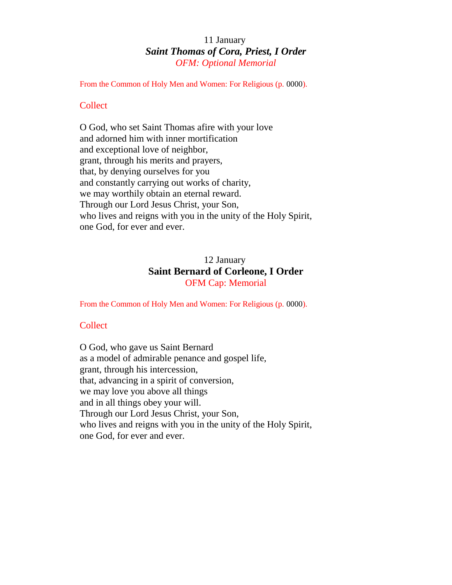#### 11 January *Saint Thomas of Cora, Priest, I Order OFM: Optional Memorial*

From the Common of Holy Men and Women: For Religious (p. 0000).

#### **Collect**

O God, who set Saint Thomas afire with your love and adorned him with inner mortification and exceptional love of neighbor, grant, through his merits and prayers, that, by denying ourselves for you and constantly carrying out works of charity, we may worthily obtain an eternal reward. Through our Lord Jesus Christ, your Son, who lives and reigns with you in the unity of the Holy Spirit, one God, for ever and ever.

#### 12 January **Saint Bernard of Corleone, I Order** OFM Cap: Memorial

From the Common of Holy Men and Women: For Religious (p. 0000).

#### **Collect**

O God, who gave us Saint Bernard as a model of admirable penance and gospel life, grant, through his intercession, that, advancing in a spirit of conversion, we may love you above all things and in all things obey your will. Through our Lord Jesus Christ, your Son, who lives and reigns with you in the unity of the Holy Spirit, one God, for ever and ever.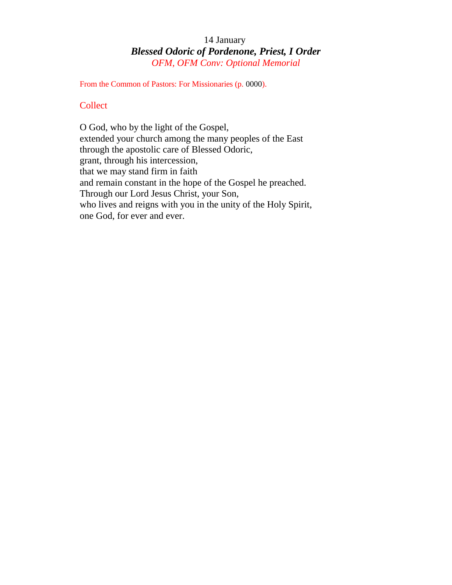#### 14 January *Blessed Odoric of Pordenone, Priest, I Order OFM, OFM Conv: Optional Memorial*

From the Common of Pastors: For Missionaries (p. 0000).

#### **Collect**

O God, who by the light of the Gospel, extended your church among the many peoples of the East through the apostolic care of Blessed Odoric, grant, through his intercession, that we may stand firm in faith and remain constant in the hope of the Gospel he preached. Through our Lord Jesus Christ, your Son, who lives and reigns with you in the unity of the Holy Spirit, one God, for ever and ever.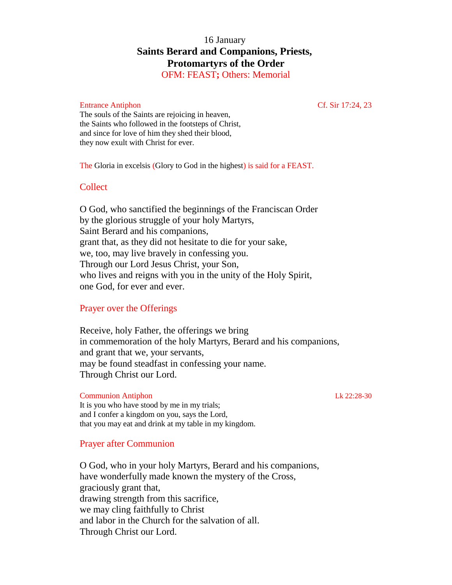#### 16 January **Saints Berard and Companions, Priests, Protomartyrs of the Order**

OFM: FEAST**;** Others: Memorial

#### Entrance Antiphon Cf. Sir 17:24, 23

The souls of the Saints are rejoicing in heaven, the Saints who followed in the footsteps of Christ, and since for love of him they shed their blood, they now exult with Christ for ever.

The Gloria in excelsis (Glory to God in the highest) is said for a FEAST.

#### **Collect**

O God, who sanctified the beginnings of the Franciscan Order by the glorious struggle of your holy Martyrs, Saint Berard and his companions, grant that, as they did not hesitate to die for your sake, we, too, may live bravely in confessing you. Through our Lord Jesus Christ, your Son, who lives and reigns with you in the unity of the Holy Spirit, one God, for ever and ever.

#### Prayer over the Offerings

Receive, holy Father, the offerings we bring in commemoration of the holy Martyrs, Berard and his companions, and grant that we, your servants, may be found steadfast in confessing your name. Through Christ our Lord.

Communion Antiphon Lk 22:28-30 It is you who have stood by me in my trials; and I confer a kingdom on you, says the Lord, that you may eat and drink at my table in my kingdom.

#### Prayer after Communion

O God, who in your holy Martyrs, Berard and his companions, have wonderfully made known the mystery of the Cross, graciously grant that, drawing strength from this sacrifice, we may cling faithfully to Christ and labor in the Church for the salvation of all. Through Christ our Lord.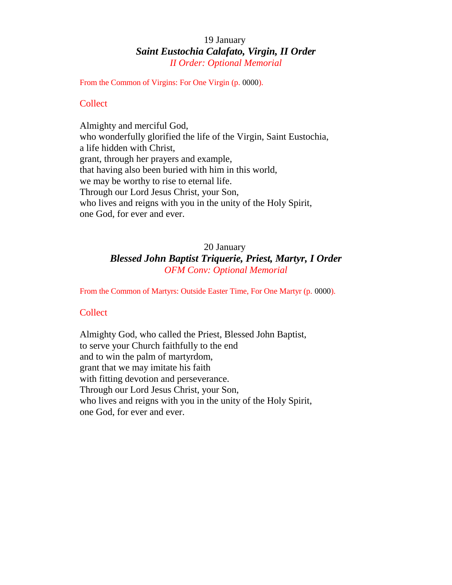#### 19 January *Saint Eustochia Calafato, Virgin, II Order II Order: Optional Memorial*

From the Common of Virgins: For One Virgin (p. 0000).

#### **Collect**

Almighty and merciful God, who wonderfully glorified the life of the Virgin, Saint Eustochia, a life hidden with Christ, grant, through her prayers and example, that having also been buried with him in this world, we may be worthy to rise to eternal life. Through our Lord Jesus Christ, your Son, who lives and reigns with you in the unity of the Holy Spirit, one God, for ever and ever.

#### 20 January *Blessed John Baptist Triquerie, Priest, Martyr, I Order OFM Conv: Optional Memorial*

From the Common of Martyrs: Outside Easter Time, For One Martyr (p. 0000).

#### **Collect**

Almighty God, who called the Priest, Blessed John Baptist, to serve your Church faithfully to the end and to win the palm of martyrdom, grant that we may imitate his faith with fitting devotion and perseverance. Through our Lord Jesus Christ, your Son, who lives and reigns with you in the unity of the Holy Spirit, one God, for ever and ever.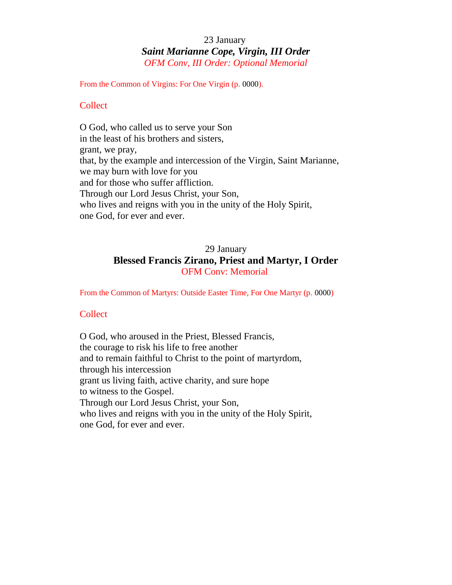#### 23 January *Saint Marianne Cope, Virgin, III Order OFM Conv, III Order: Optional Memorial*

From the Common of Virgins: For One Virgin (p. 0000).

#### **Collect**

O God, who called us to serve your Son in the least of his brothers and sisters, grant, we pray, that, by the example and intercession of the Virgin, Saint Marianne, we may burn with love for you and for those who suffer affliction. Through our Lord Jesus Christ, your Son, who lives and reigns with you in the unity of the Holy Spirit, one God, for ever and ever.

#### 29 January **Blessed Francis Zirano, Priest and Martyr, I Order** OFM Conv: Memorial

From the Common of Martyrs: Outside Easter Time, For One Martyr (p. 0000)

#### **Collect**

O God, who aroused in the Priest, Blessed Francis, the courage to risk his life to free another and to remain faithful to Christ to the point of martyrdom, through his intercession grant us living faith, active charity, and sure hope to witness to the Gospel. Through our Lord Jesus Christ, your Son, who lives and reigns with you in the unity of the Holy Spirit, one God, for ever and ever.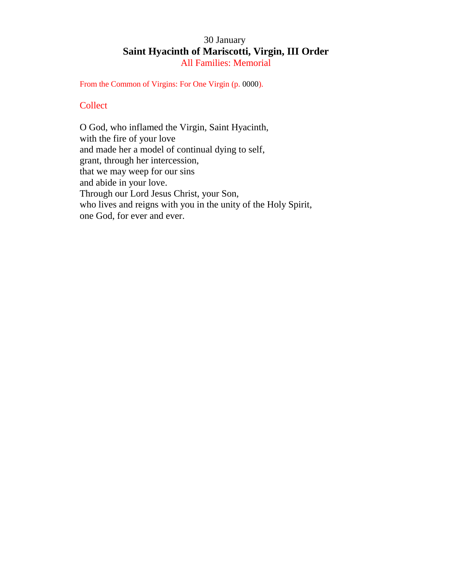#### 30 January **Saint Hyacinth of Mariscotti, Virgin, III Order** All Families: Memorial

From the Common of Virgins: For One Virgin (p. 0000).

#### **Collect**

O God, who inflamed the Virgin, Saint Hyacinth, with the fire of your love and made her a model of continual dying to self, grant, through her intercession, that we may weep for our sins and abide in your love. Through our Lord Jesus Christ, your Son, who lives and reigns with you in the unity of the Holy Spirit, one God, for ever and ever.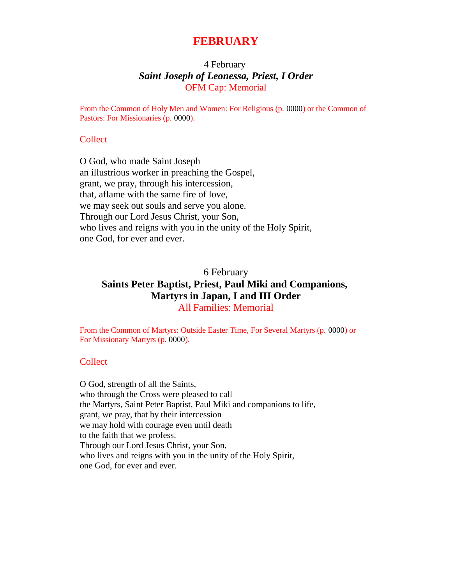#### **FEBRUARY**

#### 4 February *Saint Joseph of Leonessa, Priest, I Order* OFM Cap: Memorial

From the Common of Holy Men and Women: For Religious (p. 0000) or the Common of Pastors: For Missionaries (p. 0000).

#### **Collect**

O God, who made Saint Joseph an illustrious worker in preaching the Gospel, grant, we pray, through his intercession, that, aflame with the same fire of love, we may seek out souls and serve you alone. Through our Lord Jesus Christ, your Son, who lives and reigns with you in the unity of the Holy Spirit, one God, for ever and ever.

#### 6 February **Saints Peter Baptist, Priest, Paul Miki and Companions, Martyrs in Japan, I and III Order** All Families: Memorial

From the Common of Martyrs: Outside Easter Time, For Several Martyrs (p. 0000) or For Missionary Martyrs (p. 0000).

#### **Collect**

O God, strength of all the Saints, who through the Cross were pleased to call the Martyrs, Saint Peter Baptist, Paul Miki and companions to life, grant, we pray, that by their intercession we may hold with courage even until death to the faith that we profess. Through our Lord Jesus Christ, your Son, who lives and reigns with you in the unity of the Holy Spirit, one God, for ever and ever.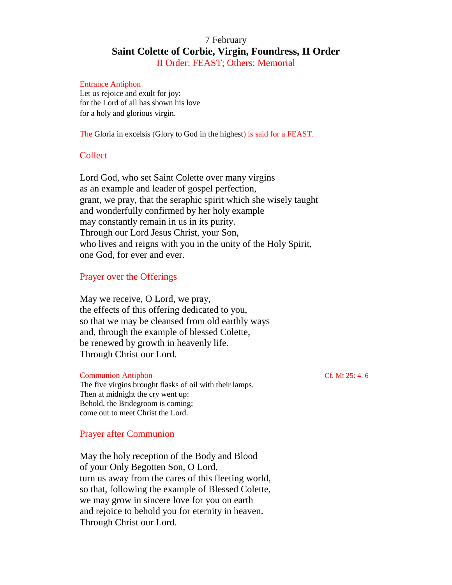#### 7 February **Saint Colette of Corbie, Virgin, Foundress, II Order** II Order: FEAST; Others: Memorial

#### Entrance Antiphon

Let us rejoice and exult for joy: for the Lord of all has shown his love for a holy and glorious virgin.

The Gloria in excelsis (Glory to God in the highest) is said for a FEAST.

#### **Collect**

Lord God, who set Saint Colette over many virgins as an example and leader of gospel perfection, grant, we pray, that the seraphic spirit which she wisely taught and wonderfully confirmed by her holy example may constantly remain in us in its purity. Through our Lord Jesus Christ, your Son, who lives and reigns with you in the unity of the Holy Spirit, one God, for ever and ever.

#### Prayer over the Offerings

May we receive, O Lord, we pray, the effects of this offering dedicated to you, so that we may be cleansed from old earthly ways and, through the example of blessed Colette, be renewed by growth in heavenly life. Through Christ our Lord.

#### Communion Antiphon Cf. Mt 25: 4. 6

The five virgins brought flasks of oil with their lamps. Then at midnight the cry went up: Behold, the Bridegroom is coming; come out to meet Christ the Lord.

#### Prayer after Communion

May the holy reception of the Body and Blood of your Only Begotten Son, O Lord, turn us away from the cares of this fleeting world, so that, following the example of Blessed Colette, we may grow in sincere love for you on earth and rejoice to behold you for eternity in heaven. Through Christ our Lord.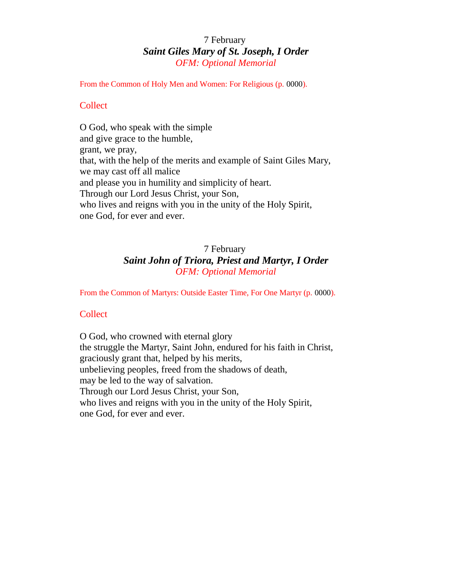#### 7 February *Saint Giles Mary of St. Joseph, I Order OFM: Optional Memorial*

From the Common of Holy Men and Women: For Religious (p. 0000).

#### **Collect**

O God, who speak with the simple and give grace to the humble, grant, we pray, that, with the help of the merits and example of Saint Giles Mary, we may cast off all malice and please you in humility and simplicity of heart. Through our Lord Jesus Christ, your Son, who lives and reigns with you in the unity of the Holy Spirit, one God, for ever and ever.

#### 7 February *Saint John of Triora, Priest and Martyr, I Order OFM: Optional Memorial*

From the Common of Martyrs: Outside Easter Time, For One Martyr (p. 0000).

#### **Collect**

O God, who crowned with eternal glory the struggle the Martyr, Saint John, endured for his faith in Christ, graciously grant that, helped by his merits, unbelieving peoples, freed from the shadows of death, may be led to the way of salvation. Through our Lord Jesus Christ, your Son, who lives and reigns with you in the unity of the Holy Spirit, one God, for ever and ever.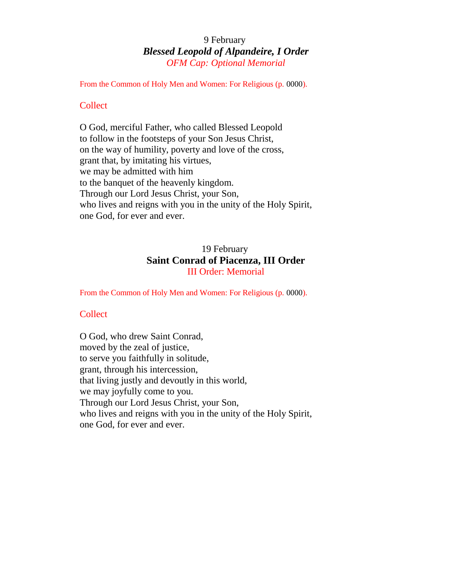#### 9 February *Blessed Leopold of Alpandeire, I Order OFM Cap: Optional Memorial*

From the Common of Holy Men and Women: For Religious (p. 0000).

#### **Collect**

O God, merciful Father, who called Blessed Leopold to follow in the footsteps of your Son Jesus Christ, on the way of humility, poverty and love of the cross, grant that, by imitating his virtues, we may be admitted with him to the banquet of the heavenly kingdom. Through our Lord Jesus Christ, your Son, who lives and reigns with you in the unity of the Holy Spirit, one God, for ever and ever.

#### 19 February **Saint Conrad of Piacenza, III Order** III Order: Memorial

From the Common of Holy Men and Women: For Religious (p. 0000).

#### **Collect**

O God, who drew Saint Conrad, moved by the zeal of justice, to serve you faithfully in solitude, grant, through his intercession, that living justly and devoutly in this world, we may joyfully come to you. Through our Lord Jesus Christ, your Son, who lives and reigns with you in the unity of the Holy Spirit, one God, for ever and ever.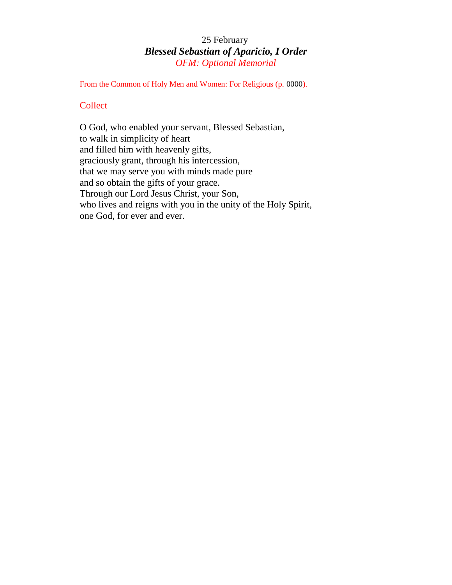#### 25 February *Blessed Sebastian of Aparicio, I Order OFM: Optional Memorial*

From the Common of Holy Men and Women: For Religious (p. 0000).

#### **Collect**

O God, who enabled your servant, Blessed Sebastian, to walk in simplicity of heart and filled him with heavenly gifts, graciously grant, through his intercession, that we may serve you with minds made pure and so obtain the gifts of your grace. Through our Lord Jesus Christ, your Son, who lives and reigns with you in the unity of the Holy Spirit, one God, for ever and ever.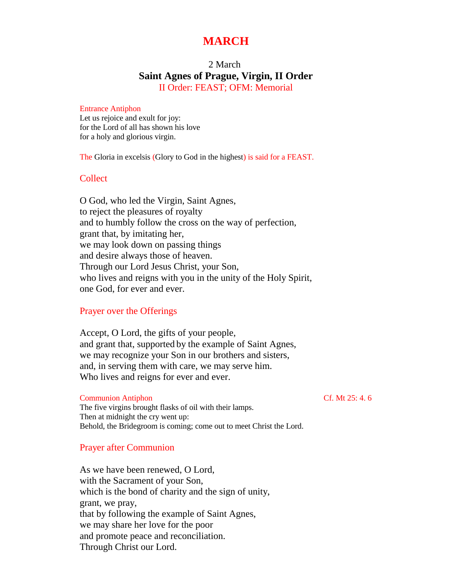#### **MARCH**

#### 2 March **Saint Agnes of Prague, Virgin, II Order** II Order: FEAST; OFM: Memorial

#### Entrance Antiphon

Let us rejoice and exult for joy: for the Lord of all has shown his love for a holy and glorious virgin.

The Gloria in excelsis (Glory to God in the highest) is said for a FEAST.

#### Collect

O God, who led the Virgin, Saint Agnes, to reject the pleasures of royalty and to humbly follow the cross on the way of perfection, grant that, by imitating her, we may look down on passing things and desire always those of heaven. Through our Lord Jesus Christ, your Son, who lives and reigns with you in the unity of the Holy Spirit, one God, for ever and ever.

#### Prayer over the Offerings

Accept, O Lord, the gifts of your people, and grant that, supported by the example of Saint Agnes, we may recognize your Son in our brothers and sisters, and, in serving them with care, we may serve him. Who lives and reigns for ever and ever.

#### Communion Antiphon Communion Antiphon Cf. Mt 25: 4. 6

The five virgins brought flasks of oil with their lamps. Then at midnight the cry went up: Behold, the Bridegroom is coming; come out to meet Christ the Lord.

#### Prayer after Communion

As we have been renewed, O Lord, with the Sacrament of your Son, which is the bond of charity and the sign of unity, grant, we pray, that by following the example of Saint Agnes, we may share her love for the poor and promote peace and reconciliation. Through Christ our Lord.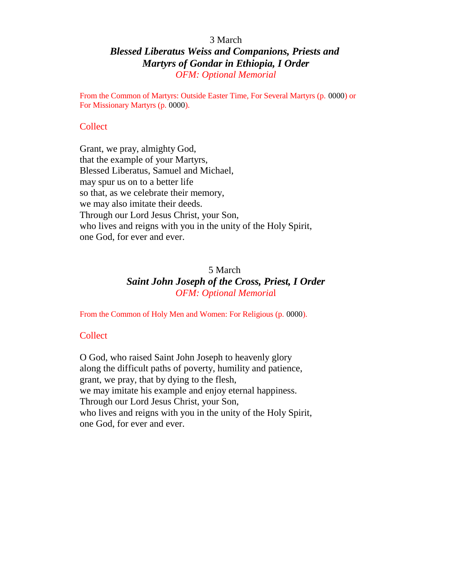#### 3 March

#### *Blessed Liberatus Weiss and Companions, Priests and Martyrs of Gondar in Ethiopia, I Order OFM: Optional Memorial*

From the Common of Martyrs: Outside Easter Time, For Several Martyrs (p. 0000) or For Missionary Martyrs (p. 0000).

#### **Collect**

Grant, we pray, almighty God, that the example of your Martyrs, Blessed Liberatus, Samuel and Michael, may spur us on to a better life so that, as we celebrate their memory, we may also imitate their deeds. Through our Lord Jesus Christ, your Son, who lives and reigns with you in the unity of the Holy Spirit, one God, for ever and ever.

#### 5 March *Saint John Joseph of the Cross, Priest, I Order OFM: Optional Memoria*l

From the Common of Holy Men and Women: For Religious (p. 0000).

#### **Collect**

O God, who raised Saint John Joseph to heavenly glory along the difficult paths of poverty, humility and patience, grant, we pray, that by dying to the flesh, we may imitate his example and enjoy eternal happiness. Through our Lord Jesus Christ, your Son, who lives and reigns with you in the unity of the Holy Spirit, one God, for ever and ever.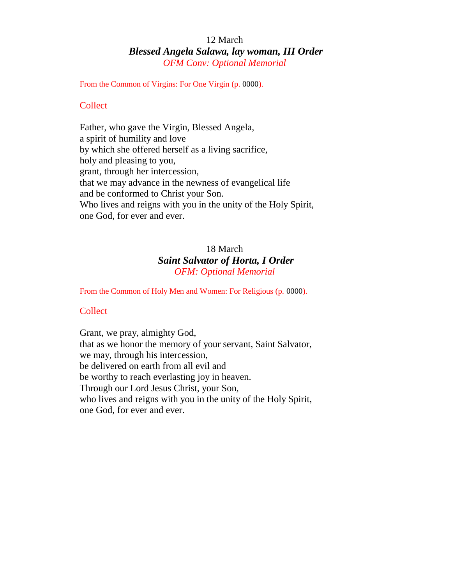#### 12 March *Blessed Angela Salawa, lay woman, III Order OFM Conv: Optional Memorial*

From the Common of Virgins: For One Virgin (p. 0000).

#### **Collect**

Father, who gave the Virgin, Blessed Angela, a spirit of humility and love by which she offered herself as a living sacrifice, holy and pleasing to you, grant, through her intercession, that we may advance in the newness of evangelical life and be conformed to Christ your Son. Who lives and reigns with you in the unity of the Holy Spirit, one God, for ever and ever.

#### 18 March *Saint Salvator of Horta, I Order OFM: Optional Memorial*

From the Common of Holy Men and Women: For Religious (p. 0000).

#### Collect

Grant, we pray, almighty God, that as we honor the memory of your servant, Saint Salvator, we may, through his intercession, be delivered on earth from all evil and be worthy to reach everlasting joy in heaven. Through our Lord Jesus Christ, your Son, who lives and reigns with you in the unity of the Holy Spirit, one God, for ever and ever.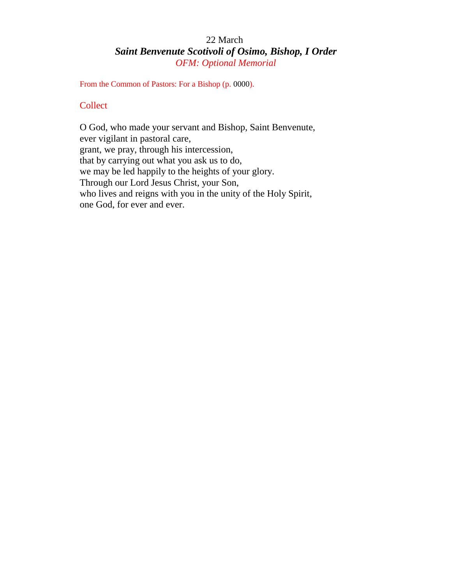#### 22 March *Saint Benvenute Scotivoli of Osimo, Bishop, I Order OFM: Optional Memorial*

From the Common of Pastors: For a Bishop (p. 0000).

#### **Collect**

O God, who made your servant and Bishop, Saint Benvenute, ever vigilant in pastoral care, grant, we pray, through his intercession, that by carrying out what you ask us to do, we may be led happily to the heights of your glory. Through our Lord Jesus Christ, your Son, who lives and reigns with you in the unity of the Holy Spirit, one God, for ever and ever.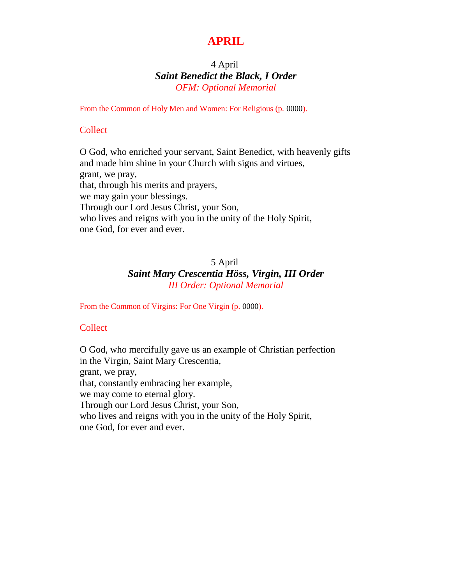### **APRIL**

#### 4 April *Saint Benedict the Black, I Order OFM: Optional Memorial*

From the Common of Holy Men and Women: For Religious (p. 0000).

#### **Collect**

O God, who enriched your servant, Saint Benedict, with heavenly gifts and made him shine in your Church with signs and virtues, grant, we pray, that, through his merits and prayers, we may gain your blessings. Through our Lord Jesus Christ, your Son, who lives and reigns with you in the unity of the Holy Spirit, one God, for ever and ever.

#### 5 April *Saint Mary Crescentia Höss, Virgin, III Order III Order: Optional Memorial*

From the Common of Virgins: For One Virgin (p. 0000).

#### **Collect**

O God, who mercifully gave us an example of Christian perfection in the Virgin, Saint Mary Crescentia, grant, we pray, that, constantly embracing her example, we may come to eternal glory. Through our Lord Jesus Christ, your Son, who lives and reigns with you in the unity of the Holy Spirit, one God, for ever and ever.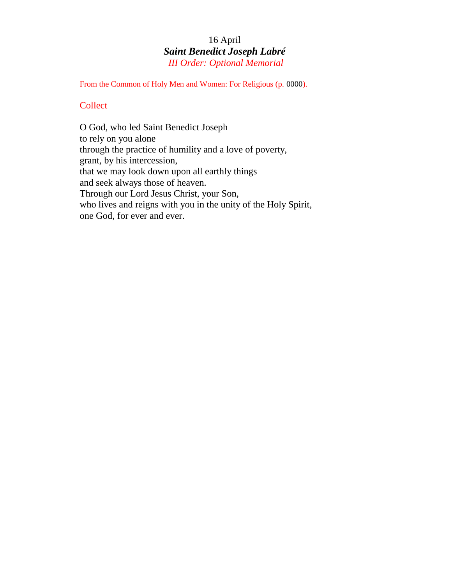#### 16 April *Saint Benedict Joseph Labré III Order: Optional Memorial*

From the Common of Holy Men and Women: For Religious (p. 0000).

#### **Collect**

O God, who led Saint Benedict Joseph to rely on you alone through the practice of humility and a love of poverty, grant, by his intercession, that we may look down upon all earthly things and seek always those of heaven. Through our Lord Jesus Christ, your Son, who lives and reigns with you in the unity of the Holy Spirit, one God, for ever and ever.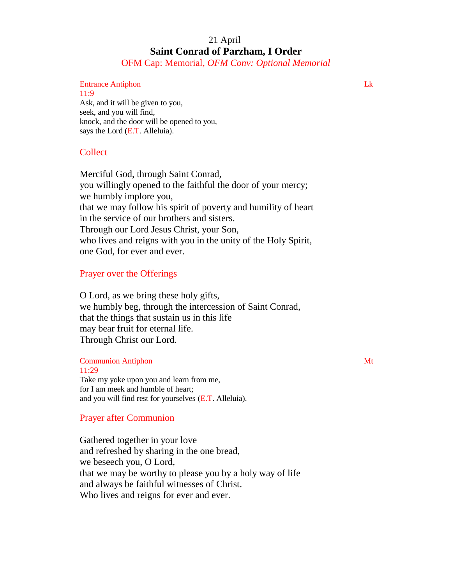#### 21 April **Saint Conrad of Parzham, I Order**

OFM Cap: Memorial, *OFM Conv: Optional Memorial*

#### Entrance Antiphon Lk

11:9 Ask, and it will be given to you, seek, and you will find, knock, and the door will be opened to you, says the Lord (E.T. Alleluia).

#### **Collect**

Merciful God, through Saint Conrad, you willingly opened to the faithful the door of your mercy; we humbly implore you, that we may follow his spirit of poverty and humility of heart in the service of our brothers and sisters. Through our Lord Jesus Christ, your Son, who lives and reigns with you in the unity of the Holy Spirit, one God, for ever and ever.

#### Prayer over the Offerings

O Lord, as we bring these holy gifts, we humbly beg, through the intercession of Saint Conrad, that the things that sustain us in this life may bear fruit for eternal life. Through Christ our Lord.

#### **Communion Antiphon** Mt

11:29 Take my yoke upon you and learn from me, for I am meek and humble of heart; and you will find rest for yourselves (E.T. Alleluia).

#### Prayer after Communion

Gathered together in your love and refreshed by sharing in the one bread, we beseech you, O Lord, that we may be worthy to please you by a holy way of life and always be faithful witnesses of Christ. Who lives and reigns for ever and ever.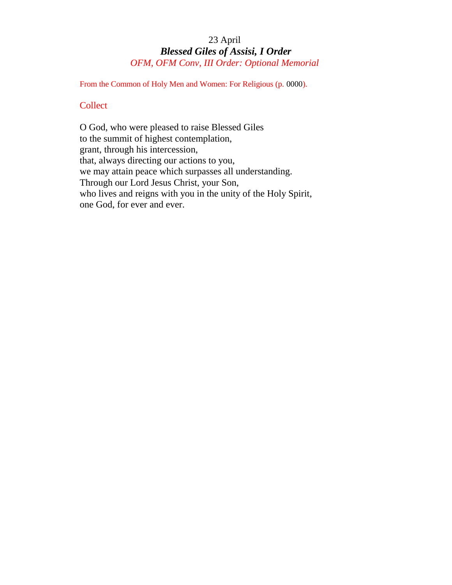#### 23 April *Blessed Giles of Assisi, I Order OFM, OFM Conv, III Order: Optional Memorial*

From the Common of Holy Men and Women: For Religious (p. 0000).

#### **Collect**

O God, who were pleased to raise Blessed Giles to the summit of highest contemplation, grant, through his intercession, that, always directing our actions to you, we may attain peace which surpasses all understanding. Through our Lord Jesus Christ, your Son, who lives and reigns with you in the unity of the Holy Spirit, one God, for ever and ever.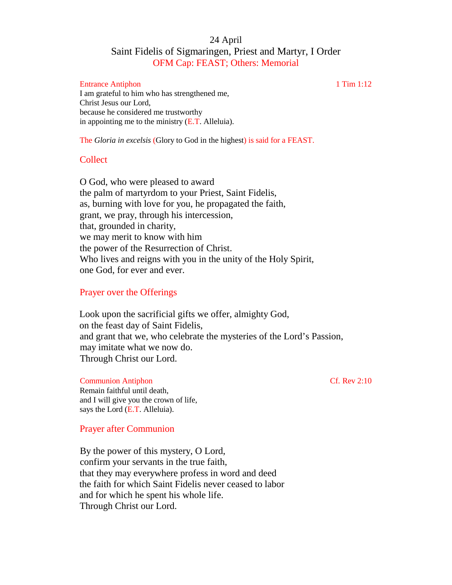#### 24 April Saint Fidelis of Sigmaringen, Priest and Martyr, I Order OFM Cap: FEAST; Others: Memorial

#### Entrance Antiphon 1 Tim 1:12

I am grateful to him who has strengthened me, Christ Jesus our Lord, because he considered me trustworthy in appointing me to the ministry  $(E.T.$  Alleluia).

The *Gloria in excelsis* (Glory to God in the highest) is said for a FEAST.

#### Collect

O God, who were pleased to award the palm of martyrdom to your Priest, Saint Fidelis, as, burning with love for you, he propagated the faith, grant, we pray, through his intercession, that, grounded in charity, we may merit to know with him the power of the Resurrection of Christ. Who lives and reigns with you in the unity of the Holy Spirit, one God, for ever and ever.

#### Prayer over the Offerings

Look upon the sacrificial gifts we offer, almighty God, on the feast day of Saint Fidelis, and grant that we, who celebrate the mysteries of the Lord's Passion, may imitate what we now do. Through Christ our Lord.

#### Communion Antiphon Cf. Rev 2:10

Remain faithful until death, and I will give you the crown of life, says the Lord (E.T. Alleluia).

#### Prayer after Communion

By the power of this mystery, O Lord, confirm your servants in the true faith, that they may everywhere profess in word and deed the faith for which Saint Fidelis never ceased to labor and for which he spent his whole life. Through Christ our Lord.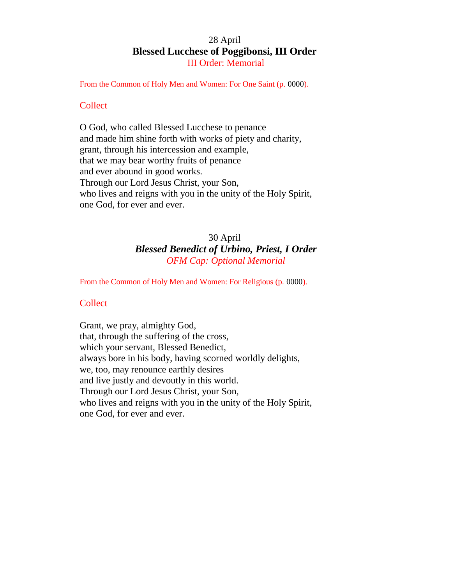#### 28 April **Blessed Lucchese of Poggibonsi, III Order** III Order: Memorial

From the Common of Holy Men and Women: For One Saint (p. 0000).

#### **Collect**

O God, who called Blessed Lucchese to penance and made him shine forth with works of piety and charity, grant, through his intercession and example, that we may bear worthy fruits of penance and ever abound in good works. Through our Lord Jesus Christ, your Son, who lives and reigns with you in the unity of the Holy Spirit, one God, for ever and ever.

#### 30 April *Blessed Benedict of Urbino, Priest, I Order OFM Cap: Optional Memorial*

From the Common of Holy Men and Women: For Religious (p. 0000).

#### **Collect**

Grant, we pray, almighty God, that, through the suffering of the cross, which your servant, Blessed Benedict, always bore in his body, having scorned worldly delights, we, too, may renounce earthly desires and live justly and devoutly in this world. Through our Lord Jesus Christ, your Son, who lives and reigns with you in the unity of the Holy Spirit, one God, for ever and ever.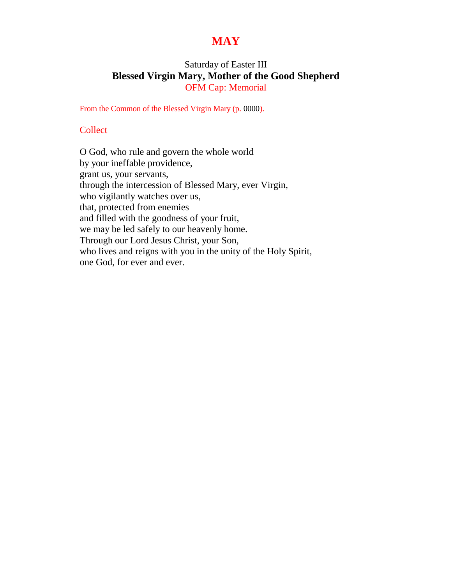#### **MAY**

#### Saturday of Easter III **Blessed Virgin Mary, Mother of the Good Shepherd** OFM Cap: Memorial

From the Common of the Blessed Virgin Mary (p. 0000).

#### **Collect**

O God, who rule and govern the whole world by your ineffable providence, grant us, your servants, through the intercession of Blessed Mary, ever Virgin, who vigilantly watches over us, that, protected from enemies and filled with the goodness of your fruit, we may be led safely to our heavenly home. Through our Lord Jesus Christ, your Son, who lives and reigns with you in the unity of the Holy Spirit, one God, for ever and ever.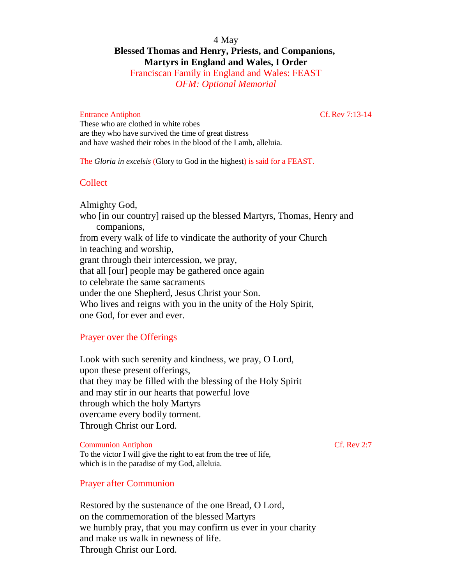#### 4 May **Blessed Thomas and Henry, Priests, and Companions, Martyrs in England and Wales, I Order**

Franciscan Family in England and Wales: FEAST *OFM: Optional Memorial*

#### Entrance Antiphon Cf. Rev 7:13-14

These who are clothed in white robes are they who have survived the time of great distress and have washed their robes in the blood of the Lamb, alleluia.

The *Gloria in excelsis* (Glory to God in the highest) is said for a FEAST.

#### **Collect**

Almighty God, who [in our country] raised up the blessed Martyrs, Thomas, Henry and companions, from every walk of life to vindicate the authority of your Church in teaching and worship, grant through their intercession, we pray, that all [our] people may be gathered once again to celebrate the same sacraments under the one Shepherd, Jesus Christ your Son. Who lives and reigns with you in the unity of the Holy Spirit, one God, for ever and ever.

#### Prayer over the Offerings

Look with such serenity and kindness, we pray, O Lord, upon these present offerings, that they may be filled with the blessing of the Holy Spirit and may stir in our hearts that powerful love through which the holy Martyrs overcame every bodily torment. Through Christ our Lord.

Communion Antiphon Cf. Rev 2:7 To the victor I will give the right to eat from the tree of life, which is in the paradise of my God, alleluia.

#### Prayer after Communion

Restored by the sustenance of the one Bread, O Lord, on the commemoration of the blessed Martyrs we humbly pray, that you may confirm us ever in your charity and make us walk in newness of life. Through Christ our Lord.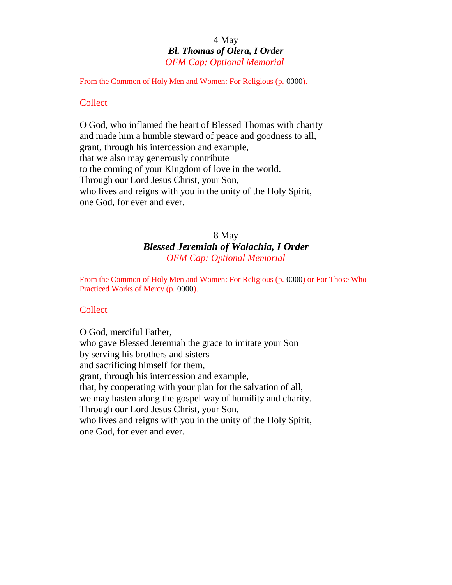#### 4 May *Bl. Thomas of Olera, I Order OFM Cap: Optional Memorial*

From the Common of Holy Men and Women: For Religious (p. 0000).

#### **Collect**

O God, who inflamed the heart of Blessed Thomas with charity and made him a humble steward of peace and goodness to all, grant, through his intercession and example, that we also may generously contribute to the coming of your Kingdom of love in the world. Through our Lord Jesus Christ, your Son, who lives and reigns with you in the unity of the Holy Spirit, one God, for ever and ever.

#### 8 May *Blessed Jeremiah of Walachia, I Order OFM Cap: Optional Memorial*

From the Common of Holy Men and Women: For Religious (p. 0000) or For Those Who Practiced Works of Mercy (p. 0000).

#### **Collect**

O God, merciful Father, who gave Blessed Jeremiah the grace to imitate your Son by serving his brothers and sisters and sacrificing himself for them, grant, through his intercession and example, that, by cooperating with your plan for the salvation of all, we may hasten along the gospel way of humility and charity. Through our Lord Jesus Christ, your Son, who lives and reigns with you in the unity of the Holy Spirit, one God, for ever and ever.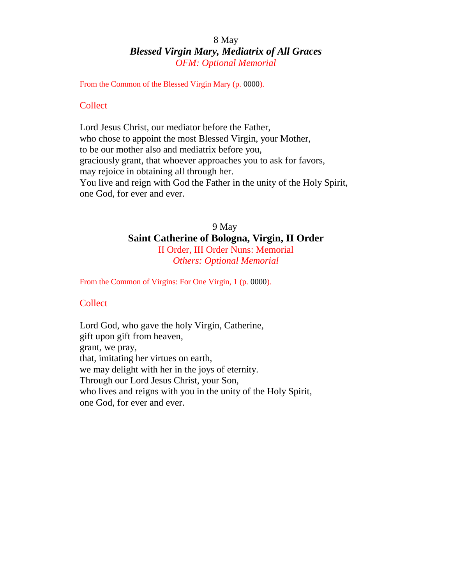# 8 May *Blessed Virgin Mary, Mediatrix of All Graces OFM: Optional Memorial*

From the Common of the Blessed Virgin Mary (p. 0000).

#### **Collect**

Lord Jesus Christ, our mediator before the Father, who chose to appoint the most Blessed Virgin, your Mother, to be our mother also and mediatrix before you, graciously grant, that whoever approaches you to ask for favors, may rejoice in obtaining all through her. You live and reign with God the Father in the unity of the Holy Spirit, one God, for ever and ever.

# 9 May **Saint Catherine of Bologna, Virgin, II Order** II Order, III Order Nuns: Memorial *Others: Optional Memorial*

From the Common of Virgins: For One Virgin, 1 (p. 0000).

#### **Collect**

Lord God, who gave the holy Virgin, Catherine, gift upon gift from heaven, grant, we pray, that, imitating her virtues on earth, we may delight with her in the joys of eternity. Through our Lord Jesus Christ, your Son, who lives and reigns with you in the unity of the Holy Spirit, one God, for ever and ever.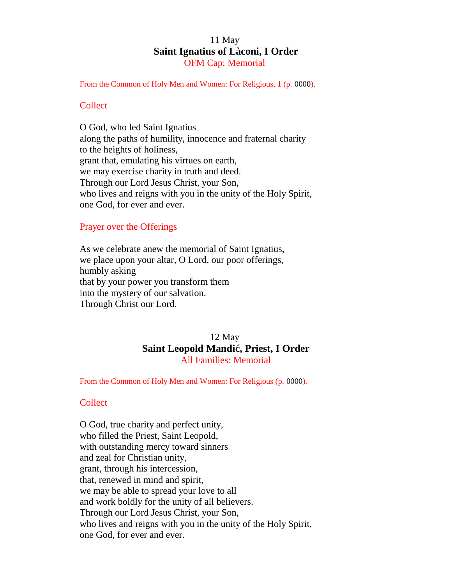# 11 May **Saint Ignatius of Làconi, I Order** OFM Cap: Memorial

From the Common of Holy Men and Women: For Religious, 1 (p. 0000).

#### **Collect**

O God, who led Saint Ignatius along the paths of humility, innocence and fraternal charity to the heights of holiness, grant that, emulating his virtues on earth, we may exercise charity in truth and deed. Through our Lord Jesus Christ, your Son, who lives and reigns with you in the unity of the Holy Spirit, one God, for ever and ever.

#### Prayer over the Offerings

As we celebrate anew the memorial of Saint Ignatius, we place upon your altar, O Lord, our poor offerings, humbly asking that by your power you transform them into the mystery of our salvation. Through Christ our Lord.

# 12 May **Saint Leopold Mandi , Priest, I Order** All Families: Memorial

From the Common of Holy Men and Women: For Religious (p. 0000).

#### Collect

O God, true charity and perfect unity, who filled the Priest, Saint Leopold, with outstanding mercy toward sinners and zeal for Christian unity, grant, through his intercession, that, renewed in mind and spirit, we may be able to spread your love to all and work boldly for the unity of all believers. Through our Lord Jesus Christ, your Son, who lives and reigns with you in the unity of the Holy Spirit, one God, for ever and ever.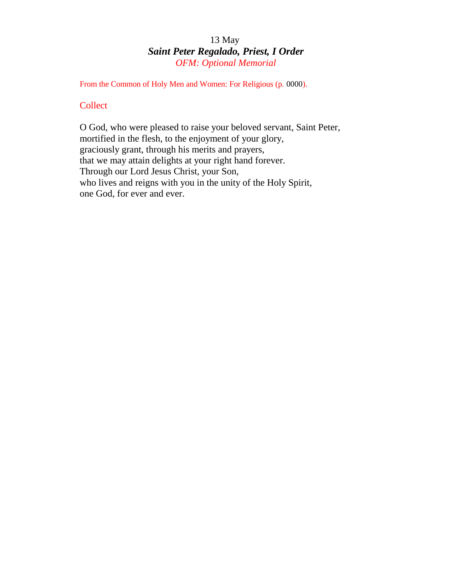# 13 May *Saint Peter Regalado, Priest, I Order OFM: Optional Memorial*

From the Common of Holy Men and Women: For Religious (p. 0000).

# **Collect**

O God, who were pleased to raise your beloved servant, Saint Peter, mortified in the flesh, to the enjoyment of your glory, graciously grant, through his merits and prayers, that we may attain delights at your right hand forever. Through our Lord Jesus Christ, your Son, who lives and reigns with you in the unity of the Holy Spirit, one God, for ever and ever.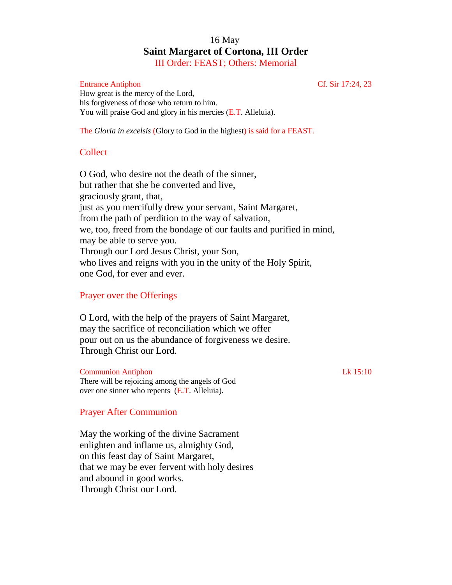# 16 May **Saint Margaret of Cortona, III Order** III Order: FEAST; Others: Memorial

#### Entrance Antiphon Cf. Sir 17:24, 23

How great is the mercy of the Lord, his forgiveness of those who return to him. You will praise God and glory in his mercies (E.T. Alleluia).

The *Gloria in excelsis* (Glory to God in the highest) is said for a FEAST.

# **Collect**

O God, who desire not the death of the sinner, but rather that she be converted and live, graciously grant, that, just as you mercifully drew your servant, Saint Margaret, from the path of perdition to the way of salvation, we, too, freed from the bondage of our faults and purified in mind, may be able to serve you. Through our Lord Jesus Christ, your Son, who lives and reigns with you in the unity of the Holy Spirit, one God, for ever and ever.

## Prayer over the Offerings

O Lord, with the help of the prayers of Saint Margaret, may the sacrifice of reconciliation which we offer pour out on us the abundance of forgiveness we desire. Through Christ our Lord.

#### Communion Antiphon Lk 15:10

There will be rejoicing among the angels of God over one sinner who repents (E.T. Alleluia).

#### Prayer After Communion

May the working of the divine Sacrament enlighten and inflame us, almighty God, on this feast day of Saint Margaret, that we may be ever fervent with holy desires and abound in good works. Through Christ our Lord.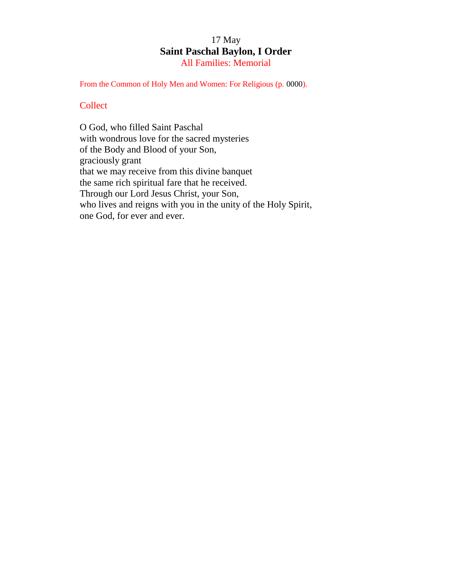# 17 May **Saint Paschal Baylon, I Order** All Families: Memorial

From the Common of Holy Men and Women: For Religious (p. 0000).

## **Collect**

O God, who filled Saint Paschal with wondrous love for the sacred mysteries of the Body and Blood of your Son, graciously grant that we may receive from this divine banquet the same rich spiritual fare that he received. Through our Lord Jesus Christ, your Son, who lives and reigns with you in the unity of the Holy Spirit, one God, for ever and ever.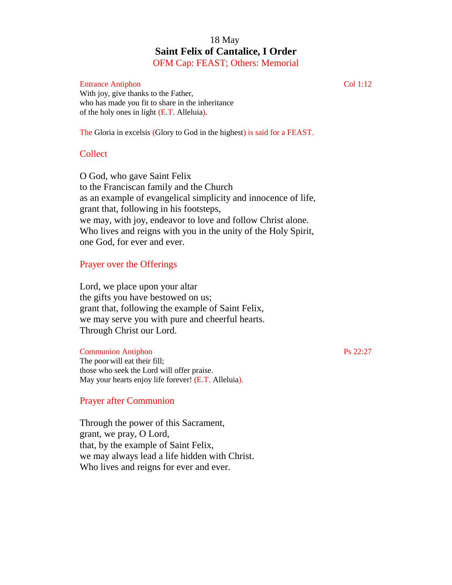# 18 May **Saint Felix of Cantalice, I Order** OFM Cap: FEAST; Others: Memorial

#### Entrance Antiphon Col 1:12

With joy, give thanks to the Father, who has made you fit to share in the inheritance of the holy ones in light (E.T. Alleluia).

The Gloria in excelsis (Glory to God in the highest) is said for a FEAST.

# Collect

O God, who gave Saint Felix to the Franciscan family and the Church as an example of evangelical simplicity and innocence of life, grant that, following in his footsteps, we may, with joy, endeavor to love and follow Christ alone. Who lives and reigns with you in the unity of the Holy Spirit, one God, for ever and ever.

# Prayer over the Offerings

Lord, we place upon your altar the gifts you have bestowed on us; grant that, following the example of Saint Felix, we may serve you with pure and cheerful hearts. Through Christ our Lord.

#### **Communion Antiphon** Ps 22:27

The poor will eat their fill; those who seek the Lord will offer praise. May your hearts enjoy life forever! (E.T. Alleluia).

#### Prayer after Communion

Through the power of this Sacrament, grant, we pray, O Lord, that, by the example of Saint Felix, we may always lead a life hidden with Christ. Who lives and reigns for ever and ever.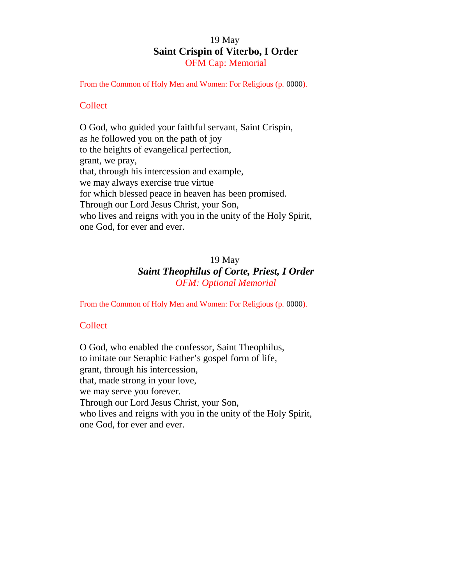# 19 May **Saint Crispin of Viterbo, I Order** OFM Cap: Memorial

From the Common of Holy Men and Women: For Religious (p. 0000).

#### **Collect**

O God, who guided your faithful servant, Saint Crispin, as he followed you on the path of joy to the heights of evangelical perfection, grant, we pray, that, through his intercession and example, we may always exercise true virtue for which blessed peace in heaven has been promised. Through our Lord Jesus Christ, your Son, who lives and reigns with you in the unity of the Holy Spirit, one God, for ever and ever.

# 19 May *Saint Theophilus of Corte, Priest, I Order OFM: Optional Memorial*

From the Common of Holy Men and Women: For Religious (p. 0000).

#### **Collect**

O God, who enabled the confessor, Saint Theophilus, to imitate our Seraphic Father's gospel form of life, grant, through his intercession, that, made strong in your love, we may serve you forever. Through our Lord Jesus Christ, your Son, who lives and reigns with you in the unity of the Holy Spirit, one God, for ever and ever.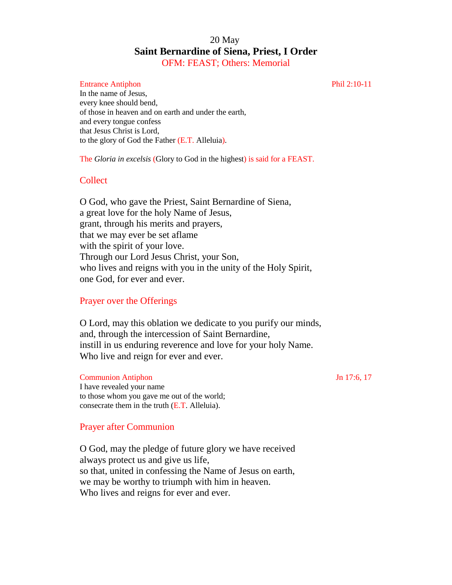# 20 May **Saint Bernardine of Siena, Priest, I Order** OFM: FEAST; Others: Memorial

#### Entrance Antiphon Phil 2:10-11

In the name of Jesus, every knee should bend, of those in heaven and on earth and under the earth, and every tongue confess that Jesus Christ is Lord, to the glory of God the Father (E.T. Alleluia).

The *Gloria in excelsis* (Glory to God in the highest) is said for a FEAST.

#### Collect

O God, who gave the Priest, Saint Bernardine of Siena, a great love for the holy Name of Jesus, grant, through his merits and prayers, that we may ever be set aflame with the spirit of your love. Through our Lord Jesus Christ, your Son, who lives and reigns with you in the unity of the Holy Spirit, one God, for ever and ever.

#### Prayer over the Offerings

O Lord, may this oblation we dedicate to you purify our minds, and, through the intercession of Saint Bernardine, instill in us enduring reverence and love for your holy Name. Who live and reign for ever and ever.

Communion Antiphon Jn 17:6, 17

I have revealed your name to those whom you gave me out of the world; consecrate them in the truth (E.T. Alleluia).

#### Prayer after Communion

O God, may the pledge of future glory we have received always protect us and give us life, so that, united in confessing the Name of Jesus on earth, we may be worthy to triumph with him in heaven. Who lives and reigns for ever and ever.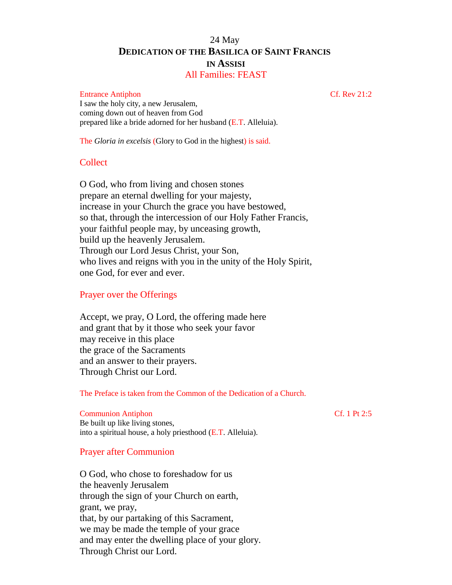# 24 May **DEDICATION OF THE BASILICA OF SAINT FRANCIS IN ASSISI**

# All Families: FEAST

#### Entrance Antiphon Cf. Rev 21:2

I saw the holy city, a new Jerusalem, coming down out of heaven from God prepared like a bride adorned for her husband (E.T. Alleluia).

The *Gloria in excelsis* (Glory to God in the highest) is said.

#### Collect

O God, who from living and chosen stones prepare an eternal dwelling for your majesty, increase in your Church the grace you have bestowed, so that, through the intercession of our Holy Father Francis, your faithful people may, by unceasing growth, build up the heavenly Jerusalem. Through our Lord Jesus Christ, your Son, who lives and reigns with you in the unity of the Holy Spirit, one God, for ever and ever.

#### Prayer over the Offerings

Accept, we pray, O Lord, the offering made here and grant that by it those who seek your favor may receive in this place the grace of the Sacraments and an answer to their prayers. Through Christ our Lord.

The Preface is taken from the Common of the Dedication of a Church.

#### Communion Antiphon Cf. 1 Pt 2:5

Be built up like living stones, into a spiritual house, a holy priesthood (E.T. Alleluia).

#### Prayer after Communion

O God, who chose to foreshadow for us the heavenly Jerusalem through the sign of your Church on earth, grant, we pray, that, by our partaking of this Sacrament, we may be made the temple of your grace and may enter the dwelling place of your glory. Through Christ our Lord.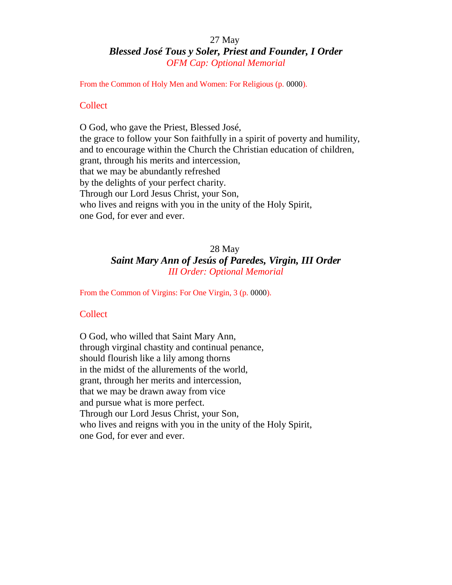# 27 May *Blessed José Tous y Soler, Priest and Founder, I Order OFM Cap: Optional Memorial*

From the Common of Holy Men and Women: For Religious (p. 0000).

#### **Collect**

O God, who gave the Priest, Blessed José, the grace to follow your Son faithfully in a spirit of poverty and humility, and to encourage within the Church the Christian education of children, grant, through his merits and intercession, that we may be abundantly refreshed by the delights of your perfect charity. Through our Lord Jesus Christ, your Son, who lives and reigns with you in the unity of the Holy Spirit, one God, for ever and ever.

# 28 May *Saint Mary Ann of Jesús of Paredes, Virgin, III Order III Order: Optional Memorial*

From the Common of Virgins: For One Virgin, 3 (p. 0000).

#### Collect

O God, who willed that Saint Mary Ann, through virginal chastity and continual penance, should flourish like a lily among thorns in the midst of the allurements of the world, grant, through her merits and intercession, that we may be drawn away from vice and pursue what is more perfect. Through our Lord Jesus Christ, your Son, who lives and reigns with you in the unity of the Holy Spirit, one God, for ever and ever.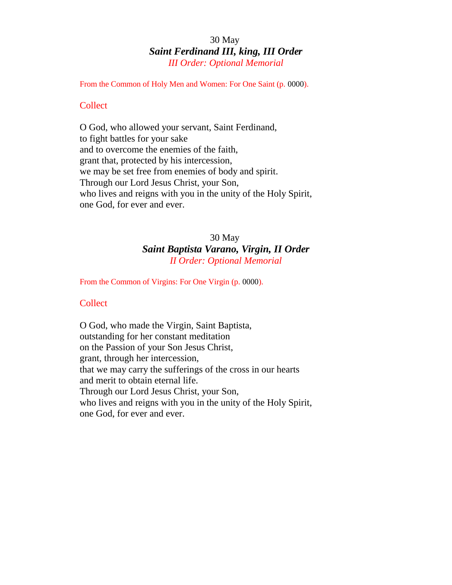# 30 May *Saint Ferdinand III, king, III Order III Order: Optional Memorial*

From the Common of Holy Men and Women: For One Saint (p. 0000).

#### **Collect**

O God, who allowed your servant, Saint Ferdinand, to fight battles for your sake and to overcome the enemies of the faith, grant that, protected by his intercession, we may be set free from enemies of body and spirit. Through our Lord Jesus Christ, your Son, who lives and reigns with you in the unity of the Holy Spirit, one God, for ever and ever.

# 30 May *Saint Baptista Varano, Virgin, II Order II Order: Optional Memorial*

From the Common of Virgins: For One Virgin (p. 0000).

#### **Collect**

O God, who made the Virgin, Saint Baptista, outstanding for her constant meditation on the Passion of your Son Jesus Christ, grant, through her intercession, that we may carry the sufferings of the cross in our hearts and merit to obtain eternal life. Through our Lord Jesus Christ, your Son, who lives and reigns with you in the unity of the Holy Spirit, one God, for ever and ever.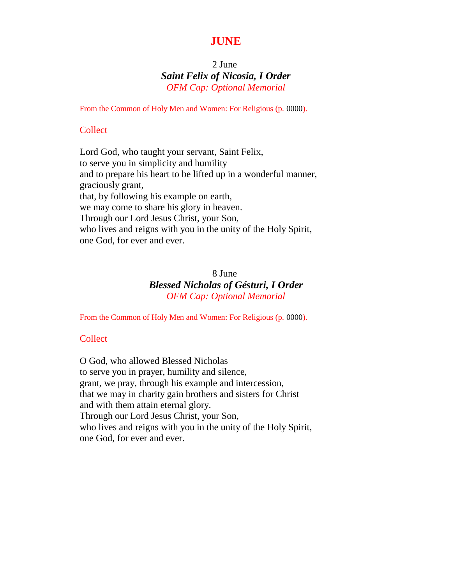# **JUNE**

# 2 June *Saint Felix of Nicosia, I Order OFM Cap: Optional Memorial*

From the Common of Holy Men and Women: For Religious (p. 0000).

#### **Collect**

Lord God, who taught your servant, Saint Felix, to serve you in simplicity and humility and to prepare his heart to be lifted up in a wonderful manner, graciously grant, that, by following his example on earth, we may come to share his glory in heaven. Through our Lord Jesus Christ, your Son, who lives and reigns with you in the unity of the Holy Spirit, one God, for ever and ever.

# 8 June *Blessed Nicholas of Gésturi, I Order OFM Cap: Optional Memorial*

From the Common of Holy Men and Women: For Religious (p. 0000).

## **Collect**

O God, who allowed Blessed Nicholas to serve you in prayer, humility and silence, grant, we pray, through his example and intercession, that we may in charity gain brothers and sisters for Christ and with them attain eternal glory. Through our Lord Jesus Christ, your Son, who lives and reigns with you in the unity of the Holy Spirit, one God, for ever and ever.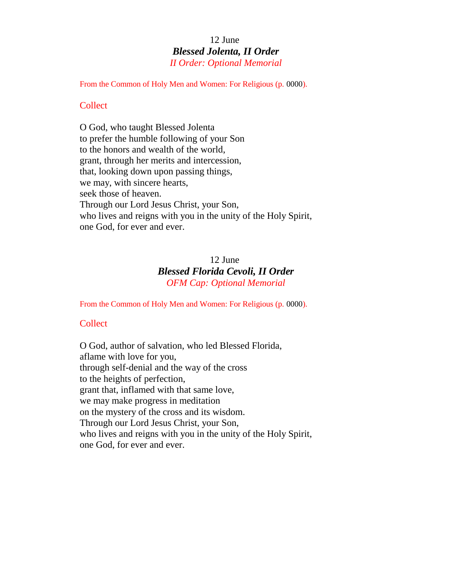# 12 June *Blessed Jolenta, II Order II Order: Optional Memorial*

From the Common of Holy Men and Women: For Religious (p. 0000).

#### **Collect**

O God, who taught Blessed Jolenta to prefer the humble following of your Son to the honors and wealth of the world, grant, through her merits and intercession, that, looking down upon passing things, we may, with sincere hearts, seek those of heaven. Through our Lord Jesus Christ, your Son, who lives and reigns with you in the unity of the Holy Spirit, one God, for ever and ever.

# 12 June *Blessed Florida Cevoli, II Order OFM Cap: Optional Memorial*

From the Common of Holy Men and Women: For Religious (p. 0000).

#### **Collect**

O God, author of salvation, who led Blessed Florida, aflame with love for you, through self-denial and the way of the cross to the heights of perfection, grant that, inflamed with that same love, we may make progress in meditation on the mystery of the cross and its wisdom. Through our Lord Jesus Christ, your Son, who lives and reigns with you in the unity of the Holy Spirit, one God, for ever and ever.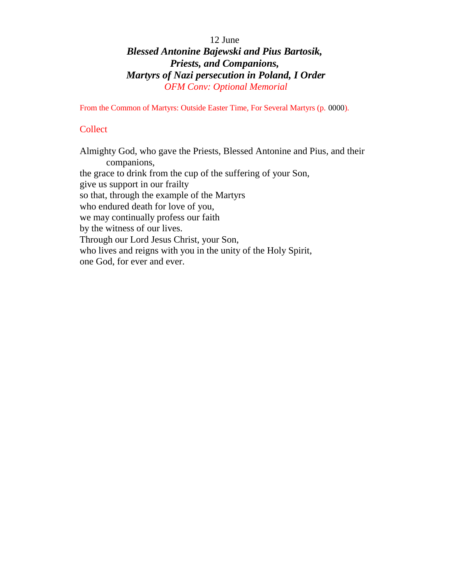# 12 June *Blessed Antonine Bajewski and Pius Bartosik, Priests, and Companions, Martyrs of Nazi persecution in Poland, I Order OFM Conv: Optional Memorial*

From the Common of Martyrs: Outside Easter Time, For Several Martyrs (p. 0000).

# **Collect**

Almighty God, who gave the Priests, Blessed Antonine and Pius, and their companions, the grace to drink from the cup of the suffering of your Son, give us support in our frailty so that, through the example of the Martyrs who endured death for love of you, we may continually profess our faith by the witness of our lives. Through our Lord Jesus Christ, your Son, who lives and reigns with you in the unity of the Holy Spirit, one God, for ever and ever.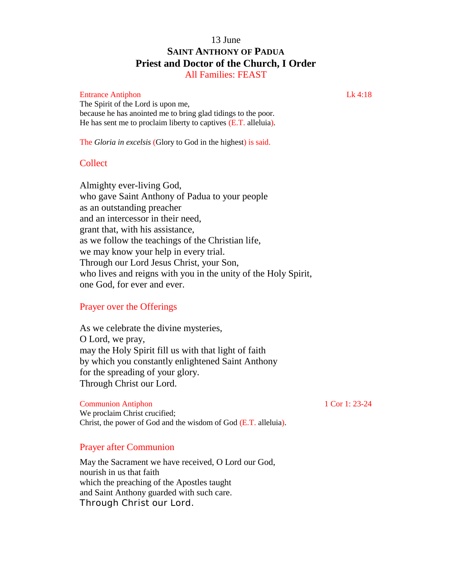# 13 June **SAINT ANTHONY OF PADUA Priest and Doctor of the Church, I Order**

All Families: FEAST

#### Entrance Antiphon Lk 4:18

The Spirit of the Lord is upon me, because he has anointed me to bring glad tidings to the poor. He has sent me to proclaim liberty to captives (E.T. alleluia).

The *Gloria in excelsis* (Glory to God in the highest) is said.

# **Collect**

Almighty ever-living God, who gave Saint Anthony of Padua to your people as an outstanding preacher and an intercessor in their need, grant that, with his assistance, as we follow the teachings of the Christian life, we may know your help in every trial. Through our Lord Jesus Christ, your Son, who lives and reigns with you in the unity of the Holy Spirit, one God, for ever and ever.

#### Prayer over the Offerings

As we celebrate the divine mysteries, O Lord, we pray, may the Holy Spirit fill us with that light of faith by which you constantly enlightened Saint Anthony for the spreading of your glory. Through Christ our Lord.

#### Communion Antiphon 1 Cor 1: 23-24

We proclaim Christ crucified; Christ, the power of God and the wisdom of God (E.T. alleluia).

#### Prayer after Communion

May the Sacrament we have received, O Lord our God, nourish in us that faith which the preaching of the Apostles taught and Saint Anthony guarded with such care. Through Christ our Lord.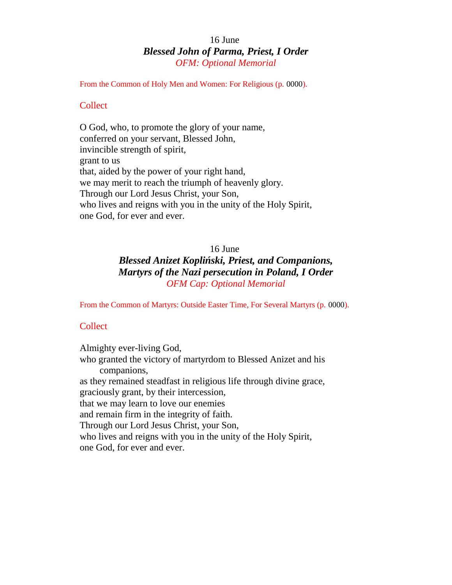# 16 June *Blessed John of Parma, Priest, I Order OFM: Optional Memorial*

From the Common of Holy Men and Women: For Religious (p. 0000).

#### **Collect**

O God, who, to promote the glory of your name, conferred on your servant, Blessed John, invincible strength of spirit, grant to us that, aided by the power of your right hand, we may merit to reach the triumph of heavenly glory. Through our Lord Jesus Christ, your Son, who lives and reigns with you in the unity of the Holy Spirit, one God, for ever and ever.

# 16 June

# *Blessed Anizet Kopli ski, Priest, and Companions, Martyrs of the Nazi persecution in Poland, I Order OFM Cap: Optional Memorial*

From the Common of Martyrs: Outside Easter Time, For Several Martyrs (p. 0000).

#### **Collect**

Almighty ever-living God, who granted the victory of martyrdom to Blessed Anizet and his companions, as they remained steadfast in religious life through divine grace, graciously grant, by their intercession, that we may learn to love our enemies and remain firm in the integrity of faith. Through our Lord Jesus Christ, your Son, who lives and reigns with you in the unity of the Holy Spirit, one God, for ever and ever.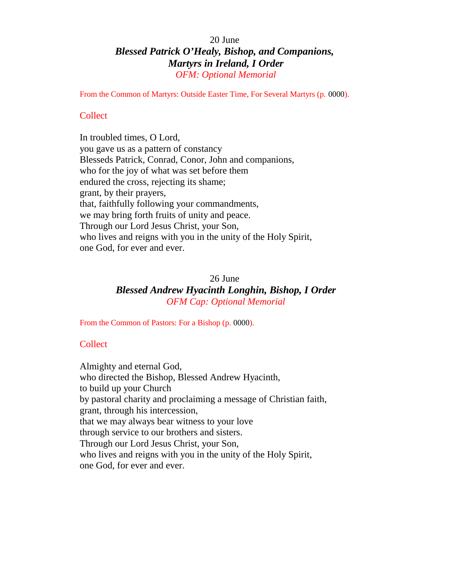# 20 June *Blessed Patrick O'Healy, Bishop, and Companions, Martyrs in Ireland, I Order OFM: Optional Memorial*

From the Common of Martyrs: Outside Easter Time, For Several Martyrs (p. 0000).

# **Collect**

In troubled times, O Lord, you gave us as a pattern of constancy Blesseds Patrick, Conrad, Conor, John and companions, who for the joy of what was set before them endured the cross, rejecting its shame; grant, by their prayers, that, faithfully following your commandments, we may bring forth fruits of unity and peace. Through our Lord Jesus Christ, your Son, who lives and reigns with you in the unity of the Holy Spirit, one God, for ever and ever.

#### 26 June

# *Blessed Andrew Hyacinth Longhin, Bishop, I Order OFM Cap: Optional Memorial*

From the Common of Pastors: For a Bishop (p. 0000).

# **Collect**

Almighty and eternal God, who directed the Bishop, Blessed Andrew Hyacinth, to build up your Church by pastoral charity and proclaiming a message of Christian faith, grant, through his intercession, that we may always bear witness to your love through service to our brothers and sisters. Through our Lord Jesus Christ, your Son, who lives and reigns with you in the unity of the Holy Spirit, one God, for ever and ever.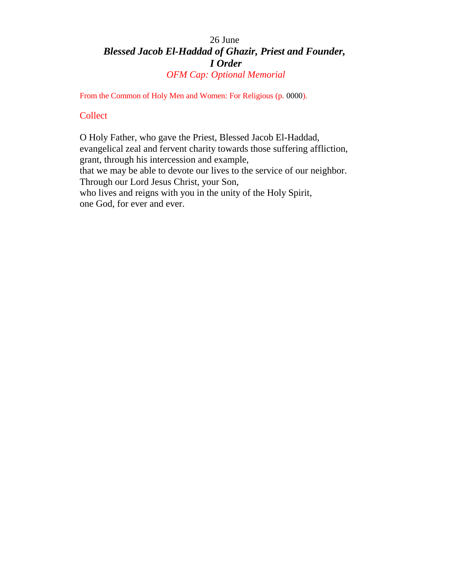# 26 June *Blessed Jacob El-Haddad of Ghazir, Priest and Founder, I Order OFM Cap: Optional Memorial*

From the Common of Holy Men and Women: For Religious (p. 0000).

## **Collect**

O Holy Father, who gave the Priest, Blessed Jacob El-Haddad, evangelical zeal and fervent charity towards those suffering affliction, grant, through his intercession and example, that we may be able to devote our lives to the service of our neighbor. Through our Lord Jesus Christ, your Son, who lives and reigns with you in the unity of the Holy Spirit, one God, for ever and ever.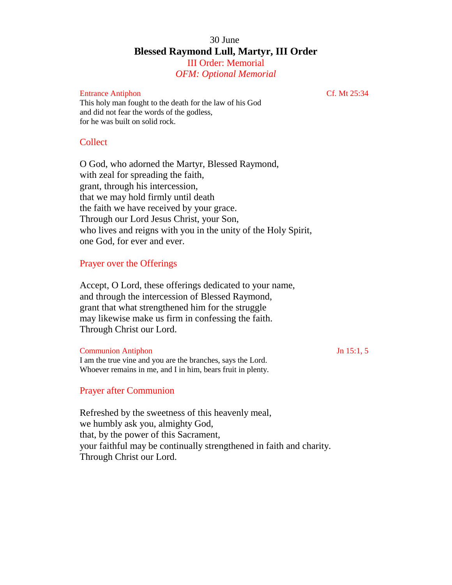# 30 June **Blessed Raymond Lull, Martyr, III Order** III Order: Memorial

*OFM: Optional Memorial*

#### Entrance Antiphon Cf. Mt 25:34

This holy man fought to the death for the law of his God and did not fear the words of the godless, for he was built on solid rock.

### **Collect**

O God, who adorned the Martyr, Blessed Raymond, with zeal for spreading the faith, grant, through his intercession, that we may hold firmly until death the faith we have received by your grace. Through our Lord Jesus Christ, your Son, who lives and reigns with you in the unity of the Holy Spirit, one God, for ever and ever.

#### Prayer over the Offerings

Accept, O Lord, these offerings dedicated to your name, and through the intercession of Blessed Raymond, grant that what strengthened him for the struggle may likewise make us firm in confessing the faith. Through Christ our Lord.

Whoever remains in me, and I in him, bears fruit in plenty.

| <b>Communion Antiphon</b>                                   | Jn $15:1, 5$ |
|-------------------------------------------------------------|--------------|
| I am the true vine and you are the branches, says the Lord. |              |

#### Prayer after Communion

Refreshed by the sweetness of this heavenly meal, we humbly ask you, almighty God, that, by the power of this Sacrament, your faithful may be continually strengthened in faith and charity. Through Christ our Lord.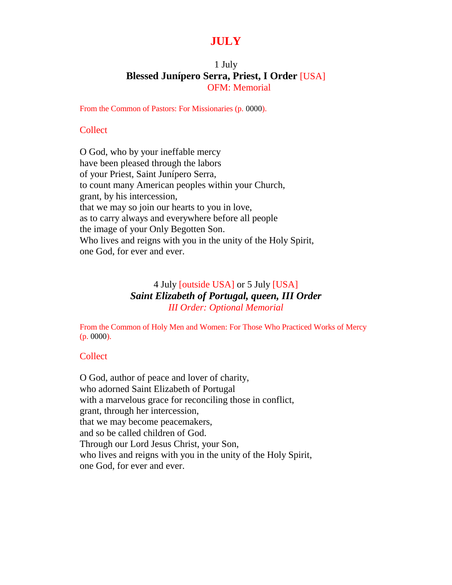# **JULY**

# 1 July **Blessed Junípero Serra, Priest, I Order** [USA] OFM: Memorial

From the Common of Pastors: For Missionaries (p. 0000).

#### **Collect**

O God, who by your ineffable mercy have been pleased through the labors of your Priest, Saint Junípero Serra, to count many American peoples within your Church, grant, by his intercession, that we may so join our hearts to you in love, as to carry always and everywhere before all people the image of your Only Begotten Son. Who lives and reigns with you in the unity of the Holy Spirit, one God, for ever and ever.

# 4 July [outside USA] or 5 July [USA] *Saint Elizabeth of Portugal, queen, III Order III Order: Optional Memorial*

From the Common of Holy Men and Women: For Those Who Practiced Works of Mercy (p. 0000).

## **Collect Collect**

O God, author of peace and lover of charity, who adorned Saint Elizabeth of Portugal with a marvelous grace for reconciling those in conflict, grant, through her intercession, that we may become peacemakers, and so be called children of God. Through our Lord Jesus Christ, your Son, who lives and reigns with you in the unity of the Holy Spirit, one God, for ever and ever.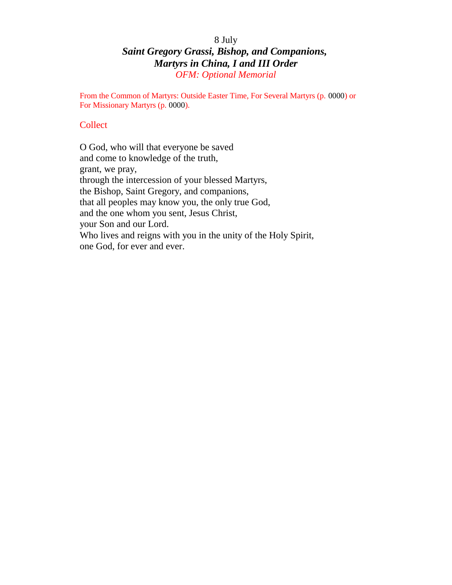# 8 July *Saint Gregory Grassi, Bishop, and Companions, Martyrs in China, I and III Order OFM: Optional Memorial*

From the Common of Martyrs: Outside Easter Time, For Several Martyrs (p. 0000) or For Missionary Martyrs (p. 0000).

### **Collect**

O God, who will that everyone be saved and come to knowledge of the truth, grant, we pray, through the intercession of your blessed Martyrs, the Bishop, Saint Gregory, and companions, that all peoples may know you, the only true God, and the one whom you sent, Jesus Christ, your Son and our Lord. Who lives and reigns with you in the unity of the Holy Spirit, one God, for ever and ever.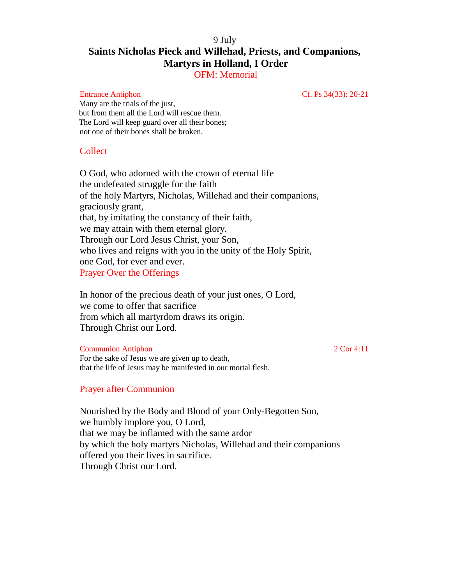# 9 July **Saints Nicholas Pieck and Willehad, Priests, and Companions, Martyrs in Holland, I Order**

OFM: Memorial

Entrance Antiphon Cf. Ps 34(33): 20-21

Many are the trials of the just, but from them all the Lord will rescue them. The Lord will keep guard over all their bones; not one of their bones shall be broken.

### Collect

O God, who adorned with the crown of eternal life the undefeated struggle for the faith of the holy Martyrs, Nicholas, Willehad and their companions, graciously grant, that, by imitating the constancy of their faith, we may attain with them eternal glory. Through our Lord Jesus Christ, your Son, who lives and reigns with you in the unity of the Holy Spirit, one God, for ever and ever. Prayer Over the Offerings

In honor of the precious death of your just ones, O Lord, we come to offer that sacrifice from which all martyrdom draws its origin. Through Christ our Lord.

Communion Antiphon 2 Cor 4:11

For the sake of Jesus we are given up to death, that the life of Jesus may be manifested in our mortal flesh.

# Prayer after Communion

Nourished by the Body and Blood of your Only-Begotten Son, we humbly implore you, O Lord, that we may be inflamed with the same ardor by which the holy martyrs Nicholas, Willehad and their companions offered you their lives in sacrifice. Through Christ our Lord.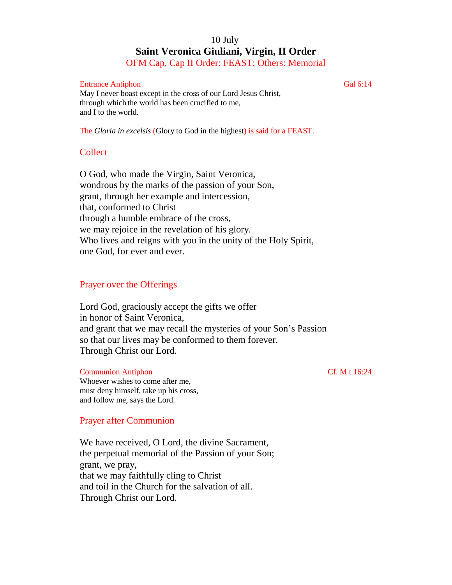# 10 July **Saint Veronica Giuliani, Virgin, II Order**

OFM Cap, Cap II Order: FEAST; Others: Memorial

#### Entrance Antiphon Gal 6:14

May I never boast except in the cross of our Lord Jesus Christ, through which the world has been crucified to me, and I to the world.

The *Gloria in excelsis* (Glory to God in the highest) is said for a FEAST.

### **Collect**

O God, who made the Virgin, Saint Veronica, wondrous by the marks of the passion of your Son, grant, through her example and intercession, that, conformed to Christ through a humble embrace of the cross, we may rejoice in the revelation of his glory. Who lives and reigns with you in the unity of the Holy Spirit, one God, for ever and ever.

### Prayer over the Offerings

Lord God, graciously accept the gifts we offer in honor of Saint Veronica, and grant that we may recall the mysteries of your Son's Passion so that our lives may be conformed to them forever. Through Christ our Lord.

#### Communion Antiphon Cf. M t 16:24

Whoever wishes to come after me, must deny himself, take up his cross, and follow me, says the Lord.

#### Prayer after Communion

We have received, O Lord, the divine Sacrament, the perpetual memorial of the Passion of your Son; grant, we pray, that we may faithfully cling to Christ and toil in the Church for the salvation of all. Through Christ our Lord.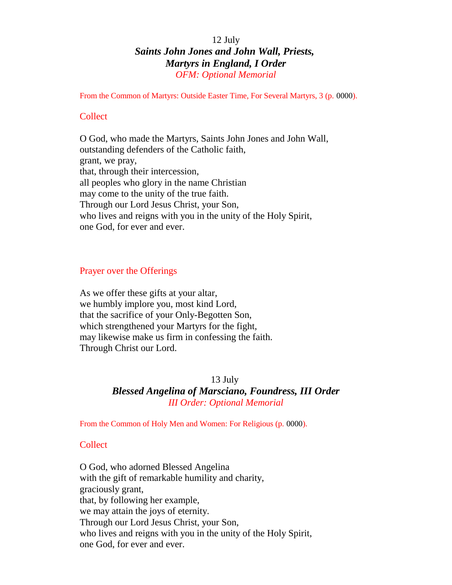# 12 July *Saints John Jones and John Wall, Priests, Martyrs in England, I Order OFM: Optional Memorial*

From the Common of Martyrs: Outside Easter Time, For Several Martyrs, 3 (p. 0000).

#### **Collect**

O God, who made the Martyrs, Saints John Jones and John Wall, outstanding defenders of the Catholic faith, grant, we pray, that, through their intercession, all peoples who glory in the name Christian may come to the unity of the true faith. Through our Lord Jesus Christ, your Son, who lives and reigns with you in the unity of the Holy Spirit, one God, for ever and ever.

#### Prayer over the Offerings

As we offer these gifts at your altar, we humbly implore you, most kind Lord, that the sacrifice of your Only-Begotten Son, which strengthened your Martyrs for the fight, may likewise make us firm in confessing the faith. Through Christ our Lord.

#### 13 July

# *Blessed Angelina of Marsciano, Foundress, III Order III Order: Optional Memorial*

From the Common of Holy Men and Women: For Religious (p. 0000).

#### Collect

O God, who adorned Blessed Angelina with the gift of remarkable humility and charity, graciously grant, that, by following her example, we may attain the joys of eternity. Through our Lord Jesus Christ, your Son, who lives and reigns with you in the unity of the Holy Spirit, one God, for ever and ever.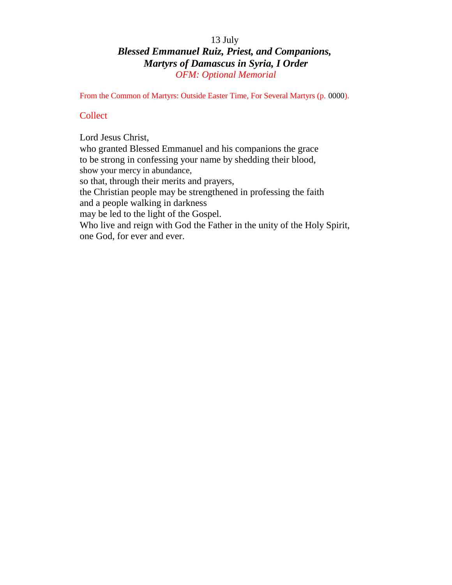# 13 July *Blessed Emmanuel Ruiz, Priest, and Companions, Martyrs of Damascus in Syria, I Order OFM: Optional Memorial*

From the Common of Martyrs: Outside Easter Time, For Several Martyrs (p. 0000).

# **Collect**

Lord Jesus Christ, who granted Blessed Emmanuel and his companions the grace to be strong in confessing your name by shedding their blood, show your mercy in abundance, so that, through their merits and prayers, the Christian people may be strengthened in professing the faith and a people walking in darkness may be led to the light of the Gospel. Who live and reign with God the Father in the unity of the Holy Spirit, one God, for ever and ever.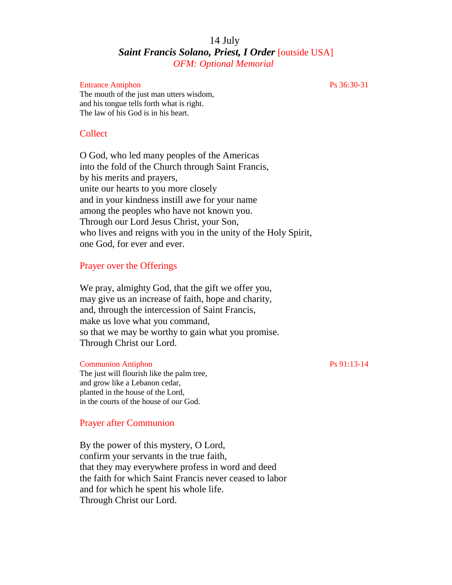# 14 July *Saint Francis Solano, Priest, I Order* [outside USA] *OFM: Optional Memorial*

#### Entrance Antiphon Ps 36:30-31

The mouth of the just man utters wisdom, and his tongue tells forth what is right. The law of his God is in his heart.

#### Collect

O God, who led many peoples of the Americas into the fold of the Church through Saint Francis, by his merits and prayers, unite our hearts to you more closely and in your kindness instill awe for your name among the peoples who have not known you. Through our Lord Jesus Christ, your Son, who lives and reigns with you in the unity of the Holy Spirit, one God, for ever and ever.

#### Prayer over the Offerings

We pray, almighty God, that the gift we offer you, may give us an increase of faith, hope and charity, and, through the intercession of Saint Francis, make us love what you command, so that we may be worthy to gain what you promise. Through Christ our Lord.

#### Communion Antiphon Ps 91:13-14

The just will flourish like the palm tree, and grow like a Lebanon cedar, planted in the house of the Lord, in the courts of the house of our God.

#### Prayer after Communion

By the power of this mystery, O Lord, confirm your servants in the true faith, that they may everywhere profess in word and deed the faith for which Saint Francis never ceased to labor and for which he spent his whole life. Through Christ our Lord.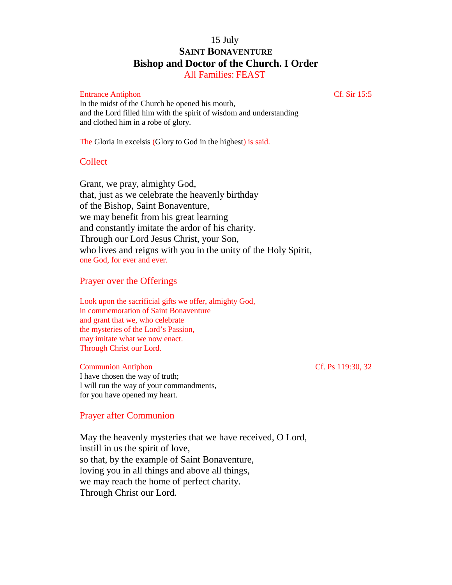# 15 July **SAINT BONAVENTURE Bishop and Doctor of the Church. I Order**

All Families: FEAST

#### Entrance Antiphon Cf. Sir 15:5

In the midst of the Church he opened his mouth, and the Lord filled him with the spirit of wisdom and understanding and clothed him in a robe of glory.

The Gloria in excelsis (Glory to God in the highest) is said.

#### **Collect**

Grant, we pray, almighty God, that, just as we celebrate the heavenly birthday of the Bishop, Saint Bonaventure, we may benefit from his great learning and constantly imitate the ardor of his charity. Through our Lord Jesus Christ, your Son, who lives and reigns with you in the unity of the Holy Spirit, one God, for ever and ever.

#### Prayer over the Offerings

Look upon the sacrificial gifts we offer, almighty God, in commemoration of Saint Bonaventure and grant that we, who celebrate the mysteries of the Lord's Passion, may imitate what we now enact. Through Christ our Lord.

#### Communion Antiphon Cf. Ps 119:30, 32

I have chosen the way of truth; I will run the way of your commandments, for you have opened my heart.

#### Prayer after Communion

May the heavenly mysteries that we have received, O Lord, instill in us the spirit of love, so that, by the example of Saint Bonaventure, loving you in all things and above all things, we may reach the home of perfect charity. Through Christ our Lord.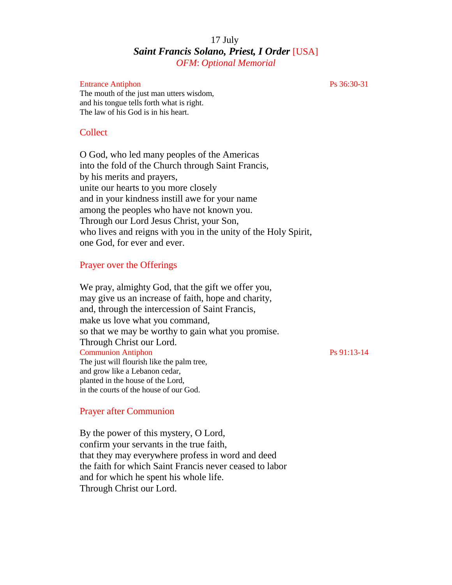# 17 July *Saint Francis Solano, Priest, I Order* [USA] *OFM*: *Optional Memorial*

#### Entrance Antiphon Ps 36:30-31

The mouth of the just man utters wisdom, and his tongue tells forth what is right. The law of his God is in his heart.

#### Collect

O God, who led many peoples of the Americas into the fold of the Church through Saint Francis, by his merits and prayers, unite our hearts to you more closely and in your kindness instill awe for your name among the peoples who have not known you. Through our Lord Jesus Christ, your Son, who lives and reigns with you in the unity of the Holy Spirit, one God, for ever and ever.

#### Prayer over the Offerings

We pray, almighty God, that the gift we offer you, may give us an increase of faith, hope and charity, and, through the intercession of Saint Francis, make us love what you command, so that we may be worthy to gain what you promise. Through Christ our Lord. Communion Antiphon Ps 91:13-14 The just will flourish like the palm tree, and grow like a Lebanon cedar, planted in the house of the Lord, in the courts of the house of our God.

#### Prayer after Communion

By the power of this mystery, O Lord, confirm your servants in the true faith, that they may everywhere profess in word and deed the faith for which Saint Francis never ceased to labor and for which he spent his whole life. Through Christ our Lord.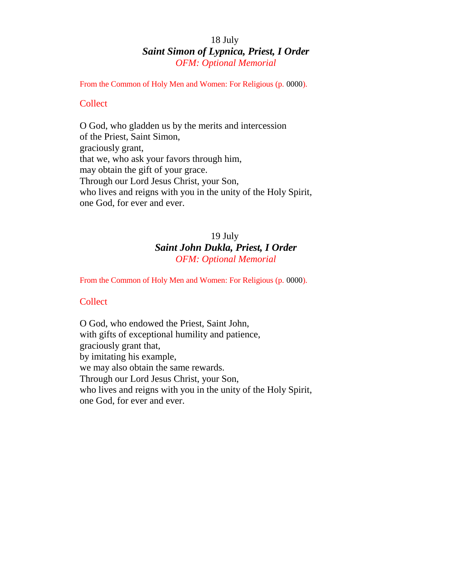# 18 July *Saint Simon of Lypnica, Priest, I Order OFM: Optional Memorial*

From the Common of Holy Men and Women: For Religious (p. 0000).

## **Collect**

O God, who gladden us by the merits and intercession of the Priest, Saint Simon, graciously grant, that we, who ask your favors through him, may obtain the gift of your grace. Through our Lord Jesus Christ, your Son, who lives and reigns with you in the unity of the Holy Spirit, one God, for ever and ever.

# 19 July *Saint John Dukla, Priest, I Order OFM: Optional Memorial*

From the Common of Holy Men and Women: For Religious (p. 0000).

#### **Collect**

O God, who endowed the Priest, Saint John, with gifts of exceptional humility and patience, graciously grant that, by imitating his example, we may also obtain the same rewards. Through our Lord Jesus Christ, your Son, who lives and reigns with you in the unity of the Holy Spirit, one God, for ever and ever.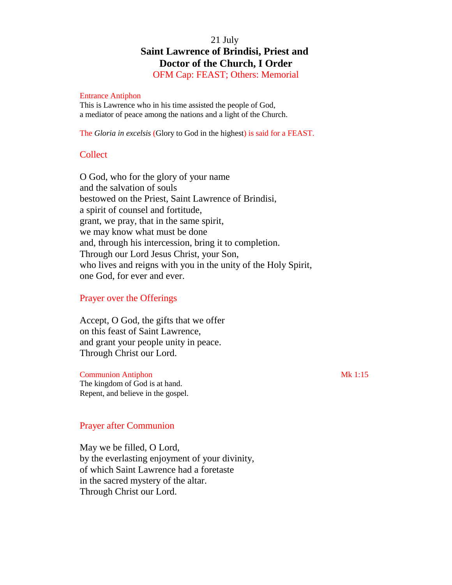# 21 July **Saint Lawrence of Brindisi, Priest and Doctor of the Church, I Order**

OFM Cap: FEAST; Others: Memorial

#### Entrance Antiphon

This is Lawrence who in his time assisted the people of God, a mediator of peace among the nations and a light of the Church.

The *Gloria in excelsis* (Glory to God in the highest) is said for a FEAST.

#### **Collect**

O God, who for the glory of your name and the salvation of souls bestowed on the Priest, Saint Lawrence of Brindisi, a spirit of counsel and fortitude, grant, we pray, that in the same spirit, we may know what must be done and, through his intercession, bring it to completion. Through our Lord Jesus Christ, your Son, who lives and reigns with you in the unity of the Holy Spirit, one God, for ever and ever.

### Prayer over the Offerings

Accept, O God, the gifts that we offer on this feast of Saint Lawrence, and grant your people unity in peace. Through Christ our Lord.

Communion Antiphon Mk 1:15 The kingdom of God is at hand. Repent, and believe in the gospel.

#### Prayer after Communion

May we be filled, O Lord, by the everlasting enjoyment of your divinity, of which Saint Lawrence had a foretaste in the sacred mystery of the altar. Through Christ our Lord.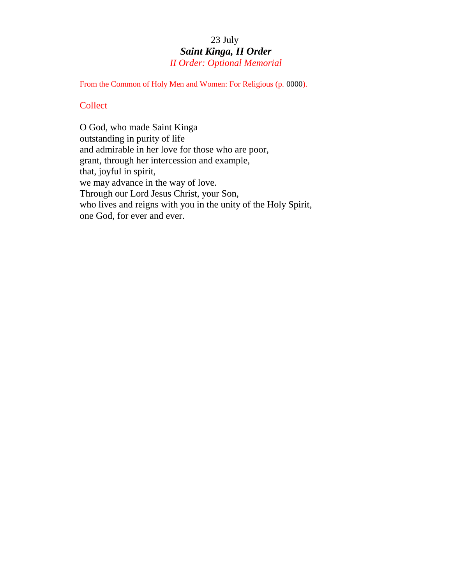# 23 July *Saint Kinga, II Order II Order: Optional Memorial*

From the Common of Holy Men and Women: For Religious (p. 0000).

### **Collect**

O God, who made Saint Kinga outstanding in purity of life and admirable in her love for those who are poor, grant, through her intercession and example, that, joyful in spirit, we may advance in the way of love. Through our Lord Jesus Christ, your Son, who lives and reigns with you in the unity of the Holy Spirit, one God, for ever and ever.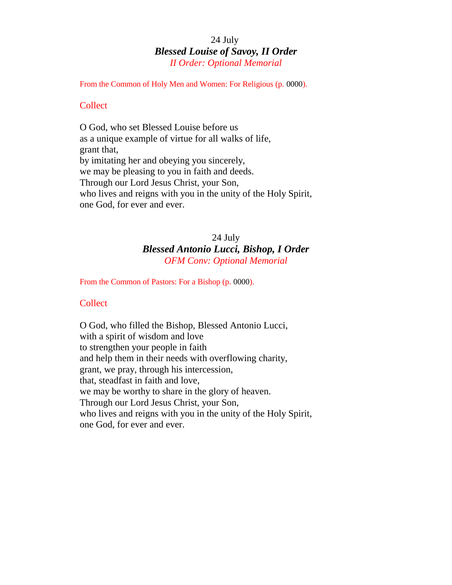# 24 July *Blessed Louise of Savoy, II Order II Order: Optional Memorial*

From the Common of Holy Men and Women: For Religious (p. 0000).

#### **Collect**

O God, who set Blessed Louise before us as a unique example of virtue for all walks of life, grant that, by imitating her and obeying you sincerely, we may be pleasing to you in faith and deeds. Through our Lord Jesus Christ, your Son, who lives and reigns with you in the unity of the Holy Spirit, one God, for ever and ever.

# 24 July *Blessed Antonio Lucci, Bishop, I Order OFM Conv: Optional Memorial*

From the Common of Pastors: For a Bishop (p. 0000).

#### **Collect**

O God, who filled the Bishop, Blessed Antonio Lucci, with a spirit of wisdom and love to strengthen your people in faith and help them in their needs with overflowing charity, grant, we pray, through his intercession, that, steadfast in faith and love, we may be worthy to share in the glory of heaven. Through our Lord Jesus Christ, your Son, who lives and reigns with you in the unity of the Holy Spirit, one God, for ever and ever.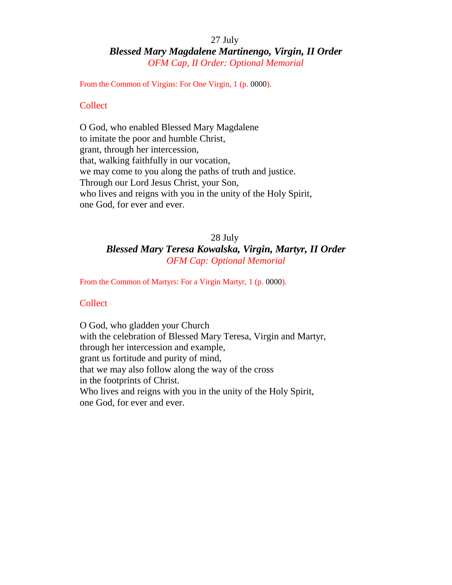# 27 July *Blessed Mary Magdalene Martinengo, Virgin, II Order OFM Cap, II Order: Optional Memorial*

From the Common of Virgins: For One Virgin, 1 (p. 0000).

#### **Collect**

O God, who enabled Blessed Mary Magdalene to imitate the poor and humble Christ, grant, through her intercession, that, walking faithfully in our vocation, we may come to you along the paths of truth and justice. Through our Lord Jesus Christ, your Son, who lives and reigns with you in the unity of the Holy Spirit, one God, for ever and ever.

# 28 July *Blessed Mary Teresa Kowalska, Virgin, Martyr, II Order OFM Cap: Optional Memorial*

From the Common of Martyrs: For a Virgin Martyr, 1 (p. 0000).

#### **Collect**

O God, who gladden your Church with the celebration of Blessed Mary Teresa, Virgin and Martyr, through her intercession and example, grant us fortitude and purity of mind, that we may also follow along the way of the cross in the footprints of Christ. Who lives and reigns with you in the unity of the Holy Spirit, one God, for ever and ever.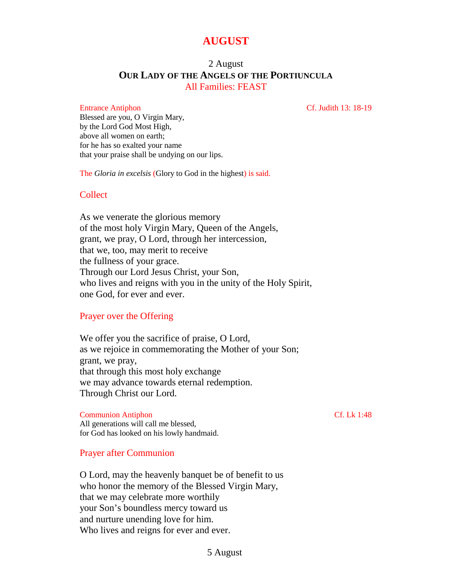# **AUGUST**

# 2 August **OUR LADY OF THE ANGELS OF THE PORTIUNCULA** All Families: FEAST

Entrance Antiphon Cf. Judith 13: 18-19

Blessed are you, O Virgin Mary, by the Lord God Most High, above all women on earth; for he has so exalted your name that your praise shall be undying on our lips.

The *Gloria in excelsis* (Glory to God in the highest) is said.

# Collect

As we venerate the glorious memory of the most holy Virgin Mary, Queen of the Angels, grant, we pray, O Lord, through her intercession, that we, too, may merit to receive the fullness of your grace. Through our Lord Jesus Christ, your Son, who lives and reigns with you in the unity of the Holy Spirit, one God, for ever and ever.

# Prayer over the Offering

We offer you the sacrifice of praise, O Lord, as we rejoice in commemorating the Mother of your Son; grant, we pray, that through this most holy exchange we may advance towards eternal redemption. Through Christ our Lord.

Communion Antiphon Cf. Lk 1:48 All generations will call me blessed, for God has looked on his lowly handmaid.

Prayer after Communion

O Lord, may the heavenly banquet be of benefit to us who honor the memory of the Blessed Virgin Mary, that we may celebrate more worthily your Son's boundless mercy toward us and nurture unending love for him. Who lives and reigns for ever and ever.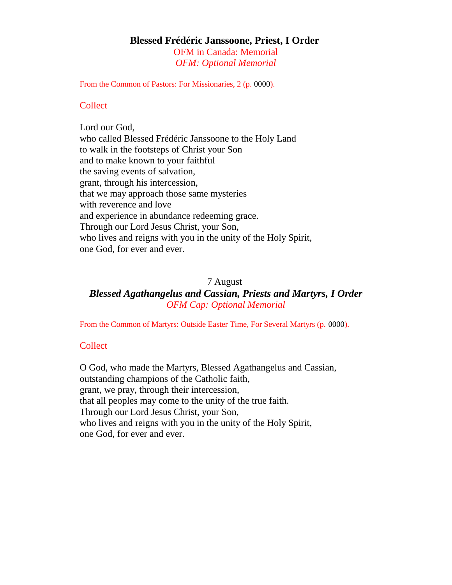#### **Blessed Frédéric Janssoone, Priest, I Order** OFM in Canada: Memorial

*OFM: Optional Memorial*

From the Common of Pastors: For Missionaries, 2 (p. 0000).

## **Collect**

Lord our God, who called Blessed Frédéric Janssoone to the Holy Land to walk in the footsteps of Christ your Son and to make known to your faithful the saving events of salvation, grant, through his intercession, that we may approach those same mysteries with reverence and love and experience in abundance redeeming grace. Through our Lord Jesus Christ, your Son, who lives and reigns with you in the unity of the Holy Spirit, one God, for ever and ever.

### 7 August

*Blessed Agathangelus and Cassian, Priests and Martyrs, I Order OFM Cap: Optional Memorial*

From the Common of Martyrs: Outside Easter Time, For Several Martyrs (p. 0000).

# **Collect**

O God, who made the Martyrs, Blessed Agathangelus and Cassian, outstanding champions of the Catholic faith, grant, we pray, through their intercession, that all peoples may come to the unity of the true faith. Through our Lord Jesus Christ, your Son, who lives and reigns with you in the unity of the Holy Spirit, one God, for ever and ever.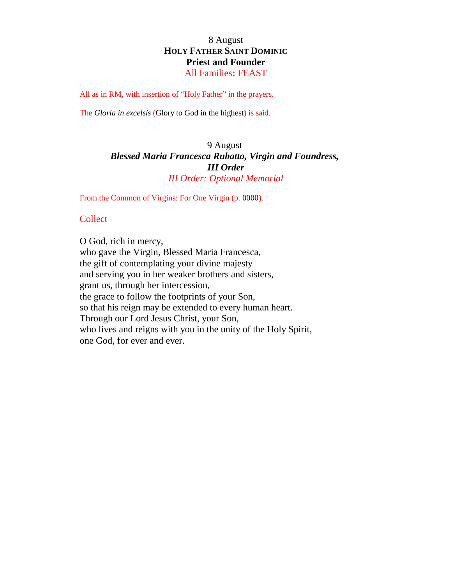# 8 August **HOLY FATHER SAINT DOMINIC Priest and Founder** All Families**:** FEAST

All as in RM, with insertion of "Holy Father" in the prayers.

The *Gloria in excelsis* (Glory to God in the highest) is said.

# 9 August *Blessed Maria Francesca Rubatto, Virgin and Foundress, III Order III Order: Optional Memorial*

From the Common of Virgins: For One Virgin (p. 0000).

#### **Collect**

O God, rich in mercy, who gave the Virgin, Blessed Maria Francesca, the gift of contemplating your divine majesty and serving you in her weaker brothers and sisters, grant us, through her intercession, the grace to follow the footprints of your Son, so that his reign may be extended to every human heart. Through our Lord Jesus Christ, your Son, who lives and reigns with you in the unity of the Holy Spirit, one God, for ever and ever.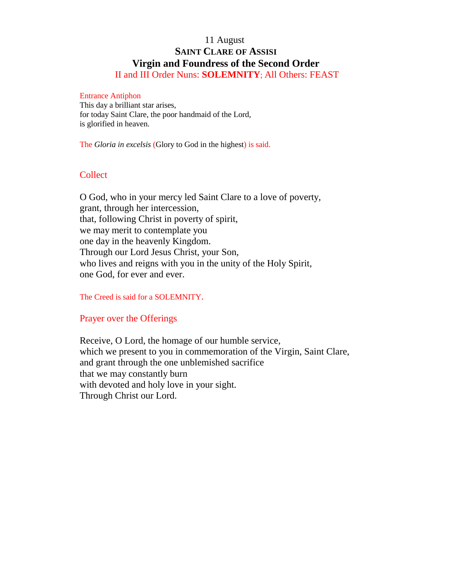# 11 August **SAINT CLARE OF ASSISI Virgin and Foundress of the Second Order**

II and III Order Nuns: **SOLEMNITY**; All Others: FEAST

#### Entrance Antiphon

This day a brilliant star arises, for today Saint Clare, the poor handmaid of the Lord, is glorified in heaven.

The *Gloria in excelsis* (Glory to God in the highest) is said.

# **Collect**

O God, who in your mercy led Saint Clare to a love of poverty, grant, through her intercession, that, following Christ in poverty of spirit, we may merit to contemplate you one day in the heavenly Kingdom. Through our Lord Jesus Christ, your Son, who lives and reigns with you in the unity of the Holy Spirit, one God, for ever and ever.

The Creed is said for a SOLEMNITY.

## Prayer over the Offerings

Receive, O Lord, the homage of our humble service, which we present to you in commemoration of the Virgin, Saint Clare, and grant through the one unblemished sacrifice that we may constantly burn with devoted and holy love in your sight. Through Christ our Lord.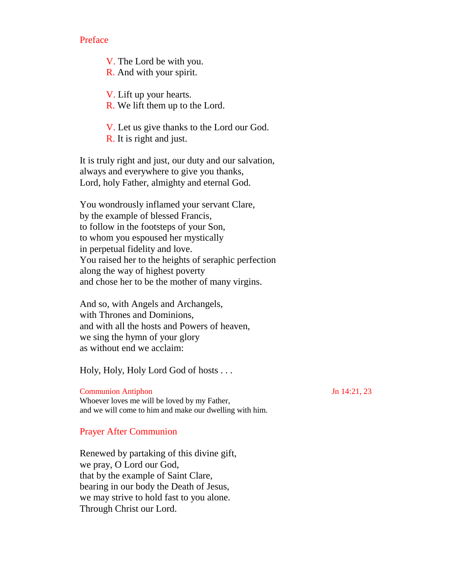Preface

V. The Lord be with you.

R. And with your spirit.

V. Lift up your hearts.

R. We lift them up to the Lord.

V. Let us give thanks to the Lord our God. R. It is right and just.

It is truly right and just, our duty and our salvation, always and everywhere to give you thanks, Lord, holy Father, almighty and eternal God.

You wondrously inflamed your servant Clare, by the example of blessed Francis, to follow in the footsteps of your Son, to whom you espoused her mystically in perpetual fidelity and love. You raised her to the heights of seraphic perfection along the way of highest poverty and chose her to be the mother of many virgins.

And so, with Angels and Archangels, with Thrones and Dominions, and with all the hosts and Powers of heaven, we sing the hymn of your glory as without end we acclaim:

Holy, Holy, Holy Lord God of hosts . . .

Communion Antiphon Jn 14:21, 23 Whoever loves me will be loved by my Father, and we will come to him and make our dwelling with him.

## Prayer After Communion

Renewed by partaking of this divine gift, we pray, O Lord our God, that by the example of Saint Clare, bearing in our body the Death of Jesus, we may strive to hold fast to you alone. Through Christ our Lord.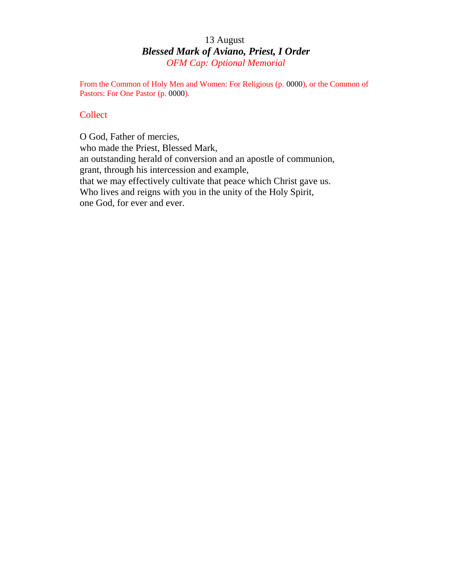# 13 August *Blessed Mark of Aviano, Priest, I Order OFM Cap: Optional Memorial*

From the Common of Holy Men and Women: For Religious (p. 0000), or the Common of Pastors: For One Pastor (p. 0000).

# **Collect**

O God, Father of mercies, who made the Priest, Blessed Mark, an outstanding herald of conversion and an apostle of communion, grant, through his intercession and example, that we may effectively cultivate that peace which Christ gave us. Who lives and reigns with you in the unity of the Holy Spirit, one God, for ever and ever.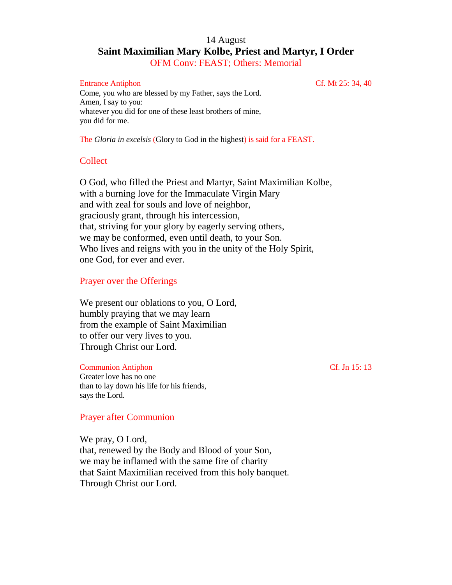# 14 August **Saint Maximilian Mary Kolbe, Priest and Martyr, I Order** OFM Conv: FEAST; Others: Memorial

#### Entrance Antiphon Cf. Mt 25: 34, 40

Come, you who are blessed by my Father, says the Lord. Amen, I say to you: whatever you did for one of these least brothers of mine, you did for me.

The *Gloria in excelsis* (Glory to God in the highest) is said for a FEAST.

### **Collect**

O God, who filled the Priest and Martyr, Saint Maximilian Kolbe, with a burning love for the Immaculate Virgin Mary and with zeal for souls and love of neighbor, graciously grant, through his intercession, that, striving for your glory by eagerly serving others, we may be conformed, even until death, to your Son. Who lives and reigns with you in the unity of the Holy Spirit, one God, for ever and ever.

### Prayer over the Offerings

We present our oblations to you, O Lord, humbly praying that we may learn from the example of Saint Maximilian to offer our very lives to you. Through Christ our Lord.

#### Communion Antiphon Cf. Jn 15: 13

Greater love has no one than to lay down his life for his friends, says the Lord.

## Prayer after Communion

We pray, O Lord, that, renewed by the Body and Blood of your Son, we may be inflamed with the same fire of charity that Saint Maximilian received from this holy banquet. Through Christ our Lord.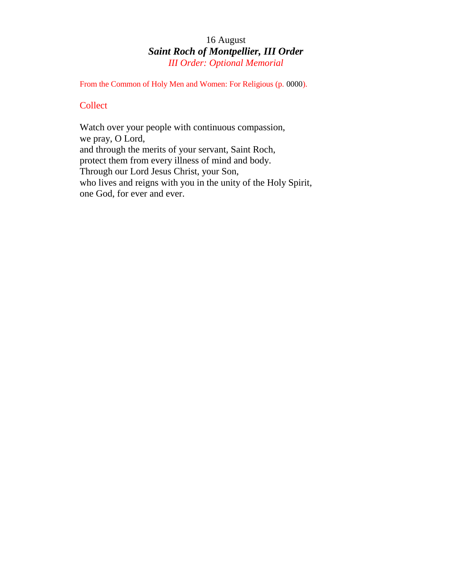# 16 August *Saint Roch of Montpellier, III Order III Order: Optional Memorial*

From the Common of Holy Men and Women: For Religious (p. 0000).

# **Collect**

Watch over your people with continuous compassion, we pray, O Lord, and through the merits of your servant, Saint Roch, protect them from every illness of mind and body. Through our Lord Jesus Christ, your Son, who lives and reigns with you in the unity of the Holy Spirit, one God, for ever and ever.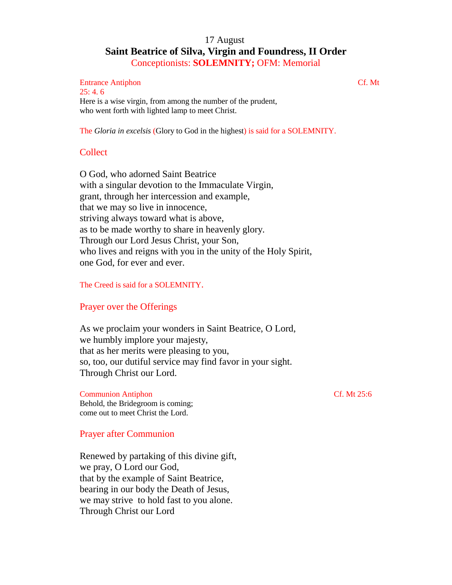# 17 August **Saint Beatrice of Silva, Virgin and Foundress, II Order** Conceptionists: **SOLEMNITY;** OFM: Memorial

#### Entrance Antiphon Cf. Mt  $25: 4.6$ Here is a wise virgin, from among the number of the prudent,

who went forth with lighted lamp to meet Christ.

The *Gloria in excelsis* (Glory to God in the highest) is said for a SOLEMNITY.

# Collect

O God, who adorned Saint Beatrice with a singular devotion to the Immaculate Virgin, grant, through her intercession and example, that we may so live in innocence, striving always toward what is above, as to be made worthy to share in heavenly glory. Through our Lord Jesus Christ, your Son, who lives and reigns with you in the unity of the Holy Spirit, one God, for ever and ever.

The Creed is said for a SOLEMNITY.

# Prayer over the Offerings

As we proclaim your wonders in Saint Beatrice, O Lord, we humbly implore your majesty, that as her merits were pleasing to you, so, too, our dutiful service may find favor in your sight. Through Christ our Lord.

Communion Antiphon Cf. Mt 25:6 Behold, the Bridegroom is coming; come out to meet Christ the Lord.

# Prayer after Communion

Renewed by partaking of this divine gift, we pray, O Lord our God, that by the example of Saint Beatrice, bearing in our body the Death of Jesus, we may strive to hold fast to you alone. Through Christ our Lord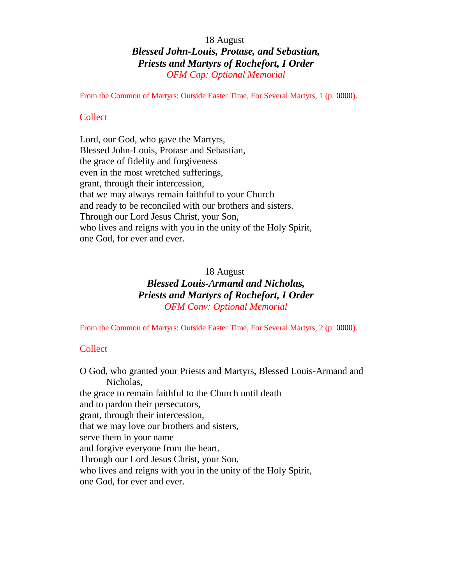# 18 August *Blessed John-Louis, Protase, and Sebastian, Priests and Martyrs of Rochefort, I Order OFM Cap: Optional Memorial*

From the Common of Martyrs: Outside Easter Time, For Several Martyrs, 1 (p. 0000).

## Collect

Lord, our God, who gave the Martyrs, Blessed John-Louis, Protase and Sebastian, the grace of fidelity and forgiveness even in the most wretched sufferings, grant, through their intercession, that we may always remain faithful to your Church and ready to be reconciled with our brothers and sisters. Through our Lord Jesus Christ, your Son, who lives and reigns with you in the unity of the Holy Spirit, one God, for ever and ever.

# 18 August

# *Blessed Louis-Armand and Nicholas, Priests and Martyrs of Rochefort, I Order OFM Conv: Optional Memorial*

From the Common of Martyrs: Outside Easter Time, For Several Martyrs, 2 (p. 0000).

# **Collect**

O God, who granted your Priests and Martyrs, Blessed Louis-Armand and Nicholas, the grace to remain faithful to the Church until death and to pardon their persecutors, grant, through their intercession, that we may love our brothers and sisters, serve them in your name and forgive everyone from the heart. Through our Lord Jesus Christ, your Son, who lives and reigns with you in the unity of the Holy Spirit, one God, for ever and ever.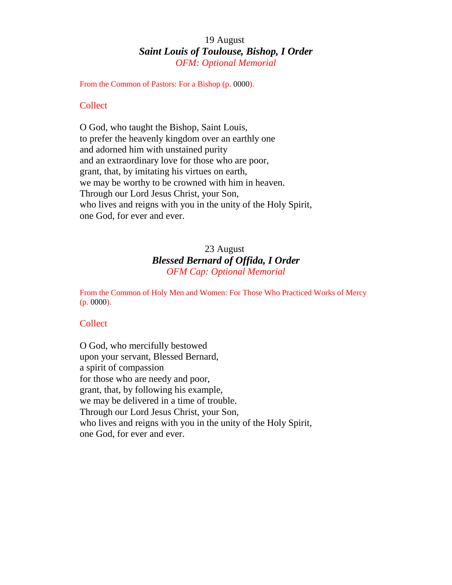# 19 August *Saint Louis of Toulouse, Bishop, I Order OFM: Optional Memorial*

From the Common of Pastors: For a Bishop (p. 0000).

## **Collect**

O God, who taught the Bishop, Saint Louis, to prefer the heavenly kingdom over an earthly one and adorned him with unstained purity and an extraordinary love for those who are poor, grant, that, by imitating his virtues on earth, we may be worthy to be crowned with him in heaven. Through our Lord Jesus Christ, your Son, who lives and reigns with you in the unity of the Holy Spirit, one God, for ever and ever.

# 23 August *Blessed Bernard of Offida, I Order OFM Cap: Optional Memorial*

From the Common of Holy Men and Women: For Those Who Practiced Works of Mercy (p. 0000).

## **Collect**

O God, who mercifully bestowed upon your servant, Blessed Bernard, a spirit of compassion for those who are needy and poor, grant, that, by following his example, we may be delivered in a time of trouble. Through our Lord Jesus Christ, your Son, who lives and reigns with you in the unity of the Holy Spirit, one God, for ever and ever.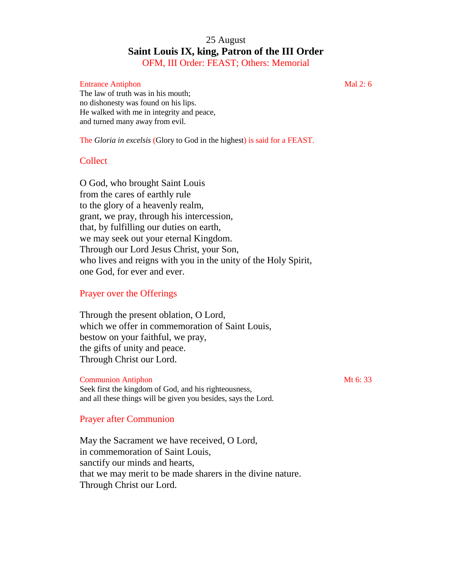# 25 August **Saint Louis IX, king, Patron of the III Order** OFM, III Order: FEAST; Others: Memorial

#### Entrance Antiphon Mal 2: 6

The law of truth was in his mouth; no dishonesty was found on his lips. He walked with me in integrity and peace, and turned many away from evil.

The *Gloria in excelsis* (Glory to God in the highest) is said for a FEAST.

## **Collect**

O God, who brought Saint Louis from the cares of earthly rule to the glory of a heavenly realm, grant, we pray, through his intercession, that, by fulfilling our duties on earth, we may seek out your eternal Kingdom. Through our Lord Jesus Christ, your Son, who lives and reigns with you in the unity of the Holy Spirit, one God, for ever and ever.

# Prayer over the Offerings

Through the present oblation, O Lord, which we offer in commemoration of Saint Louis, bestow on your faithful, we pray, the gifts of unity and peace. Through Christ our Lord.

## **Communion Antiphon** Mt 6: 33

Seek first the kingdom of God, and his righteousness, and all these things will be given you besides, says the Lord.

## Prayer after Communion

May the Sacrament we have received, O Lord, in commemoration of Saint Louis, sanctify our minds and hearts, that we may merit to be made sharers in the divine nature. Through Christ our Lord.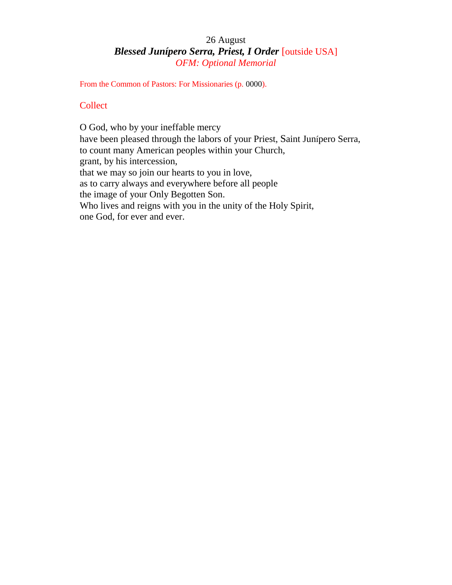# 26 August *Blessed Junípero Serra, Priest, I Order* [outside USA] *OFM: Optional Memorial*

From the Common of Pastors: For Missionaries (p. 0000).

# **Collect**

O God, who by your ineffable mercy have been pleased through the labors of your Priest, Saint Junípero Serra, to count many American peoples within your Church, grant, by his intercession, that we may so join our hearts to you in love, as to carry always and everywhere before all people the image of your Only Begotten Son. Who lives and reigns with you in the unity of the Holy Spirit, one God, for ever and ever.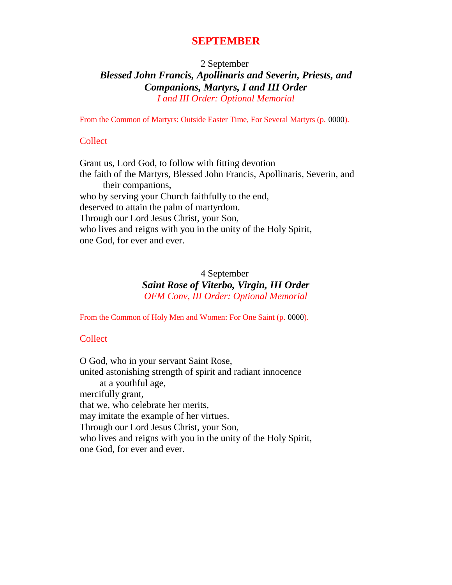# **SEPTEMBER**

2 September

*Blessed John Francis, Apollinaris and Severin, Priests, and Companions, Martyrs, I and III Order I and III Order: Optional Memorial*

From the Common of Martyrs: Outside Easter Time, For Several Martyrs (p. 0000).

# **Collect**

Grant us, Lord God, to follow with fitting devotion the faith of the Martyrs, Blessed John Francis, Apollinaris, Severin, and their companions, who by serving your Church faithfully to the end, deserved to attain the palm of martyrdom. Through our Lord Jesus Christ, your Son, who lives and reigns with you in the unity of the Holy Spirit, one God, for ever and ever.

# 4 September *Saint Rose of Viterbo, Virgin, III Order OFM Conv, III Order: Optional Memorial*

From the Common of Holy Men and Women: For One Saint (p. 0000).

# **Collect**

O God, who in your servant Saint Rose, united astonishing strength of spirit and radiant innocence at a youthful age, mercifully grant, that we, who celebrate her merits, may imitate the example of her virtues. Through our Lord Jesus Christ, your Son, who lives and reigns with you in the unity of the Holy Spirit, one God, for ever and ever.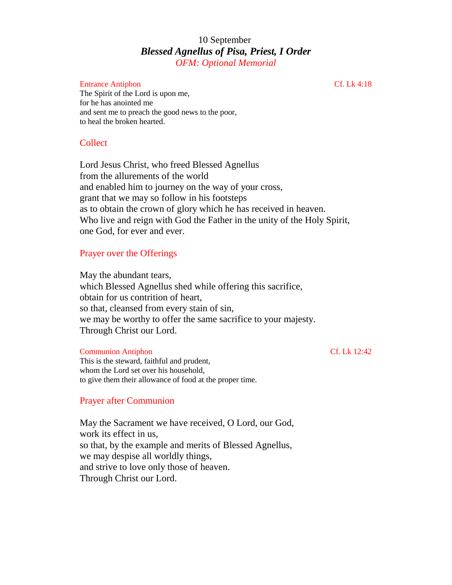# 10 September *Blessed Agnellus of Pisa, Priest, I Order OFM: Optional Memorial*

#### Entrance Antiphon Cf. Lk 4:18

The Spirit of the Lord is upon me, for he has anointed me and sent me to preach the good news to the poor, to heal the broken hearted.

## Collect

Lord Jesus Christ, who freed Blessed Agnellus from the allurements of the world and enabled him to journey on the way of your cross, grant that we may so follow in his footsteps as to obtain the crown of glory which he has received in heaven. Who live and reign with God the Father in the unity of the Holy Spirit, one God, for ever and ever.

## Prayer over the Offerings

May the abundant tears, which Blessed Agnellus shed while offering this sacrifice, obtain for us contrition of heart, so that, cleansed from every stain of sin, we may be worthy to offer the same sacrifice to your majesty. Through Christ our Lord.

#### Communion Antiphon Cf. Lk 12:42

This is the steward, faithful and prudent, whom the Lord set over his household, to give them their allowance of food at the proper time.

#### Prayer after Communion

May the Sacrament we have received, O Lord, our God, work its effect in us, so that, by the example and merits of Blessed Agnellus, we may despise all worldly things, and strive to love only those of heaven. Through Christ our Lord.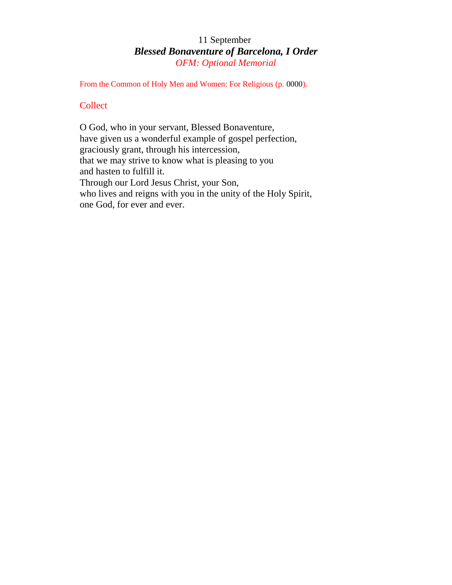# 11 September *Blessed Bonaventure of Barcelona, I Order OFM: Optional Memorial*

From the Common of Holy Men and Women: For Religious (p. 0000).

# **Collect**

O God, who in your servant, Blessed Bonaventure, have given us a wonderful example of gospel perfection, graciously grant, through his intercession, that we may strive to know what is pleasing to you and hasten to fulfill it. Through our Lord Jesus Christ, your Son, who lives and reigns with you in the unity of the Holy Spirit, one God, for ever and ever.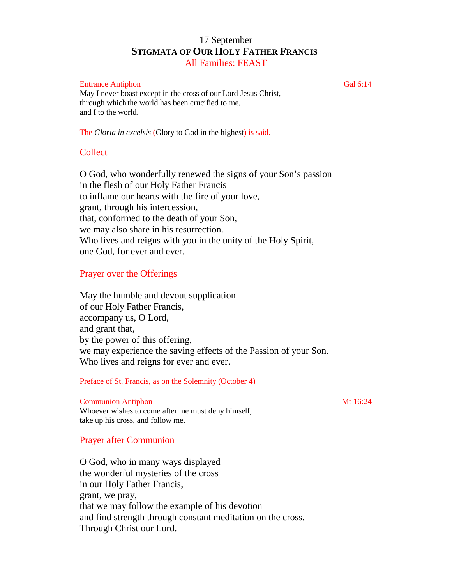# 17 September **STIGMATA OF OUR HOLY FATHER FRANCIS** All Families: FEAST

#### Entrance Antiphon Gal 6:14

May I never boast except in the cross of our Lord Jesus Christ, through which the world has been crucified to me, and I to the world.

The *Gloria in excelsis* (Glory to God in the highest) is said.

## **Collect**

O God, who wonderfully renewed the signs of your Son's passion in the flesh of our Holy Father Francis to inflame our hearts with the fire of your love, grant, through his intercession, that, conformed to the death of your Son, we may also share in his resurrection. Who lives and reigns with you in the unity of the Holy Spirit, one God, for ever and ever.

### Prayer over the Offerings

May the humble and devout supplication of our Holy Father Francis, accompany us, O Lord, and grant that, by the power of this offering, we may experience the saving effects of the Passion of your Son. Who lives and reigns for ever and ever.

Preface of St. Francis, as on the Solemnity (October 4)

#### **Communion Antiphon** Mt 16:24

Whoever wishes to come after me must deny himself, take up his cross, and follow me.

#### Prayer after Communion

O God, who in many ways displayed the wonderful mysteries of the cross in our Holy Father Francis, grant, we pray, that we may follow the example of his devotion and find strength through constant meditation on the cross. Through Christ our Lord.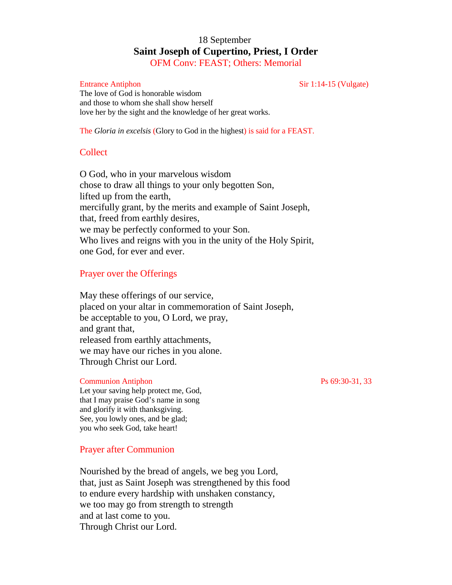# 18 September **Saint Joseph of Cupertino, Priest, I Order** OFM Conv: FEAST; Others: Memorial

Entrance Antiphon Sir 1:14-15 (Vulgate)

The love of God is honorable wisdom and those to whom she shall show herself love her by the sight and the knowledge of her great works.

The *Gloria in excelsis* (Glory to God in the highest) is said for a FEAST.

# **Collect**

O God, who in your marvelous wisdom chose to draw all things to your only begotten Son, lifted up from the earth, mercifully grant, by the merits and example of Saint Joseph, that, freed from earthly desires, we may be perfectly conformed to your Son. Who lives and reigns with you in the unity of the Holy Spirit, one God, for ever and ever.

# Prayer over the Offerings

May these offerings of our service, placed on your altar in commemoration of Saint Joseph, be acceptable to you, O Lord, we pray, and grant that, released from earthly attachments, we may have our riches in you alone. Through Christ our Lord.

#### Communion Antiphon Ps 69:30-31, 33

Let your saving help protect me, God, that I may praise God's name in song and glorify it with thanksgiving. See, you lowly ones, and be glad; you who seek God, take heart!

## Prayer after Communion

Nourished by the bread of angels, we beg you Lord, that, just as Saint Joseph was strengthened by this food to endure every hardship with unshaken constancy, we too may go from strength to strength and at last come to you. Through Christ our Lord.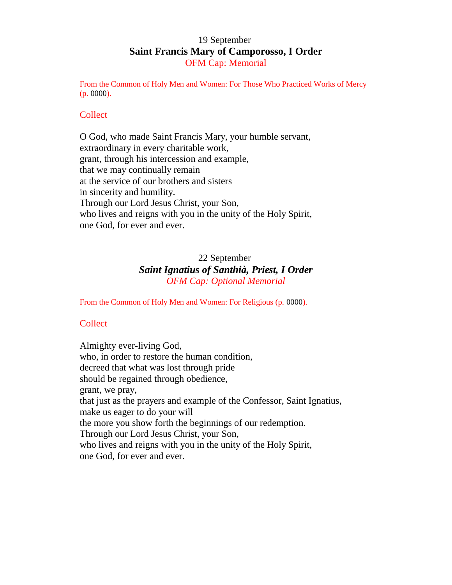# 19 September **Saint Francis Mary of Camporosso, I Order** OFM Cap: Memorial

From the Common of Holy Men and Women: For Those Who Practiced Works of Mercy (p. 0000).

## **Collect**

O God, who made Saint Francis Mary, your humble servant, extraordinary in every charitable work, grant, through his intercession and example, that we may continually remain at the service of our brothers and sisters in sincerity and humility. Through our Lord Jesus Christ, your Son, who lives and reigns with you in the unity of the Holy Spirit, one God, for ever and ever.

# 22 September *Saint Ignatius of Santhià, Priest, I Order OFM Cap: Optional Memorial*

From the Common of Holy Men and Women: For Religious (p. 0000).

# **Collect**

Almighty ever-living God, who, in order to restore the human condition, decreed that what was lost through pride should be regained through obedience, grant, we pray, that just as the prayers and example of the Confessor, Saint Ignatius, make us eager to do your will the more you show forth the beginnings of our redemption. Through our Lord Jesus Christ, your Son, who lives and reigns with you in the unity of the Holy Spirit, one God, for ever and ever.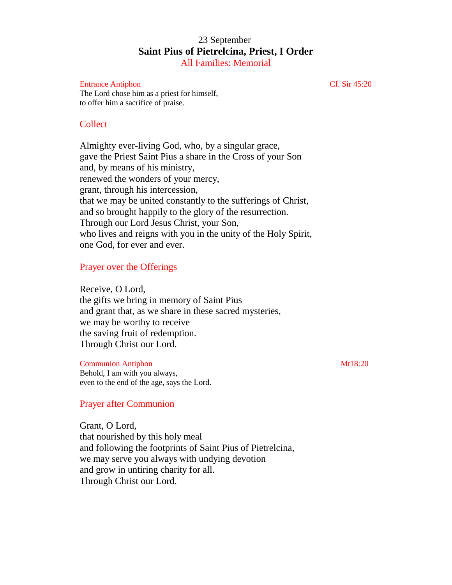# 23 September **Saint Pius of Pietrelcina, Priest, I Order** All Families: Memorial

#### Entrance Antiphon Cf. Sir 45:20

The Lord chose him as a priest for himself, to offer him a sacrifice of praise.

#### **Collect**

Almighty ever-living God, who, by a singular grace, gave the Priest Saint Pius a share in the Cross of your Son and, by means of his ministry, renewed the wonders of your mercy, grant, through his intercession, that we may be united constantly to the sufferings of Christ, and so brought happily to the glory of the resurrection. Through our Lord Jesus Christ, your Son, who lives and reigns with you in the unity of the Holy Spirit, one God, for ever and ever.

#### Prayer over the Offerings

Receive, O Lord, the gifts we bring in memory of Saint Pius and grant that, as we share in these sacred mysteries, we may be worthy to receive the saving fruit of redemption. Through Christ our Lord.

#### Communion Antiphon Mt18:20

Behold, I am with you always, even to the end of the age, says the Lord.

### Prayer after Communion

Grant, O Lord, that nourished by this holy meal and following the footprints of Saint Pius of Pietrelcina, we may serve you always with undying devotion and grow in untiring charity for all. Through Christ our Lord.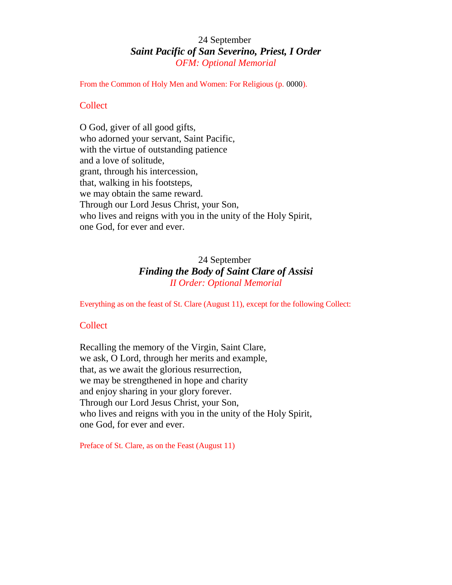# 24 September *Saint Pacific of San Severino, Priest, I Order OFM: Optional Memorial*

From the Common of Holy Men and Women: For Religious (p. 0000).

## **Collect**

O God, giver of all good gifts, who adorned your servant, Saint Pacific, with the virtue of outstanding patience and a love of solitude, grant, through his intercession, that, walking in his footsteps, we may obtain the same reward. Through our Lord Jesus Christ, your Son, who lives and reigns with you in the unity of the Holy Spirit, one God, for ever and ever.

# 24 September *Finding the Body of Saint Clare of Assisi II Order: Optional Memorial*

Everything as on the feast of St. Clare (August 11), except for the following Collect:

# **Collect**

Recalling the memory of the Virgin, Saint Clare, we ask, O Lord, through her merits and example, that, as we await the glorious resurrection, we may be strengthened in hope and charity and enjoy sharing in your glory forever. Through our Lord Jesus Christ, your Son, who lives and reigns with you in the unity of the Holy Spirit, one God, for ever and ever.

Preface of St. Clare, as on the Feast (August 11)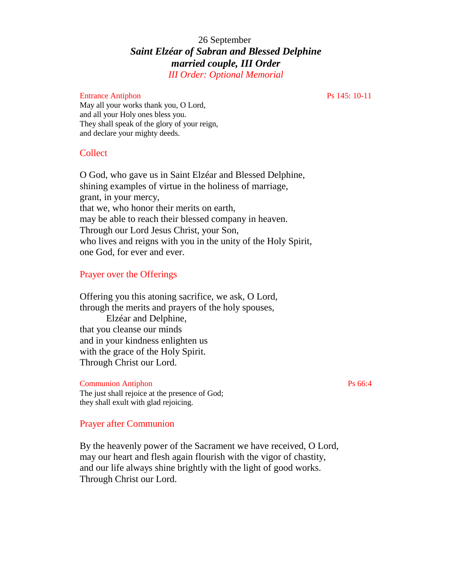# 26 September *Saint Elzéar of Sabran and Blessed Delphine married couple, III Order*

*III Order: Optional Memorial*

#### Entrance Antiphon Ps 145: 10-11

May all your works thank you, O Lord, and all your Holy ones bless you. They shall speak of the glory of your reign, and declare your mighty deeds.

## **Collect**

O God, who gave us in Saint Elzéar and Blessed Delphine, shining examples of virtue in the holiness of marriage, grant, in your mercy, that we, who honor their merits on earth, may be able to reach their blessed company in heaven. Through our Lord Jesus Christ, your Son, who lives and reigns with you in the unity of the Holy Spirit, one God, for ever and ever.

# Prayer over the Offerings

Offering you this atoning sacrifice, we ask, O Lord, through the merits and prayers of the holy spouses, Elzéar and Delphine, that you cleanse our minds and in your kindness enlighten us with the grace of the Holy Spirit. Through Christ our Lord.

#### Communion Antiphon Ps 66:4

The just shall rejoice at the presence of God; they shall exult with glad rejoicing.

## Prayer after Communion

By the heavenly power of the Sacrament we have received, O Lord, may our heart and flesh again flourish with the vigor of chastity, and our life always shine brightly with the light of good works. Through Christ our Lord.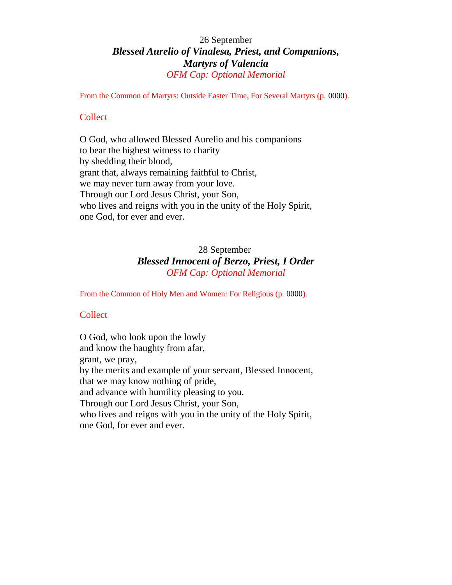# 26 September *Blessed Aurelio of Vinalesa, Priest, and Companions, Martyrs of Valencia OFM Cap: Optional Memorial*

From the Common of Martyrs: Outside Easter Time, For Several Martyrs (p. 0000).

# Collect

O God, who allowed Blessed Aurelio and his companions to bear the highest witness to charity by shedding their blood, grant that, always remaining faithful to Christ, we may never turn away from your love. Through our Lord Jesus Christ, your Son, who lives and reigns with you in the unity of the Holy Spirit, one God, for ever and ever.

# 28 September *Blessed Innocent of Berzo, Priest, I Order OFM Cap: Optional Memorial*

From the Common of Holy Men and Women: For Religious (p. 0000).

# **Collect**

O God, who look upon the lowly and know the haughty from afar, grant, we pray, by the merits and example of your servant, Blessed Innocent, that we may know nothing of pride, and advance with humility pleasing to you. Through our Lord Jesus Christ, your Son, who lives and reigns with you in the unity of the Holy Spirit, one God, for ever and ever.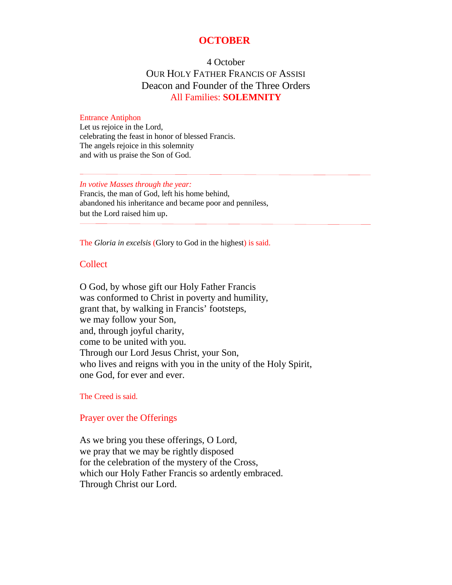# **OCTOBER**

# 4 October OUR HOLY FATHER FRANCIS OF ASSISI Deacon and Founder of the Three Orders All Families: **SOLEMNITY**

#### Entrance Antiphon

Let us rejoice in the Lord, celebrating the feast in honor of blessed Francis. The angels rejoice in this solemnity and with us praise the Son of God.

*In votive Masses through the year:* Francis, the man of God, left his home behind, abandoned his inheritance and became poor and penniless, but the Lord raised him up.

The *Gloria in excelsis* (Glory to God in the highest) is said.

#### **Collect**

O God, by whose gift our Holy Father Francis was conformed to Christ in poverty and humility, grant that, by walking in Francis' footsteps, we may follow your Son, and, through joyful charity, come to be united with you. Through our Lord Jesus Christ, your Son, who lives and reigns with you in the unity of the Holy Spirit, one God, for ever and ever.

#### The Creed is said.

### Prayer over the Offerings

As we bring you these offerings, O Lord, we pray that we may be rightly disposed for the celebration of the mystery of the Cross, which our Holy Father Francis so ardently embraced. Through Christ our Lord.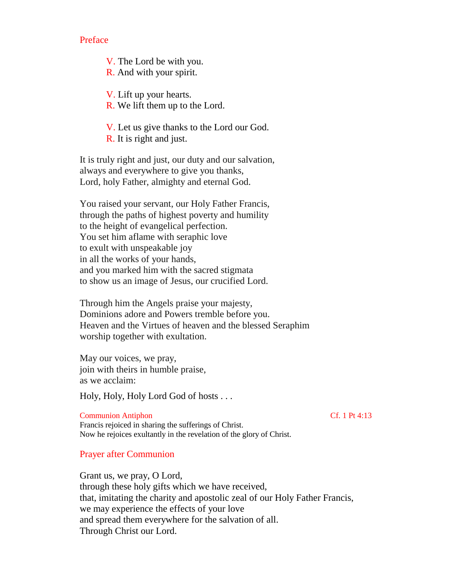Preface

V. The Lord be with you. R. And with your spirit.

V. Lift up your hearts.

R. We lift them up to the Lord.

V. Let us give thanks to the Lord our God. R. It is right and just.

It is truly right and just, our duty and our salvation, always and everywhere to give you thanks, Lord, holy Father, almighty and eternal God.

You raised your servant, our Holy Father Francis, through the paths of highest poverty and humility to the height of evangelical perfection. You set him aflame with seraphic love to exult with unspeakable joy in all the works of your hands, and you marked him with the sacred stigmata to show us an image of Jesus, our crucified Lord.

Through him the Angels praise your majesty, Dominions adore and Powers tremble before you. Heaven and the Virtues of heaven and the blessed Seraphim worship together with exultation.

May our voices, we pray, join with theirs in humble praise, as we acclaim:

Holy, Holy, Holy Lord God of hosts . . .

Communion Antiphon Cf. 1 Pt 4:13 Francis rejoiced in sharing the sufferings of Christ. Now he rejoices exultantly in the revelation of the glory of Christ.

Prayer after Communion

Grant us, we pray, O Lord, through these holy gifts which we have received, that, imitating the charity and apostolic zeal of our Holy Father Francis, we may experience the effects of your love and spread them everywhere for the salvation of all. Through Christ our Lord.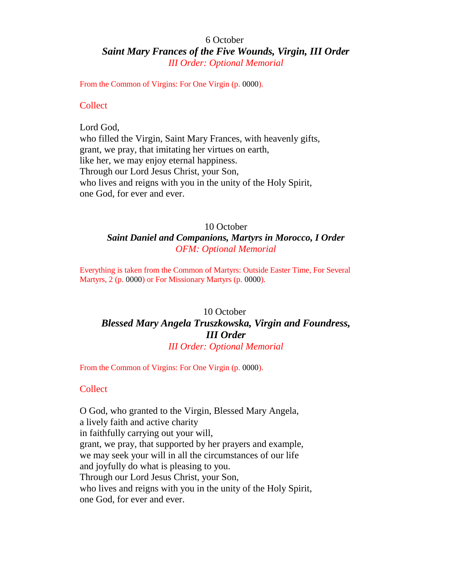# 6 October *Saint Mary Frances of the Five Wounds, Virgin, III Order III Order: Optional Memorial*

From the Common of Virgins: For One Virgin (p. 0000).

#### **Collect**

Lord God, who filled the Virgin, Saint Mary Frances, with heavenly gifts, grant, we pray, that imitating her virtues on earth, like her, we may enjoy eternal happiness. Through our Lord Jesus Christ, your Son, who lives and reigns with you in the unity of the Holy Spirit, one God, for ever and ever.

# 10 October

# *Saint Daniel and Companions, Martyrs in Morocco, I Order OFM: Optional Memorial*

Everything is taken from the Common of Martyrs: Outside Easter Time, For Several Martyrs, 2 (p. 0000) or For Missionary Martyrs (p. 0000).

# 10 October *Blessed Mary Angela Truszkowska, Virgin and Foundress, III Order III Order: Optional Memorial*

From the Common of Virgins: For One Virgin (p. 0000).

## Collect

O God, who granted to the Virgin, Blessed Mary Angela, a lively faith and active charity in faithfully carrying out your will, grant, we pray, that supported by her prayers and example, we may seek your will in all the circumstances of our life and joyfully do what is pleasing to you. Through our Lord Jesus Christ, your Son, who lives and reigns with you in the unity of the Holy Spirit, one God, for ever and ever.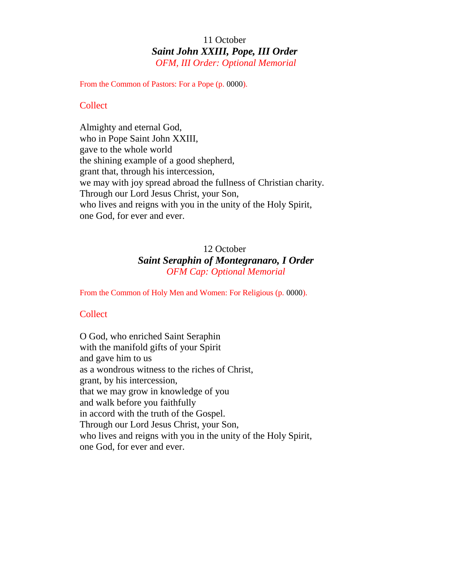# 11 October *Saint John XXIII, Pope, III Order OFM, III Order: Optional Memorial*

From the Common of Pastors: For a Pope (p. 0000).

## **Collect**

Almighty and eternal God, who in Pope Saint John XXIII, gave to the whole world the shining example of a good shepherd, grant that, through his intercession, we may with joy spread abroad the fullness of Christian charity. Through our Lord Jesus Christ, your Son, who lives and reigns with you in the unity of the Holy Spirit, one God, for ever and ever.

# 12 October *Saint Seraphin of Montegranaro, I Order OFM Cap: Optional Memorial*

From the Common of Holy Men and Women: For Religious (p. 0000).

# Collect

O God, who enriched Saint Seraphin with the manifold gifts of your Spirit and gave him to us as a wondrous witness to the riches of Christ, grant, by his intercession, that we may grow in knowledge of you and walk before you faithfully in accord with the truth of the Gospel. Through our Lord Jesus Christ, your Son, who lives and reigns with you in the unity of the Holy Spirit, one God, for ever and ever.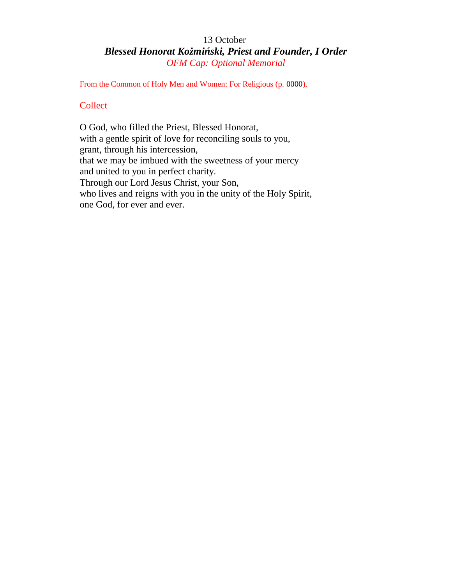# 13 October *Blessed Honorat Ko mi ski, Priest and Founder, I Order OFM Cap: Optional Memorial*

From the Common of Holy Men and Women: For Religious (p. 0000).

# **Collect**

O God, who filled the Priest, Blessed Honorat, with a gentle spirit of love for reconciling souls to you, grant, through his intercession, that we may be imbued with the sweetness of your mercy and united to you in perfect charity. Through our Lord Jesus Christ, your Son, who lives and reigns with you in the unity of the Holy Spirit, one God, for ever and ever.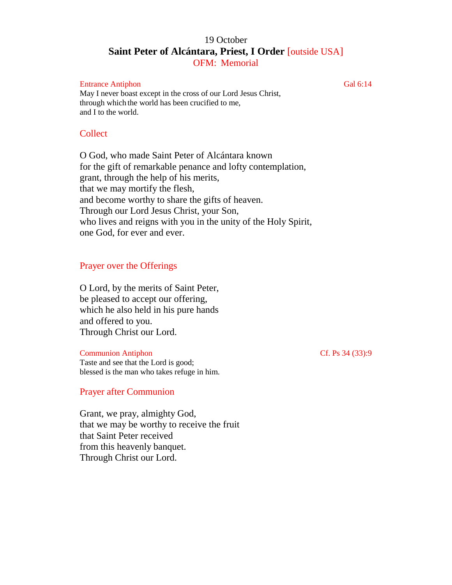# 19 October **Saint Peter of Alcántara, Priest, I Order** [outside USA] OFM: Memorial

#### Entrance Antiphon Gal 6:14

May I never boast except in the cross of our Lord Jesus Christ, through which the world has been crucified to me, and I to the world.

## Collect

O God, who made Saint Peter of Alcántara known for the gift of remarkable penance and lofty contemplation, grant, through the help of his merits, that we may mortify the flesh, and become worthy to share the gifts of heaven. Through our Lord Jesus Christ, your Son, who lives and reigns with you in the unity of the Holy Spirit, one God, for ever and ever.

# Prayer over the Offerings

O Lord, by the merits of Saint Peter, be pleased to accept our offering, which he also held in his pure hands and offered to you. Through Christ our Lord.

Communion Antiphon Cf. Ps 34 (33):9 Taste and see that the Lord is good; blessed is the man who takes refuge in him.

# Prayer after Communion

Grant, we pray, almighty God, that we may be worthy to receive the fruit that Saint Peter received from this heavenly banquet. Through Christ our Lord.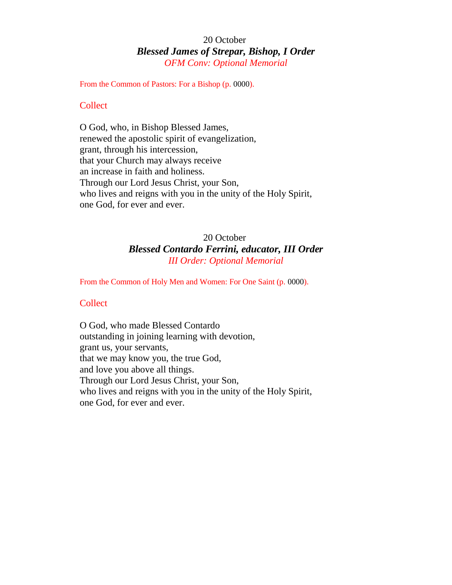# 20 October *Blessed James of Strepar, Bishop, I Order OFM Conv: Optional Memorial*

From the Common of Pastors: For a Bishop (p. 0000).

## **Collect**

O God, who, in Bishop Blessed James, renewed the apostolic spirit of evangelization, grant, through his intercession, that your Church may always receive an increase in faith and holiness. Through our Lord Jesus Christ, your Son, who lives and reigns with you in the unity of the Holy Spirit, one God, for ever and ever.

# 20 October *Blessed Contardo Ferrini, educator, III Order III Order: Optional Memorial*

From the Common of Holy Men and Women: For One Saint (p. 0000).

## **Collect**

O God, who made Blessed Contardo outstanding in joining learning with devotion, grant us, your servants, that we may know you, the true God, and love you above all things. Through our Lord Jesus Christ, your Son, who lives and reigns with you in the unity of the Holy Spirit, one God, for ever and ever.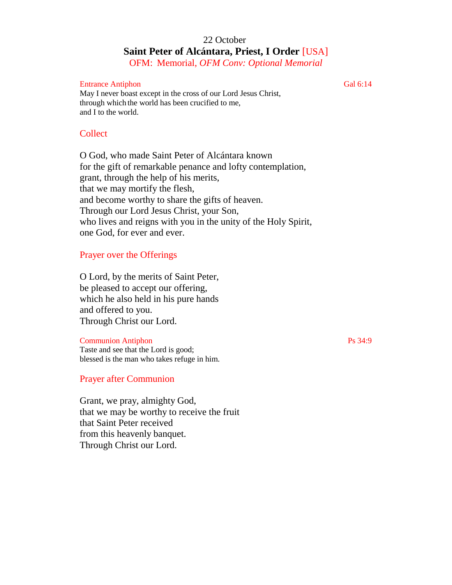# 22 October **Saint Peter of Alcántara, Priest, I Order** [USA] OFM: Memorial, *OFM Conv: Optional Memorial*

Entrance Antiphon Gal 6:14

May I never boast except in the cross of our Lord Jesus Christ, through which the world has been crucified to me, and I to the world.

# Collect

O God, who made Saint Peter of Alcántara known for the gift of remarkable penance and lofty contemplation, grant, through the help of his merits, that we may mortify the flesh, and become worthy to share the gifts of heaven. Through our Lord Jesus Christ, your Son, who lives and reigns with you in the unity of the Holy Spirit, one God, for ever and ever.

# Prayer over the Offerings

O Lord, by the merits of Saint Peter, be pleased to accept our offering, which he also held in his pure hands and offered to you. Through Christ our Lord.

## Communion Antiphon Ps 34:9

Taste and see that the Lord is good; blessed is the man who takes refuge in him.

# Prayer after Communion

Grant, we pray, almighty God, that we may be worthy to receive the fruit that Saint Peter received from this heavenly banquet. Through Christ our Lord.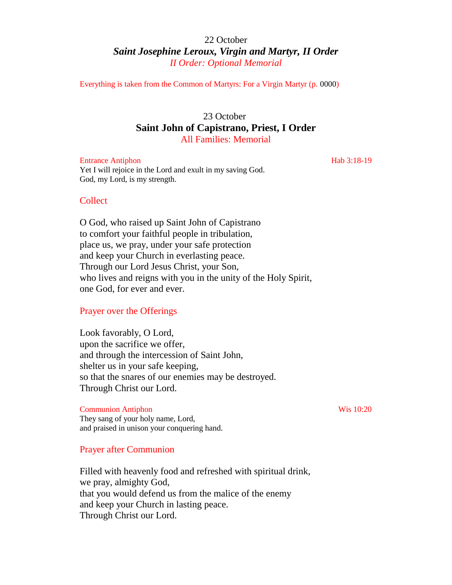# 22 October *Saint Josephine Leroux, Virgin and Martyr, II Order II Order: Optional Memorial*

Everything is taken from the Common of Martyrs: For a Virgin Martyr (p. 0000)

# 23 October **Saint John of Capistrano, Priest, I Order** All Families: Memorial

Entrance Antiphon Hab 3:18-19 Yet I will rejoice in the Lord and exult in my saving God. God, my Lord, is my strength.

## Collect

O God, who raised up Saint John of Capistrano to comfort your faithful people in tribulation, place us, we pray, under your safe protection and keep your Church in everlasting peace. Through our Lord Jesus Christ, your Son, who lives and reigns with you in the unity of the Holy Spirit, one God, for ever and ever.

## Prayer over the Offerings

Look favorably, O Lord, upon the sacrifice we offer, and through the intercession of Saint John, shelter us in your safe keeping, so that the snares of our enemies may be destroyed. Through Christ our Lord.

#### Communion Antiphon Wis 10:20

They sang of your holy name, Lord, and praised in unison your conquering hand.

#### Prayer after Communion

Filled with heavenly food and refreshed with spiritual drink, we pray, almighty God, that you would defend us from the malice of the enemy and keep your Church in lasting peace. Through Christ our Lord.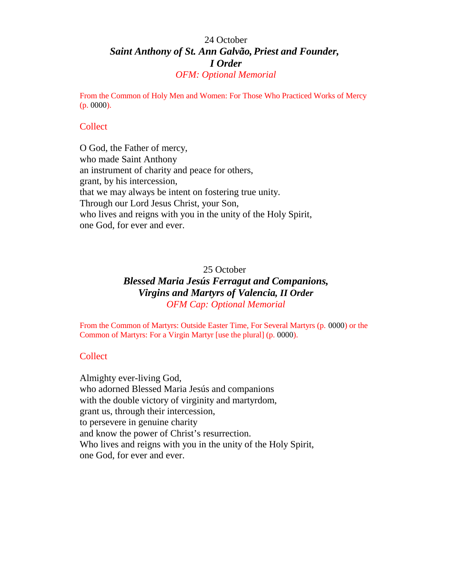# 24 October *Saint Anthony of St. Ann Galvão, Priest and Founder, I Order OFM: Optional Memorial*

From the Common of Holy Men and Women: For Those Who Practiced Works of Mercy (p. 0000).

### **Collect**

O God, the Father of mercy, who made Saint Anthony an instrument of charity and peace for others, grant, by his intercession, that we may always be intent on fostering true unity. Through our Lord Jesus Christ, your Son, who lives and reigns with you in the unity of the Holy Spirit, one God, for ever and ever.

# 25 October *Blessed Maria Jesús Ferragut and Companions, Virgins and Martyrs of Valencia, II Order OFM Cap: Optional Memorial*

From the Common of Martyrs: Outside Easter Time, For Several Martyrs (p. 0000) or the Common of Martyrs: For a Virgin Martyr [use the plural] (p. 0000).

#### Collect

Almighty ever-living God, who adorned Blessed Maria Jesús and companions with the double victory of virginity and martyrdom, grant us, through their intercession, to persevere in genuine charity and know the power of Christ's resurrection. Who lives and reigns with you in the unity of the Holy Spirit, one God, for ever and ever.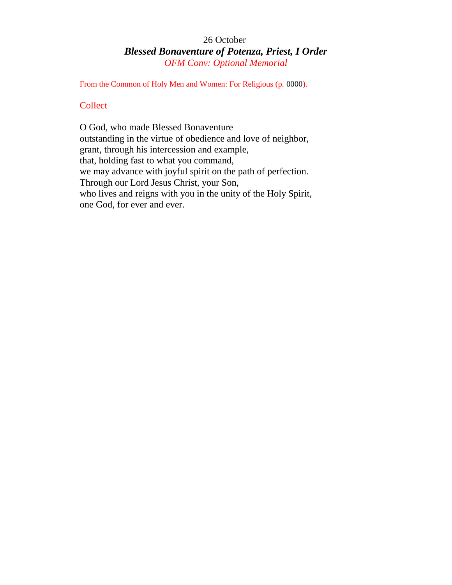# 26 October *Blessed Bonaventure of Potenza, Priest, I Order OFM Conv: Optional Memorial*

From the Common of Holy Men and Women: For Religious (p. 0000).

# **Collect**

O God, who made Blessed Bonaventure outstanding in the virtue of obedience and love of neighbor, grant, through his intercession and example, that, holding fast to what you command, we may advance with joyful spirit on the path of perfection. Through our Lord Jesus Christ, your Son, who lives and reigns with you in the unity of the Holy Spirit, one God, for ever and ever.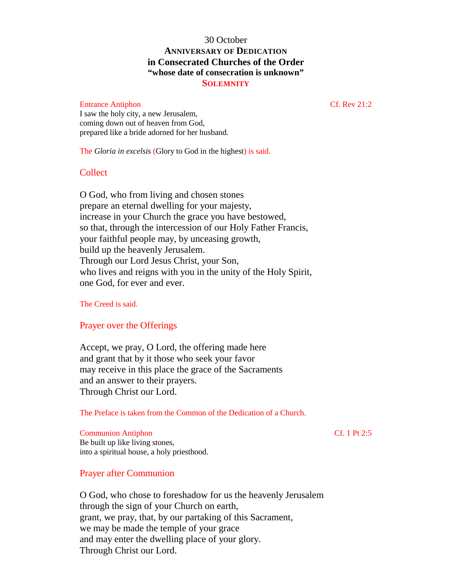# 30 October **ANNIVERSARY OF DEDICATION in Consecrated Churches of the Order "whose date of consecration is unknown" SOLEMNITY**

## Entrance Antiphon Cf. Rev 21:2

I saw the holy city, a new Jerusalem, coming down out of heaven from God, prepared like a bride adorned for her husband.

The *Gloria in excelsis* (Glory to God in the highest) is said.

## Collect

O God, who from living and chosen stones prepare an eternal dwelling for your majesty, increase in your Church the grace you have bestowed, so that, through the intercession of our Holy Father Francis, your faithful people may, by unceasing growth, build up the heavenly Jerusalem. Through our Lord Jesus Christ, your Son, who lives and reigns with you in the unity of the Holy Spirit, one God, for ever and ever.

The Creed is said.

# Prayer over the Offerings

Accept, we pray, O Lord, the offering made here and grant that by it those who seek your favor may receive in this place the grace of the Sacraments and an answer to their prayers. Through Christ our Lord.

The Preface is taken from the Common of the Dedication of a Church.

#### Communion Antiphon Cf. 1 Pt 2:5 Be built up like living stones, into a spiritual house, a holy priesthood.

Prayer after Communion

O God, who chose to foreshadow for us the heavenly Jerusalem through the sign of your Church on earth, grant, we pray, that, by our partaking of this Sacrament, we may be made the temple of your grace and may enter the dwelling place of your glory. Through Christ our Lord.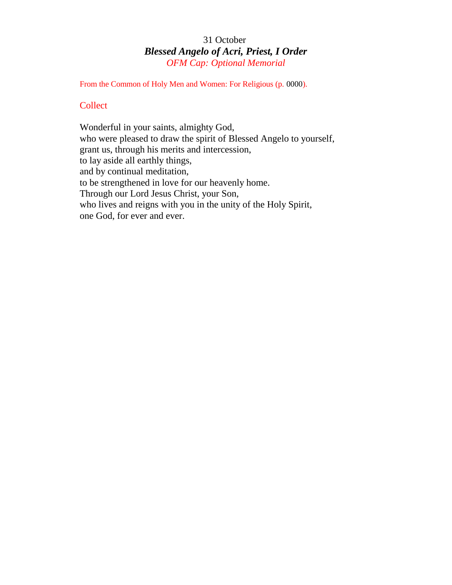# 31 October *Blessed Angelo of Acri, Priest, I Order OFM Cap: Optional Memorial*

From the Common of Holy Men and Women: For Religious (p. 0000).

# **Collect**

Wonderful in your saints, almighty God, who were pleased to draw the spirit of Blessed Angelo to yourself, grant us, through his merits and intercession, to lay aside all earthly things, and by continual meditation, to be strengthened in love for our heavenly home. Through our Lord Jesus Christ, your Son, who lives and reigns with you in the unity of the Holy Spirit, one God, for ever and ever.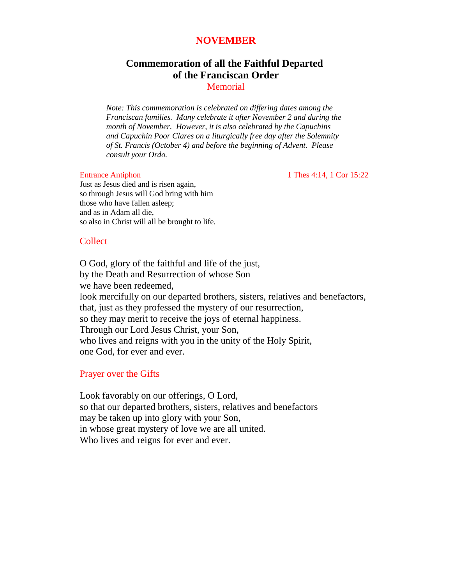# **NOVEMBER**

# **Commemoration of all the Faithful Departed of the Franciscan Order**

**Memorial** 

*Note: This commemoration is celebrated on differing dates among the Franciscan families. Many celebrate it after November 2 and during the month of November. However, it is also celebrated by the Capuchins and Capuchin Poor Clares on a liturgically free day after the Solemnity of St. Francis (October 4) and before the beginning of Advent. Please consult your Ordo.*

Entrance Antiphon 1 Thes 4:14, 1 Cor 15:22

Just as Jesus died and is risen again, so through Jesus will God bring with him those who have fallen asleep; and as in Adam all die, so also in Christ will all be brought to life.

## **Collect**

O God, glory of the faithful and life of the just, by the Death and Resurrection of whose Son we have been redeemed, look mercifully on our departed brothers, sisters, relatives and benefactors, that, just as they professed the mystery of our resurrection, so they may merit to receive the joys of eternal happiness. Through our Lord Jesus Christ, your Son, who lives and reigns with you in the unity of the Holy Spirit, one God, for ever and ever.

## Prayer over the Gifts

Look favorably on our offerings, O Lord, so that our departed brothers, sisters, relatives and benefactors may be taken up into glory with your Son, in whose great mystery of love we are all united. Who lives and reigns for ever and ever.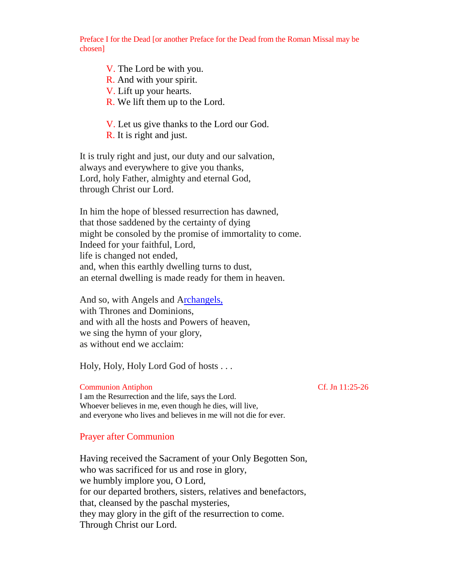Preface I for the Dead [or another Preface for the Dead from the Roman Missal may be chosen]

V. The Lord be with you.

- R. And with your spirit.
- V. Lift up your hearts.
- R. We lift them up to the Lord.

V. Let us give thanks to the Lord our God.

R. It is right and just.

It is truly right and just, our duty and our salvation, always and everywhere to give you thanks, Lord, holy Father, almighty and eternal God, through Christ our Lord.

In him the hope of blessed resurrection has dawned, that those saddened by the certainty of dying might be consoled by the promise of immortality to come. Indeed for your faithful, Lord, life is changed not ended, and, when this earthly dwelling turns to dust, an eternal dwelling is made ready for them in heaven.

And so, with Angels and [Archangels,](file:///C|//Users//Gil//AppData//Local//Microsoft//Windows//Temporary%20Internet%20Files//Con) with Thrones and Dominions, and with all the hosts and Powers of heaven, we sing the hymn of your glory, as without end we acclaim:

Holy, Holy, Holy Lord God of hosts . . .

Communion Antiphon Cf. Jn 11:25-26 I am the Resurrection and the life, says the Lord. Whoever believes in me, even though he dies, will live, and everyone who lives and believes in me will not die for ever.

## Prayer after Communion

Having received the Sacrament of your Only Begotten Son, who was sacrificed for us and rose in glory, we humbly implore you, O Lord, for our departed brothers, sisters, relatives and benefactors, that, cleansed by the paschal mysteries, they may glory in the gift of the resurrection to come. Through Christ our Lord.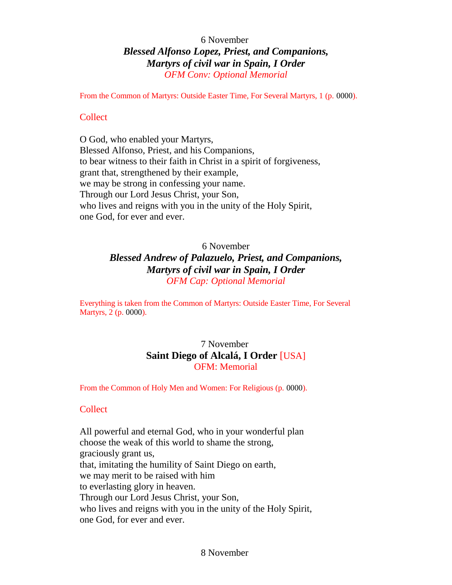# 6 November *Blessed Alfonso Lopez, Priest, and Companions, Martyrs of civil war in Spain, I Order OFM Conv: Optional Memorial*

From the Common of Martyrs: Outside Easter Time, For Several Martyrs, 1 (p. 0000).

# Collect

O God, who enabled your Martyrs, Blessed Alfonso, Priest, and his Companions, to bear witness to their faith in Christ in a spirit of forgiveness, grant that, strengthened by their example, we may be strong in confessing your name. Through our Lord Jesus Christ, your Son, who lives and reigns with you in the unity of the Holy Spirit, one God, for ever and ever.

## 6 November

# *Blessed Andrew of Palazuelo, Priest, and Companions, Martyrs of civil war in Spain, I Order OFM Cap: Optional Memorial*

Everything is taken from the Common of Martyrs: Outside Easter Time, For Several Martyrs, 2 (p. 0000).

# 7 November **Saint Diego of Alcalá, I Order** [USA] OFM: Memorial

From the Common of Holy Men and Women: For Religious (p. 0000).

# **Collect**

All powerful and eternal God, who in your wonderful plan choose the weak of this world to shame the strong, graciously grant us, that, imitating the humility of Saint Diego on earth, we may merit to be raised with him to everlasting glory in heaven. Through our Lord Jesus Christ, your Son, who lives and reigns with you in the unity of the Holy Spirit, one God, for ever and ever.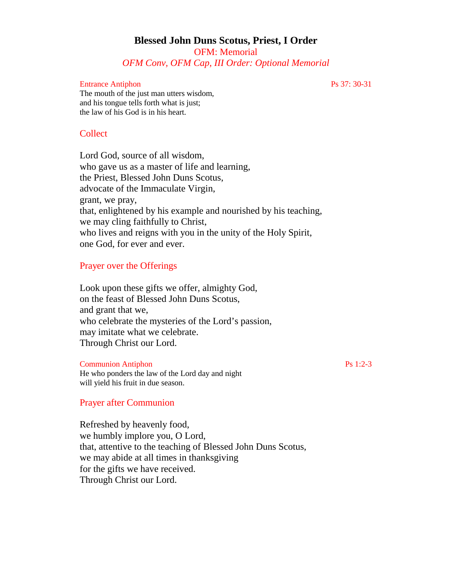## **Blessed John Duns Scotus, Priest, I Order** OFM: Memorial *OFM Conv, OFM Cap, III Order: Optional Memorial*

#### Entrance Antiphon Ps 37: 30-31

The mouth of the just man utters wisdom, and his tongue tells forth what is just; the law of his God is in his heart.

## Collect

Lord God, source of all wisdom, who gave us as a master of life and learning, the Priest, Blessed John Duns Scotus, advocate of the Immaculate Virgin, grant, we pray, that, enlightened by his example and nourished by his teaching, we may cling faithfully to Christ, who lives and reigns with you in the unity of the Holy Spirit, one God, for ever and ever.

## Prayer over the Offerings

Look upon these gifts we offer, almighty God, on the feast of Blessed John Duns Scotus, and grant that we, who celebrate the mysteries of the Lord's passion, may imitate what we celebrate. Through Christ our Lord.

#### Communion Antiphon Ps 1:2-3

He who ponders the law of the Lord day and night will yield his fruit in due season.

#### Prayer after Communion

Refreshed by heavenly food, we humbly implore you, O Lord, that, attentive to the teaching of Blessed John Duns Scotus, we may abide at all times in thanksgiving for the gifts we have received. Through Christ our Lord.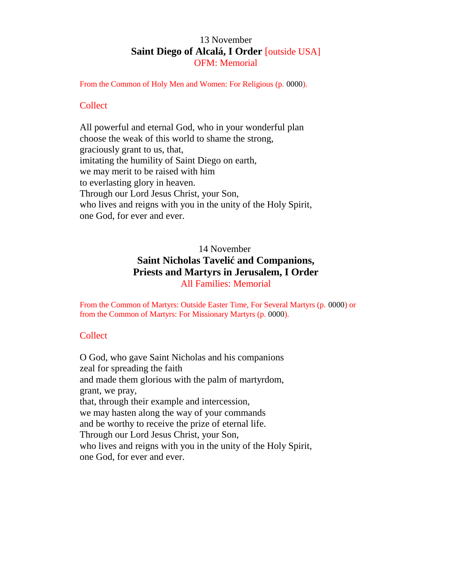## 13 November **Saint Diego of Alcalá, I Order** [outside USA] OFM: Memorial

From the Common of Holy Men and Women: For Religious (p. 0000).

#### **Collect**

All powerful and eternal God, who in your wonderful plan choose the weak of this world to shame the strong, graciously grant to us, that, imitating the humility of Saint Diego on earth, we may merit to be raised with him to everlasting glory in heaven. Through our Lord Jesus Christ, your Son, who lives and reigns with you in the unity of the Holy Spirit, one God, for ever and ever.

## 14 November **Saint Nicholas Taveli and Companions, Priests and Martyrs in Jerusalem, I Order** All Families: Memorial

From the Common of Martyrs: Outside Easter Time, For Several Martyrs (p. 0000) or from the Common of Martyrs: For Missionary Martyrs (p. 0000).

## **Collect**

O God, who gave Saint Nicholas and his companions zeal for spreading the faith and made them glorious with the palm of martyrdom, grant, we pray, that, through their example and intercession, we may hasten along the way of your commands and be worthy to receive the prize of eternal life. Through our Lord Jesus Christ, your Son, who lives and reigns with you in the unity of the Holy Spirit, one God, for ever and ever.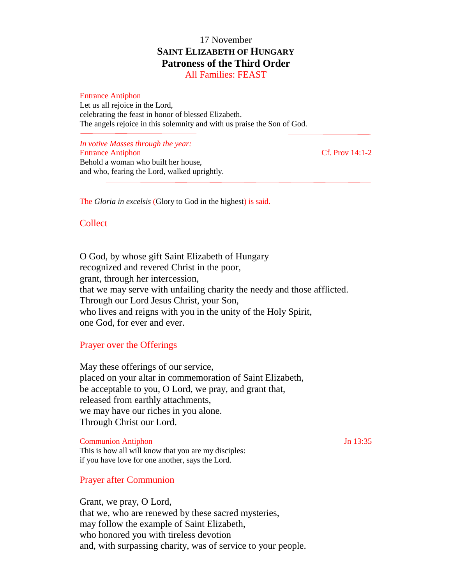# 17 November **SAINT ELIZABETH OF HUNGARY Patroness of the Third Order**

All Families: FEAST

Entrance Antiphon Let us all rejoice in the Lord, celebrating the feast in honor of blessed Elizabeth. The angels rejoice in this solemnity and with us praise the Son of God.

*In votive Masses through the year:* Entrance Antiphon Cf. Prov 14:1-2 Behold a woman who built her house, and who, fearing the Lord, walked uprightly.

The *Gloria in excelsis* (Glory to God in the highest) is said.

#### Collect

O God, by whose gift Saint Elizabeth of Hungary recognized and revered Christ in the poor, grant, through her intercession, that we may serve with unfailing charity the needy and those afflicted. Through our Lord Jesus Christ, your Son, who lives and reigns with you in the unity of the Holy Spirit, one God, for ever and ever.

#### Prayer over the Offerings

May these offerings of our service, placed on your altar in commemoration of Saint Elizabeth, be acceptable to you, O Lord, we pray, and grant that, released from earthly attachments, we may have our riches in you alone. Through Christ our Lord.

Communion Antiphon Jn 13:35 This is how all will know that you are my disciples: if you have love for one another, says the Lord.

#### Prayer after Communion

Grant, we pray, O Lord, that we, who are renewed by these sacred mysteries, may follow the example of Saint Elizabeth, who honored you with tireless devotion and, with surpassing charity, was of service to your people.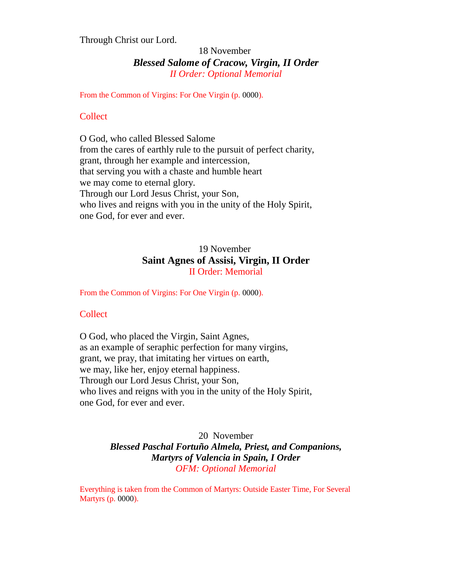Through Christ our Lord.

## 18 November *Blessed Salome of Cracow, Virgin, II Order II Order: Optional Memorial*

From the Common of Virgins: For One Virgin (p. 0000).

## **Collect**

O God, who called Blessed Salome from the cares of earthly rule to the pursuit of perfect charity, grant, through her example and intercession, that serving you with a chaste and humble heart we may come to eternal glory. Through our Lord Jesus Christ, your Son, who lives and reigns with you in the unity of the Holy Spirit, one God, for ever and ever.

## 19 November **Saint Agnes of Assisi, Virgin, II Order** II Order: Memorial

From the Common of Virgins: For One Virgin (p. 0000).

## **Collect**

O God, who placed the Virgin, Saint Agnes, as an example of seraphic perfection for many virgins, grant, we pray, that imitating her virtues on earth, we may, like her, enjoy eternal happiness. Through our Lord Jesus Christ, your Son, who lives and reigns with you in the unity of the Holy Spirit, one God, for ever and ever.

## 20 November *Blessed Paschal Fortuño Almela, Priest, and Companions, Martyrs of Valencia in Spain, I Order OFM: Optional Memorial*

Everything is taken from the Common of Martyrs: Outside Easter Time, For Several Martyrs (p. 0000).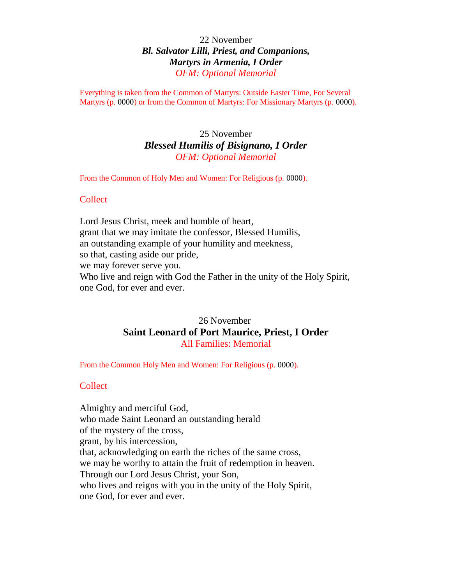## 22 November *Bl. Salvator Lilli, Priest, and Companions, Martyrs in Armenia, I Order OFM: Optional Memorial*

Everything is taken from the Common of Martyrs: Outside Easter Time, For Several Martyrs (p. 0000) or from the Common of Martyrs: For Missionary Martyrs (p. 0000).

## 25 November *Blessed Humilis of Bisignano, I Order OFM: Optional Memorial*

From the Common of Holy Men and Women: For Religious (p. 0000).

#### **Collect**

Lord Jesus Christ, meek and humble of heart, grant that we may imitate the confessor, Blessed Humilis, an outstanding example of your humility and meekness, so that, casting aside our pride, we may forever serve you. Who live and reign with God the Father in the unity of the Holy Spirit, one God, for ever and ever.

## 26 November **Saint Leonard of Port Maurice, Priest, I Order** All Families: Memorial

From the Common Holy Men and Women: For Religious (p. 0000).

#### Collect

Almighty and merciful God, who made Saint Leonard an outstanding herald of the mystery of the cross, grant, by his intercession, that, acknowledging on earth the riches of the same cross, we may be worthy to attain the fruit of redemption in heaven. Through our Lord Jesus Christ, your Son, who lives and reigns with you in the unity of the Holy Spirit, one God, for ever and ever.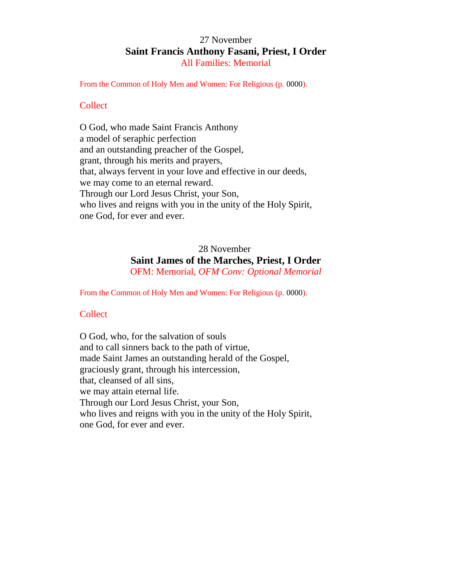## 27 November **Saint Francis Anthony Fasani, Priest, I Order** All Families: Memorial

From the Common of Holy Men and Women: For Religious (p. 0000).

#### **Collect**

O God, who made Saint Francis Anthony a model of seraphic perfection and an outstanding preacher of the Gospel, grant, through his merits and prayers, that, always fervent in your love and effective in our deeds, we may come to an eternal reward. Through our Lord Jesus Christ, your Son, who lives and reigns with you in the unity of the Holy Spirit, one God, for ever and ever.

## 28 November **Saint James of the Marches, Priest, I Order** OFM: Memorial, *OFM Conv: Optional Memorial*

From the Common of Holy Men and Women: For Religious (p. 0000).

#### **Collect**

O God, who, for the salvation of souls and to call sinners back to the path of virtue, made Saint James an outstanding herald of the Gospel, graciously grant, through his intercession, that, cleansed of all sins, we may attain eternal life. Through our Lord Jesus Christ, your Son, who lives and reigns with you in the unity of the Holy Spirit, one God, for ever and ever.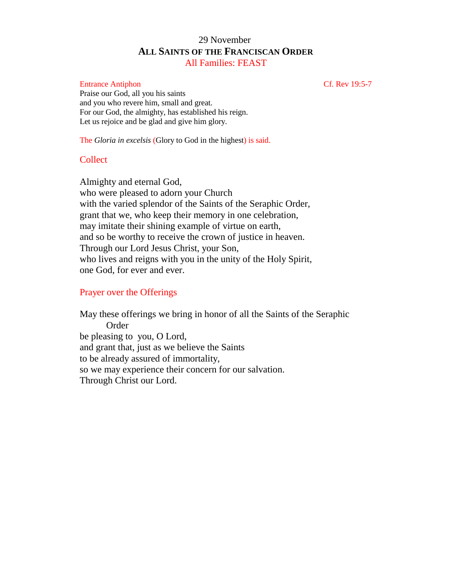## 29 November **ALL SAINTS OF THE FRANCISCAN ORDER** All Families: FEAST

#### Entrance Antiphon Cf. Rev 19:5-7

Praise our God, all you his saints and you who revere him, small and great. For our God, the almighty, has established his reign. Let us rejoice and be glad and give him glory.

The *Gloria in excelsis* (Glory to God in the highest) is said.

## **Collect**

Almighty and eternal God, who were pleased to adorn your Church with the varied splendor of the Saints of the Seraphic Order, grant that we, who keep their memory in one celebration, may imitate their shining example of virtue on earth, and so be worthy to receive the crown of justice in heaven. Through our Lord Jesus Christ, your Son, who lives and reigns with you in the unity of the Holy Spirit, one God, for ever and ever.

## Prayer over the Offerings

May these offerings we bring in honor of all the Saints of the Seraphic Order be pleasing to you, O Lord, and grant that, just as we believe the Saints to be already assured of immortality, so we may experience their concern for our salvation. Through Christ our Lord.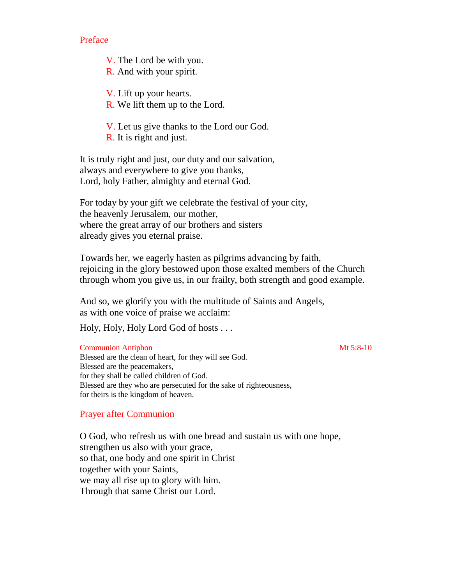Preface

V. The Lord be with you.

R. And with your spirit.

V. Lift up your hearts.

R. We lift them up to the Lord.

V. Let us give thanks to the Lord our God.

R. It is right and just.

It is truly right and just, our duty and our salvation, always and everywhere to give you thanks, Lord, holy Father, almighty and eternal God.

For today by your gift we celebrate the festival of your city, the heavenly Jerusalem, our mother, where the great array of our brothers and sisters already gives you eternal praise.

Towards her, we eagerly hasten as pilgrims advancing by faith, rejoicing in the glory bestowed upon those exalted members of the Church through whom you give us, in our frailty, both strength and good example.

And so, we glorify you with the multitude of Saints and Angels, as with one voice of praise we acclaim:

Holy, Holy, Holy Lord God of hosts . . .

#### **Communion Antiphon** Mt 5:8-10

Blessed are the clean of heart, for they will see God. Blessed are the peacemakers, for they shall be called children of God. Blessed are they who are persecuted for the sake of righteousness, for theirs is the kingdom of heaven.

## Prayer after Communion

O God, who refresh us with one bread and sustain us with one hope, strengthen us also with your grace, so that, one body and one spirit in Christ together with your Saints, we may all rise up to glory with him. Through that same Christ our Lord.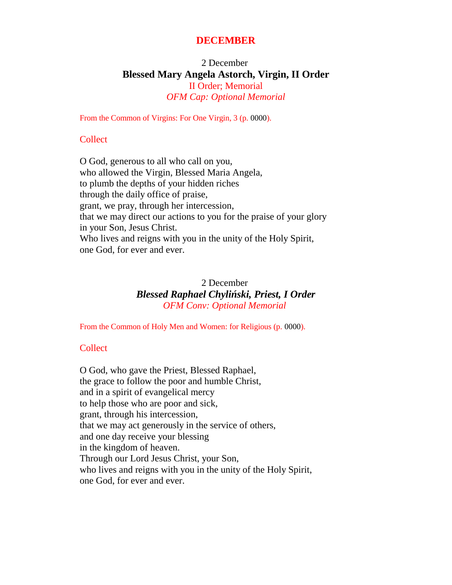## **DECEMBER**

## 2 December **Blessed Mary Angela Astorch, Virgin, II Order** II Order; Memorial *OFM Cap: Optional Memorial*

From the Common of Virgins: For One Virgin, 3 (p. 0000).

#### **Collect**

O God, generous to all who call on you, who allowed the Virgin, Blessed Maria Angela, to plumb the depths of your hidden riches through the daily office of praise, grant, we pray, through her intercession, that we may direct our actions to you for the praise of your glory in your Son, Jesus Christ. Who lives and reigns with you in the unity of the Holy Spirit, one God, for ever and ever.

## 2 December *Blessed Raphael Chyli ski, Priest, I Order OFM Conv: Optional Memorial*

From the Common of Holy Men and Women: for Religious (p. 0000).

## **Collect**

O God, who gave the Priest, Blessed Raphael, the grace to follow the poor and humble Christ, and in a spirit of evangelical mercy to help those who are poor and sick, grant, through his intercession, that we may act generously in the service of others, and one day receive your blessing in the kingdom of heaven. Through our Lord Jesus Christ, your Son, who lives and reigns with you in the unity of the Holy Spirit, one God, for ever and ever.